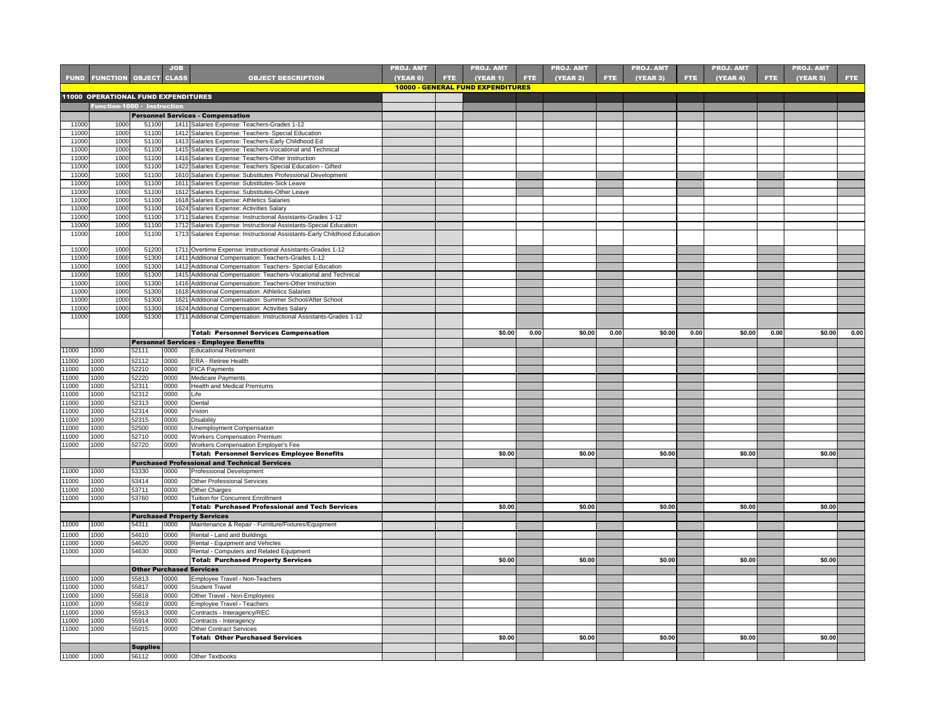|                |                                     |                                 | <b>JOB</b>   |                                                                                                                      | <b>PROJ. AMT</b> |      | <b>PROJ. AMT</b>                         |      | <b>PROJ. AMT</b> |            | <b>PROJ. AMT</b> |      | <b>PROJ. AMT</b> |      | <b>PROJ. AMT</b> |            |
|----------------|-------------------------------------|---------------------------------|--------------|----------------------------------------------------------------------------------------------------------------------|------------------|------|------------------------------------------|------|------------------|------------|------------------|------|------------------|------|------------------|------------|
|                | <b>FUND FUNCTION OBJECT CLASS</b>   |                                 |              | <b>OBJECT DESCRIPTION</b>                                                                                            | <b>(YEAR 0)</b>  | FTE: | (YEAR 1)                                 | FTE. | <b>(YEAR 2)</b>  | <b>FTE</b> | (YEAR 3)         | FTE. | (YEAR 4)         | FTE. | (YEAR 5)         | <b>FTE</b> |
|                |                                     |                                 |              |                                                                                                                      |                  |      | <b>10000 - GENERAL FUND EXPENDITURES</b> |      |                  |            |                  |      |                  |      |                  |            |
|                | 11000 OPERATIONAL FUND EXPENDITURES |                                 |              |                                                                                                                      |                  |      |                                          |      |                  |            |                  |      |                  |      |                  |            |
|                | Function-1000 - Instruction         |                                 |              |                                                                                                                      |                  |      |                                          |      |                  |            |                  |      |                  |      |                  |            |
|                |                                     |                                 |              | <b>Personnel Services - Compensation</b>                                                                             |                  |      |                                          |      |                  |            |                  |      |                  |      |                  |            |
| 11000          | 1000                                | 51100                           |              | 1411 Salaries Expense: Teachers-Grades 1-12                                                                          |                  |      |                                          |      |                  |            |                  |      |                  |      |                  |            |
| 11000          | 1000                                | 51100                           |              | 1412 Salaries Expense: Teachers- Special Education                                                                   |                  |      |                                          |      |                  |            |                  |      |                  |      |                  |            |
| 11000          | 1000                                | 51100                           |              | 1413 Salaries Expense: Teachers-Early Childhood Ed                                                                   |                  |      |                                          |      |                  |            |                  |      |                  |      |                  |            |
| 11000          | 1000                                | 51100                           |              | 1415 Salaries Expense: Teachers-Vocational and Technical                                                             |                  |      |                                          |      |                  |            |                  |      |                  |      |                  |            |
| 11000          | 1000                                | 51100                           |              | 1416 Salaries Expense: Teachers-Other Instruction                                                                    |                  |      |                                          |      |                  |            |                  |      |                  |      |                  |            |
| 11000<br>11000 | 1000<br>1000                        | 51100<br>51100                  | 1422         | Salaries Expense: Teachers Special Education - Gifted<br>1610 Salaries Expense: Substitutes Professional Development |                  |      |                                          |      |                  |            |                  |      |                  |      |                  |            |
| 11000          | 1000                                | 51100                           |              | 1611 Salaries Expense: Substitutes-Sick Leave                                                                        |                  |      |                                          |      |                  |            |                  |      |                  |      |                  |            |
| 11000          | 1000                                | 51100                           |              | 1612 Salaries Expense: Substitutes-Other Leave                                                                       |                  |      |                                          |      |                  |            |                  |      |                  |      |                  |            |
| 11000          | 1000                                | 51100                           |              | 1618 Salaries Expense: Athletics Salaries                                                                            |                  |      |                                          |      |                  |            |                  |      |                  |      |                  |            |
| 11000          | 1000                                | 51100                           | 1624         | Salaries Expense: Activities Salary                                                                                  |                  |      |                                          |      |                  |            |                  |      |                  |      |                  |            |
| 11000          | 1000                                | 51100                           |              | 1711 Salaries Expense: Instructional Assistants-Grades 1-12                                                          |                  |      |                                          |      |                  |            |                  |      |                  |      |                  |            |
| 11000          | 1000                                | 51100                           |              | 1712 Salaries Expense: Instructional Assistants-Special Education                                                    |                  |      |                                          |      |                  |            |                  |      |                  |      |                  |            |
| 11000          | 1000                                | 51100                           |              | 1713 Salaries Expense: Instructional Assistants-Early Childhood Education                                            |                  |      |                                          |      |                  |            |                  |      |                  |      |                  |            |
| 11000          | 1000                                | 51200                           |              | 1711 Overtime Expense: Instructional Assistants-Grades 1-12                                                          |                  |      |                                          |      |                  |            |                  |      |                  |      |                  |            |
| 11000          | 1000                                | 51300                           |              | 1411 Additional Compensation: Teachers-Grades 1-12                                                                   |                  |      |                                          |      |                  |            |                  |      |                  |      |                  |            |
| 11000          | 1000                                | 51300                           | 1412         | Additional Compensation: Teachers- Special Education                                                                 |                  |      |                                          |      |                  |            |                  |      |                  |      |                  |            |
| 11000          | 1000                                | 51300                           |              | 1415 Additional Compensation: Teachers-Vocational and Technical                                                      |                  |      |                                          |      |                  |            |                  |      |                  |      |                  |            |
| 11000          | 1000                                | 51300                           |              | 1416 Additional Compensation: Teachers-Other Instruction                                                             |                  |      |                                          |      |                  |            |                  |      |                  |      |                  |            |
| 11000          | 1000                                | 51300                           |              | 1618 Additional Compensation: Athletics Salaries                                                                     |                  |      |                                          |      |                  |            |                  |      |                  |      |                  |            |
| 11000          | 1000                                | 51300                           |              | 1621 Additional Compensation: Summer School/After School                                                             |                  |      |                                          |      |                  |            |                  |      |                  |      |                  |            |
| 11000          | 1000                                | 51300                           |              | 1624 Additional Compensation: Activities Salary                                                                      |                  |      |                                          |      |                  |            |                  |      |                  |      |                  |            |
| 11000          | 1000                                | 51300                           |              | 1711 Additional Compensation: Instructional Assistants-Grades 1-12                                                   |                  |      |                                          |      |                  |            |                  |      |                  |      |                  |            |
|                |                                     |                                 |              |                                                                                                                      |                  |      | \$0.00                                   | 0.00 | \$0.00           | 0.00       | \$0.00           | 0.00 | \$0.00           | 0.00 | \$0.00           | 0.00       |
|                |                                     |                                 |              | <b>Total: Personnel Services Compensation</b>                                                                        |                  |      |                                          |      |                  |            |                  |      |                  |      |                  |            |
| 11000          | 1000                                | 52111                           | 0000         | Personnel Services - Employee Benefits<br><b>Educational Retirement</b>                                              |                  |      |                                          |      |                  |            |                  |      |                  |      |                  |            |
|                | 1000                                |                                 |              |                                                                                                                      |                  |      |                                          |      |                  |            |                  |      |                  |      |                  |            |
| 11000<br>11000 | 1000                                | 52112<br>52210                  | 0000<br>0000 | ERA - Retiree Health                                                                                                 |                  |      |                                          |      |                  |            |                  |      |                  |      |                  |            |
| 11000          | 1000                                | 52220                           | 0000         | <b>FICA Payments</b><br>Medicare Payments                                                                            |                  |      |                                          |      |                  |            |                  |      |                  |      |                  |            |
| 11000          | 1000                                | 52311                           | 0000         | Health and Medical Premiums                                                                                          |                  |      |                                          |      |                  |            |                  |      |                  |      |                  |            |
| 11000          | 1000                                | 52312                           | 0000         | Life                                                                                                                 |                  |      |                                          |      |                  |            |                  |      |                  |      |                  |            |
| 11000          | 1000                                | 52313                           | 0000         | Dental                                                                                                               |                  |      |                                          |      |                  |            |                  |      |                  |      |                  |            |
| 11000          | 1000                                | 52314                           | 0000         | Vision                                                                                                               |                  |      |                                          |      |                  |            |                  |      |                  |      |                  |            |
| 11000          | 1000                                | 52315                           | 0000         | <b>Disability</b>                                                                                                    |                  |      |                                          |      |                  |            |                  |      |                  |      |                  |            |
| 1000           | 1000                                | 52500                           | 0000         | Unemployment Compensation                                                                                            |                  |      |                                          |      |                  |            |                  |      |                  |      |                  |            |
| 11000          | 1000                                | 52710                           | 0000         | <b>Workers Compensation Premium</b>                                                                                  |                  |      |                                          |      |                  |            |                  |      |                  |      |                  |            |
| 11000          | 1000                                | 52720                           | 0000         | Workers Compensation Employer's Fee                                                                                  |                  |      |                                          |      |                  |            |                  |      |                  |      |                  |            |
|                |                                     |                                 |              | <b>Total: Personnel Services Employee Benefits</b>                                                                   |                  |      | \$0.00                                   |      | \$0.00           |            | \$0.00           |      | \$0.00           |      | \$0.00           |            |
|                |                                     |                                 |              | <b>Purchased Professional and Technical Services</b>                                                                 |                  |      |                                          |      |                  |            |                  |      |                  |      |                  |            |
| 11000          | 1000                                | 53330                           | 0000         | Professional Development                                                                                             |                  |      |                                          |      |                  |            |                  |      |                  |      |                  |            |
| 11000          | 1000                                | 53414                           | 0000         | <b>Other Professional Services</b>                                                                                   |                  |      |                                          |      |                  |            |                  |      |                  |      |                  |            |
| 11000          | 1000                                | 53711                           | 0000         | Other Charges                                                                                                        |                  |      |                                          |      |                  |            |                  |      |                  |      |                  |            |
| 11000          | 1000                                | 53760                           | 0000         | Tuition for Concurrent Enrollment                                                                                    |                  |      |                                          |      |                  |            |                  |      |                  |      |                  |            |
|                |                                     |                                 |              | <b>Total: Purchased Professional and Tech Services</b>                                                               |                  |      | \$0.00                                   |      | \$0.00           |            | \$0.00           |      | \$0.00           |      | \$0.00           |            |
| 11000          | 1000                                | 54311                           | 0000         | <b>Purchased Property Services</b><br>Maintenance & Repair - Furniture/Fixtures/Equipment                            |                  |      |                                          |      |                  |            |                  |      |                  |      |                  |            |
|                |                                     |                                 |              |                                                                                                                      |                  |      |                                          |      |                  |            |                  |      |                  |      |                  |            |
| 11000<br>11000 | 1000<br>1000                        | 54610<br>54620                  | 0000<br>0000 | Rental - Land and Buildings<br>Rental - Equipment and Vehicles                                                       |                  |      |                                          |      |                  |            |                  |      |                  |      |                  |            |
| 11000          | 1000                                | 54630                           | 0000         | Rental - Computers and Related Equipment                                                                             |                  |      |                                          |      |                  |            |                  |      |                  |      |                  |            |
|                |                                     |                                 |              | <b>Total: Purchased Property Services</b>                                                                            |                  |      | \$0.00                                   |      | \$0.00           |            | \$0.00           |      | \$0.00           |      | \$0.00           |            |
|                |                                     | <b>Other Purchased Services</b> |              |                                                                                                                      |                  |      |                                          |      |                  |            |                  |      |                  |      |                  |            |
| 11000          | 1000                                | 55813                           | 0000         | Employee Travel - Non-Teachers                                                                                       |                  |      |                                          |      |                  |            |                  |      |                  |      |                  |            |
| 11000          | 1000                                | 55817                           | 0000         | <b>Student Travel</b>                                                                                                |                  |      |                                          |      |                  |            |                  |      |                  |      |                  |            |
| 1000           | 1000                                | 55818                           | 0000         | Other Travel - Non-Employees                                                                                         |                  |      |                                          |      |                  |            |                  |      |                  |      |                  |            |
| 11000          | 1000                                | 55819                           | 0000         | <b>Employee Travel - Teachers</b>                                                                                    |                  |      |                                          |      |                  |            |                  |      |                  |      |                  |            |
| 1000           | 1000                                | 55913                           | 0000         | Contracts - Interagency/REC                                                                                          |                  |      |                                          |      |                  |            |                  |      |                  |      |                  |            |
| 1000           | 1000                                | 55914                           | 0000         | Contracts - Interagency                                                                                              |                  |      |                                          |      |                  |            |                  |      |                  |      |                  |            |
| 11000          | 1000                                | 55915                           | 0000         | <b>Other Contract Services</b>                                                                                       |                  |      |                                          |      |                  |            |                  |      |                  |      |                  |            |
|                |                                     |                                 |              | <b>Total: Other Purchased Services</b>                                                                               |                  |      | \$0.00                                   |      | \$0.00           |            | \$0.00           |      | \$0.00           |      | \$0.00           |            |
|                |                                     | <b>Supplies</b>                 |              |                                                                                                                      |                  |      |                                          |      |                  |            |                  |      |                  |      |                  |            |
| 11000          | 1000                                | 56112                           | 0000         | Other Textbooks                                                                                                      |                  |      |                                          |      |                  |            |                  |      |                  |      |                  |            |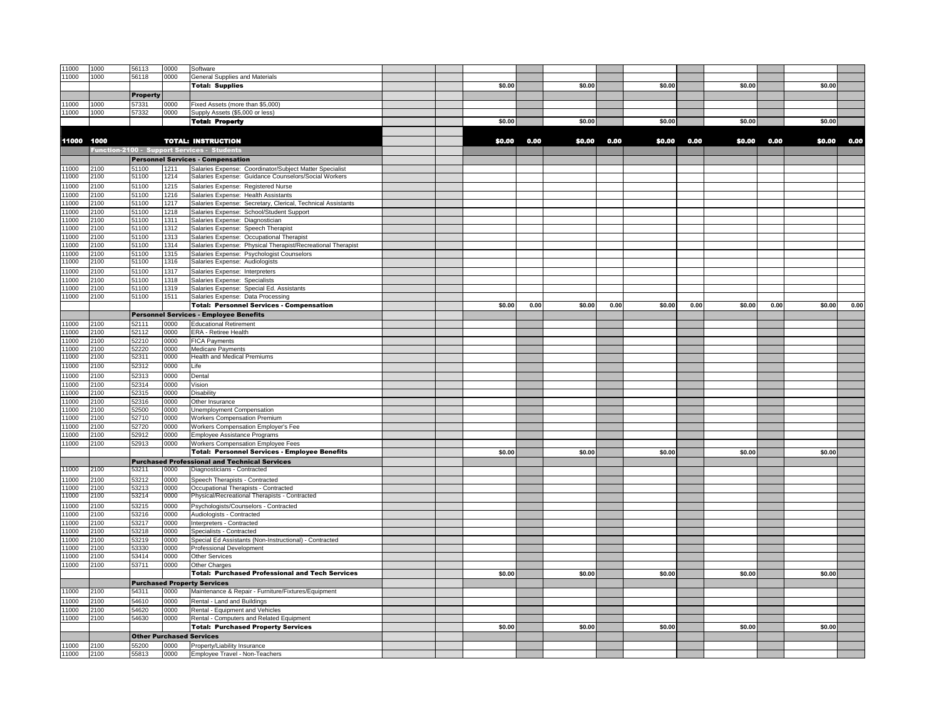| 11000          | 1000         | 56113           | 0000         | Software                                                                              |        |      |        |      |        |      |        |      |        |      |
|----------------|--------------|-----------------|--------------|---------------------------------------------------------------------------------------|--------|------|--------|------|--------|------|--------|------|--------|------|
| 11000          | 1000         | 56118           | 0000         | <b>General Supplies and Materials</b>                                                 |        |      |        |      |        |      |        |      |        |      |
|                |              |                 |              | <b>Total: Supplies</b>                                                                | \$0.00 |      | \$0.00 |      | \$0.00 |      | \$0.00 |      | \$0.00 |      |
|                |              | <b>Property</b> |              |                                                                                       |        |      |        |      |        |      |        |      |        |      |
| 11000          | 1000         | 57331           | 0000         | Fixed Assets (more than \$5,000)                                                      |        |      |        |      |        |      |        |      |        |      |
| 11000          | 1000         | 57332           | 0000         | Supply Assets (\$5,000 or less)                                                       |        |      |        |      |        |      |        |      |        |      |
|                |              |                 |              | <b>Total: Property</b>                                                                | \$0.00 |      | \$0.00 |      | \$0.00 |      | \$0.00 |      | \$0.00 |      |
|                |              |                 |              |                                                                                       |        |      |        |      |        |      |        |      |        |      |
| 11000          | 1000         |                 |              | <b>TOTAL: INSTRUCTION</b>                                                             | \$0.00 | 0.00 | \$0.00 | 0.00 | \$0.00 | 0.00 | \$0.00 | 0.00 | \$0.00 | 0.00 |
|                |              |                 |              | Function-2100 - Support Services - Students                                           |        |      |        |      |        |      |        |      |        |      |
|                |              |                 |              | <b>Personnel Services - Compensation</b>                                              |        |      |        |      |        |      |        |      |        |      |
| 11000          | 2100         | 51100           | 1211         | Salaries Expense: Coordinator/Subject Matter Specialist                               |        |      |        |      |        |      |        |      |        |      |
| 11000          | 2100         | 51100           | 1214         | Salaries Expense: Guidance Counselors/Social Workers                                  |        |      |        |      |        |      |        |      |        |      |
| 11000          | 2100         | 51100           | 1215         | Salaries Expense: Registered Nurse                                                    |        |      |        |      |        |      |        |      |        |      |
| 11000          | 2100         | 51100           | 1216         | Salaries Expense: Health Assistants                                                   |        |      |        |      |        |      |        |      |        |      |
| 11000          | 2100         | 51100           | 1217         | Salaries Expense: Secretary, Clerical, Technical Assistants                           |        |      |        |      |        |      |        |      |        |      |
| 11000          | 2100         | 51100           | 1218         | Salaries Expense: School/Student Support                                              |        |      |        |      |        |      |        |      |        |      |
| 11000          | 2100         | 51100           | 1311         | Salaries Expense: Diagnostician                                                       |        |      |        |      |        |      |        |      |        |      |
| 11000          | 2100         | 51100           | 1312         | Salaries Expense: Speech Therapist                                                    |        |      |        |      |        |      |        |      |        |      |
| 11000          | 2100         | 51100           | 1313         | Salaries Expense: Occupational Therapist                                              |        |      |        |      |        |      |        |      |        |      |
| 11000          | 2100         | 51100           | 1314         | Salaries Expense: Physical Therapist/Recreational Therapist                           |        |      |        |      |        |      |        |      |        |      |
| 11000<br>11000 | 2100<br>2100 | 51100<br>51100  | 1315<br>1316 | Salaries Expense: Psychologist Counselors                                             |        |      |        |      |        |      |        |      |        |      |
|                |              |                 | 1317         | Salaries Expense: Audiologists                                                        |        |      |        |      |        |      |        |      |        |      |
| 11000<br>11000 | 2100<br>2100 | 51100<br>51100  | 1318         | Salaries Expense: Interpreters<br>Salaries Expense: Specialists                       |        |      |        |      |        |      |        |      |        |      |
| 11000          | 2100         | 51100           | 1319         | Salaries Expense: Special Ed. Assistants                                              |        |      |        |      |        |      |        |      |        |      |
| 11000          | 2100         | 51100           | 1511         | Salaries Expense: Data Processing                                                     |        |      |        |      |        |      |        |      |        |      |
|                |              |                 |              | <b>Total: Personnel Services - Compensation</b>                                       | \$0.00 | 0.00 | \$0.00 | 0.00 | \$0.00 | 0.00 | \$0.00 | 0.00 | \$0.00 | 0.00 |
|                |              |                 |              | <b>Personnel Services - Employee Benefits</b>                                         |        |      |        |      |        |      |        |      |        |      |
| 11000          | 2100         | 52111           | 0000         | <b>Educational Retirement</b>                                                         |        |      |        |      |        |      |        |      |        |      |
| 11000          | 2100         | 52112           | 0000         | ERA - Retiree Health                                                                  |        |      |        |      |        |      |        |      |        |      |
| 11000          | 2100         | 52210           | 0000         | <b>FICA Payments</b>                                                                  |        |      |        |      |        |      |        |      |        |      |
| 11000          | 2100         | 52220           | 0000         | Medicare Payments                                                                     |        |      |        |      |        |      |        |      |        |      |
| 11000          | 2100         | 52311           | 0000         | Health and Medical Premiums                                                           |        |      |        |      |        |      |        |      |        |      |
| 11000          | 2100         | 52312           | 0000         | Life                                                                                  |        |      |        |      |        |      |        |      |        |      |
| 11000          | 2100         | 52313           | 0000         | Dental                                                                                |        |      |        |      |        |      |        |      |        |      |
| 11000          | 2100         | 52314           | 0000         | /ision                                                                                |        |      |        |      |        |      |        |      |        |      |
| 11000          | 2100         | 52315           | 0000         | Disability                                                                            |        |      |        |      |        |      |        |      |        |      |
| 11000          | 2100         | 52316           | 0000         | Other Insurance                                                                       |        |      |        |      |        |      |        |      |        |      |
| 11000          | 2100         | 52500           | 0000         | Unemployment Compensation                                                             |        |      |        |      |        |      |        |      |        |      |
| 11000          | 2100         | 52710           | 0000         | <b>Workers Compensation Premium</b>                                                   |        |      |        |      |        |      |        |      |        |      |
| 11000          | 2100         | 52720<br>52912  | 0000         | Workers Compensation Employer's Fee                                                   |        |      |        |      |        |      |        |      |        |      |
| 11000<br>11000 | 2100<br>2100 | 2913            | 0000<br>0000 | Employee Assistance Programs<br><b>Workers Compensation Employee Fees</b>             |        |      |        |      |        |      |        |      |        |      |
|                |              |                 |              | <b>Total: Personnel Services - Employee Benefits</b>                                  | \$0.00 |      | \$0.00 |      | \$0.00 |      | \$0.00 |      | \$0.00 |      |
|                |              |                 |              | <b>Purchased Professional and Technical Services</b>                                  |        |      |        |      |        |      |        |      |        |      |
| 11000          | 2100         | 53211           | 0000         | Diagnosticians - Contracted                                                           |        |      |        |      |        |      |        |      |        |      |
| 11000          | 2100         | 53212           | 0000         | Speech Therapists - Contracted                                                        |        |      |        |      |        |      |        |      |        |      |
| 11000          | 2100         | 53213           | 0000         | Occupational Therapists - Contracted                                                  |        |      |        |      |        |      |        |      |        |      |
| 11000          | 2100         | 53214           | 0000         | Physical/Recreational Therapists - Contracted                                         |        |      |        |      |        |      |        |      |        |      |
| 11000          | 2100         | 53215           | 0000         | Psychologists/Counselors - Contracted                                                 |        |      |        |      |        |      |        |      |        |      |
| 11000          | 2100         | 53216           | 0000         | Audiologists - Contracted                                                             |        |      |        |      |        |      |        |      |        |      |
| 11000          | 2100         | 53217           | 0000         | Interpreters - Contracted                                                             |        |      |        |      |        |      |        |      |        |      |
| 11000          | 2100         | 53218           | 0000         | Specialists - Contracted                                                              |        |      |        |      |        |      |        |      |        |      |
| 11000          | 2100         | 53219           | 0000         | Special Ed Assistants (Non-Instructional) - Contracted                                |        |      |        |      |        |      |        |      |        |      |
| 11000          | 2100         | 53330           | 0000         | Professional Development                                                              |        |      |        |      |        |      |        |      |        |      |
| 11000          | 2100         | 53414           | 0000         | <b>Other Services</b>                                                                 |        |      |        |      |        |      |        |      |        |      |
| 11000          | 2100         | 53711           | 0000         | Other Charges                                                                         |        |      |        |      |        |      |        |      |        |      |
|                |              |                 |              | <b>Total: Purchased Professional and Tech Services</b>                                | \$0.00 |      | \$0.00 |      | \$0.00 |      | \$0.00 |      | \$0.00 |      |
|                |              |                 |              | <b>Purchased Property Services</b>                                                    |        |      |        |      |        |      |        |      |        |      |
| 11000          | 2100         | 54311           | 0000         | Maintenance & Repair - Furniture/Fixtures/Equipment                                   |        |      |        |      |        |      |        |      |        |      |
| 11000          | 2100         | 54610           | 0000         | Rental - Land and Buildings                                                           |        |      |        |      |        |      |        |      |        |      |
| 11000          | 2100         | 54620           | 0000         | Rental - Equipment and Vehicles                                                       |        |      |        |      |        |      |        |      |        |      |
| 11000          | 2100         | 54630           | 0000         | Rental - Computers and Related Equipment<br><b>Total: Purchased Property Services</b> | \$0.00 |      | \$0.00 |      | \$0.00 |      | \$0.00 |      | \$0.00 |      |
|                |              |                 |              |                                                                                       |        |      |        |      |        |      |        |      |        |      |
| 11000          | 2100         | 55200           | 0000         | <b>Other Purchased Services</b>                                                       |        |      |        |      |        |      |        |      |        |      |
| 11000          | 2100         | 55813           | 0000         | Property/Liability Insurance<br>Employee Travel - Non-Teachers                        |        |      |        |      |        |      |        |      |        |      |
|                |              |                 |              |                                                                                       |        |      |        |      |        |      |        |      |        |      |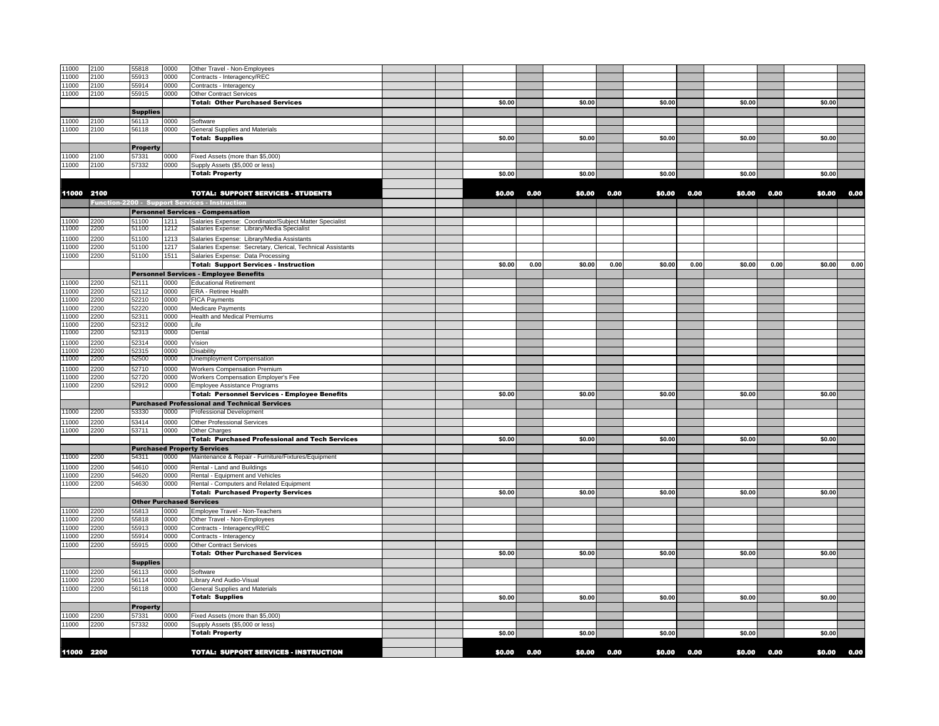| 11000          | 2100         | 55818           | 0000         | Other Travel - Non-Employees                                   |  |        |      |        |      |        |      |        |      |        |      |
|----------------|--------------|-----------------|--------------|----------------------------------------------------------------|--|--------|------|--------|------|--------|------|--------|------|--------|------|
| 11000          | 2100         | 55913           | 0000         | Contracts - Interagency/REC                                    |  |        |      |        |      |        |      |        |      |        |      |
| 11000          | 2100         | 55914           | 0000         | Contracts - Interagency                                        |  |        |      |        |      |        |      |        |      |        |      |
| 11000          | 2100         | 55915           | 0000         | <b>Other Contract Services</b>                                 |  |        |      |        |      |        |      |        |      |        |      |
|                |              |                 |              |                                                                |  | \$0.00 |      |        |      |        |      |        |      |        |      |
|                |              |                 |              | <b>Total: Other Purchased Services</b>                         |  |        |      | \$0.00 |      | \$0.00 |      | \$0.00 |      | \$0.00 |      |
|                |              | <b>Supplies</b> |              |                                                                |  |        |      |        |      |        |      |        |      |        |      |
| 11000          | 2100         | 56113           | 0000         | Software                                                       |  |        |      |        |      |        |      |        |      |        |      |
| 11000          | 2100         | 56118           | 0000         | General Supplies and Materials                                 |  |        |      |        |      |        |      |        |      |        |      |
|                |              |                 |              | <b>Total: Supplies</b>                                         |  | \$0.00 |      | \$0.00 |      | \$0.00 |      | \$0.00 |      | \$0.00 |      |
|                |              | <b>Property</b> |              |                                                                |  |        |      |        |      |        |      |        |      |        |      |
| 11000          | 2100         | 57331           | 0000         | Fixed Assets (more than \$5,000)                               |  |        |      |        |      |        |      |        |      |        |      |
| 11000          | 2100         | 57332           | 0000         | Supply Assets (\$5,000 or less)                                |  |        |      |        |      |        |      |        |      |        |      |
|                |              |                 |              | <b>Total: Property</b>                                         |  | \$0.00 |      | \$0.00 |      | \$0.00 |      | \$0.00 |      | \$0.00 |      |
|                |              |                 |              |                                                                |  |        |      |        |      |        |      |        |      |        |      |
| 11000 2100     |              |                 |              | <b>TOTAL: SUPPORT SERVICES - STUDENTS</b>                      |  | \$0.00 | 0.00 | \$0.00 | 0.00 | \$0.00 | 0.00 | \$0.00 | 0.00 | \$0.00 | 0.00 |
|                |              |                 |              | Function-2200 - Support Services - Instruction                 |  |        |      |        |      |        |      |        |      |        |      |
|                |              |                 |              |                                                                |  |        |      |        |      |        |      |        |      |        |      |
|                |              |                 |              | <b>Personnel Services - Compensation</b>                       |  |        |      |        |      |        |      |        |      |        |      |
| 11000          | 2200         | 51100           | 1211         | Salaries Expense: Coordinator/Subject Matter Specialist        |  |        |      |        |      |        |      |        |      |        |      |
| 11000          | 2200         | 51100           | 1212         | Salaries Expense: Library/Media Specialist                     |  |        |      |        |      |        |      |        |      |        |      |
| 11000          | 2200         | 51100           | 1213         | Salaries Expense: Library/Media Assistants                     |  |        |      |        |      |        |      |        |      |        |      |
| 11000          | 2200         | 51100           | 1217         | Salaries Expense: Secretary, Clerical, Technical Assistants    |  |        |      |        |      |        |      |        |      |        |      |
| 11000          | 2200         | 51100           | 1511         | Salaries Expense: Data Processing                              |  |        |      |        |      |        |      |        |      |        |      |
|                |              |                 |              | <b>Total: Support Services - Instruction</b>                   |  | \$0.00 | 0.00 | \$0.00 | 0.00 | \$0.00 | 0.00 | \$0.00 | 0.00 | \$0.00 | 0.00 |
|                |              |                 |              | <b>Personnel Services - Employee Benefits</b>                  |  |        |      |        |      |        |      |        |      |        |      |
| 11000          | 2200         | 52111           | 0000         | <b>Educational Retirement</b>                                  |  |        |      |        |      |        |      |        |      |        |      |
| 11000          | 2200         | 52112           | 0000         | ERA - Retiree Health                                           |  |        |      |        |      |        |      |        |      |        |      |
| 11000          | 2200         | 52210           | 0000         | FICA Payments                                                  |  |        |      |        |      |        |      |        |      |        |      |
| 1000           | 2200         | 52220           | 0000         | Medicare Payments                                              |  |        |      |        |      |        |      |        |      |        |      |
| 11000          | 2200         | 52311           | 0000         | Health and Medical Premiums                                    |  |        |      |        |      |        |      |        |      |        |      |
| 11000          | 2200         | 52312           | 0000         | ∟ife                                                           |  |        |      |        |      |        |      |        |      |        |      |
| 11000          | 2200         | 52313           | 0000         | Dental                                                         |  |        |      |        |      |        |      |        |      |        |      |
|                |              | 52314           |              |                                                                |  |        |      |        |      |        |      |        |      |        |      |
| 11000<br>11000 | 2200         |                 | 0000         | Vision                                                         |  |        |      |        |      |        |      |        |      |        |      |
| 11000          | 2200<br>2200 | 52315<br>52500  | 0000<br>0000 | Disability<br>Unemployment Compensation                        |  |        |      |        |      |        |      |        |      |        |      |
|                |              |                 |              |                                                                |  |        |      |        |      |        |      |        |      |        |      |
| 1000           | 2200         | 52710           | 0000         | <b>Workers Compensation Premium</b>                            |  |        |      |        |      |        |      |        |      |        |      |
| 1000           | 2200         | 52720           | 0000         | Workers Compensation Employer's Fee                            |  |        |      |        |      |        |      |        |      |        |      |
| 11000          | 2200         | 52912           | 0000         | Employee Assistance Programs                                   |  |        |      |        |      |        |      |        |      |        |      |
|                |              |                 |              | <b>Total: Personnel Services - Employee Benefits</b>           |  | \$0.00 |      | \$0.00 |      | \$0.00 |      | \$0.00 |      | \$0.00 |      |
|                |              |                 |              | <b>Purchased Professional and Technical Services</b>           |  |        |      |        |      |        |      |        |      |        |      |
| 11000          | 2200         | 53330           | 0000         | Professional Development                                       |  |        |      |        |      |        |      |        |      |        |      |
| 11000          | 2200         | 53414           | 0000         | Other Professional Services                                    |  |        |      |        |      |        |      |        |      |        |      |
| 11000          | 2200         | 53711           | 0000         | Other Charges                                                  |  |        |      |        |      |        |      |        |      |        |      |
|                |              |                 |              | <b>Total: Purchased Professional and Tech Services</b>         |  | \$0.00 |      | \$0.00 |      | \$0.00 |      | \$0.00 |      | \$0.00 |      |
|                |              |                 |              | <b>Purchased Property Services</b>                             |  |        |      |        |      |        |      |        |      |        |      |
| 11000          | 2200         | 54311           | 0000         | Maintenance & Repair - Furniture/Fixtures/Equipment            |  |        |      |        |      |        |      |        |      |        |      |
| 1000           |              |                 |              |                                                                |  |        |      |        |      |        |      |        |      |        |      |
| 11000          | 2200<br>2200 | 54610<br>54620  | 0000<br>0000 | Rental - Land and Buildings<br>Rental - Equipment and Vehicles |  |        |      |        |      |        |      |        |      |        |      |
| 11000          |              | 54630           |              | Rental - Computers and Related Equipment                       |  |        |      |        |      |        |      |        |      |        |      |
|                | 2200         |                 | 0000         | <b>Total: Purchased Property Services</b>                      |  | \$0.00 |      | \$0.00 |      | \$0.00 |      | \$0.00 |      | \$0.00 |      |
|                |              |                 |              |                                                                |  |        |      |        |      |        |      |        |      |        |      |
|                |              |                 |              | <b>Other Purchased Services</b>                                |  |        |      |        |      |        |      |        |      |        |      |
| 11000          | 2200         | 55813           | 0000         | Employee Travel - Non-Teachers                                 |  |        |      |        |      |        |      |        |      |        |      |
| 11000          | 2200         | 55818           | 0000         | Other Travel - Non-Employees                                   |  |        |      |        |      |        |      |        |      |        |      |
| 11000          | 2200         | 55913           | 0000         | Contracts - Interagency/REC                                    |  |        |      |        |      |        |      |        |      |        |      |
| 1000           | 2200         | 55914           | 0000         | Contracts - Interagency                                        |  |        |      |        |      |        |      |        |      |        |      |
| 11000          | 2200         | 55915           | 0000         | <b>Other Contract Services</b>                                 |  |        |      |        |      |        |      |        |      |        |      |
|                |              |                 |              | <b>Total: Other Purchased Services</b>                         |  | \$0.00 |      | \$0.00 |      | \$0.00 |      | \$0.00 |      | \$0.00 |      |
|                |              | <b>Supplies</b> |              |                                                                |  |        |      |        |      |        |      |        |      |        |      |
| 1000           | 2200         | 56113           | 0000         | Software                                                       |  |        |      |        |      |        |      |        |      |        |      |
| 11000          | 2200         | 56114           | 0000         | Library And Audio-Visual                                       |  |        |      |        |      |        |      |        |      |        |      |
| 11000          | 2200         | 56118           | 0000         | General Supplies and Materials                                 |  |        |      |        |      |        |      |        |      |        |      |
|                |              |                 |              | <b>Total: Supplies</b>                                         |  | \$0.00 |      | \$0.00 |      | \$0.00 |      | \$0.00 |      | \$0.00 |      |
|                |              | <b>Property</b> |              |                                                                |  |        |      |        |      |        |      |        |      |        |      |
| 1000           | 2200         | 57331           | 0000         | Fixed Assets (more than \$5,000)                               |  |        |      |        |      |        |      |        |      |        |      |
| 11000          | 2200         | 57332           | 0000         | Supply Assets (\$5,000 or less)                                |  |        |      |        |      |        |      |        |      |        |      |
|                |              |                 |              | <b>Total: Property</b>                                         |  | \$0.00 |      | \$0.00 |      | \$0.00 |      | \$0.00 |      | \$0.00 |      |
|                |              |                 |              |                                                                |  |        |      |        |      |        |      |        |      |        |      |
| 11000 2200     |              |                 |              | <b>TOTAL: SUPPORT SERVICES - INSTRUCTION</b>                   |  | \$0.00 | 0.00 | \$0.00 | 0.00 | \$0.00 | 0.00 | \$0.00 | 0.00 | \$0.00 | 0.00 |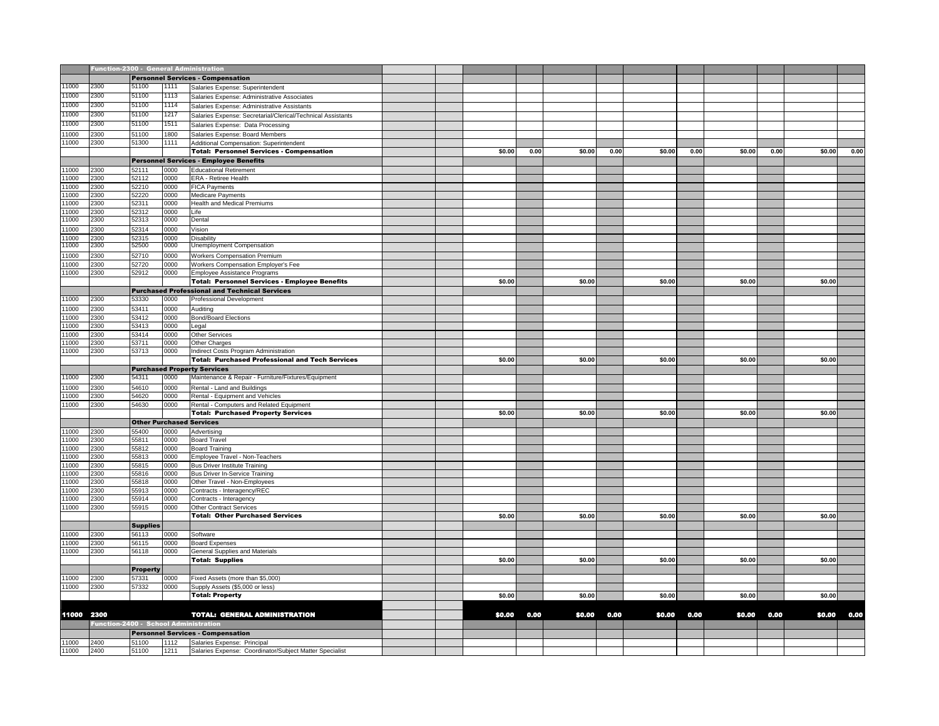|            | Function-2300 - General Administration |                 |              |                                                                |  |        |      |        |      |        |      |        |      |        |      |
|------------|----------------------------------------|-----------------|--------------|----------------------------------------------------------------|--|--------|------|--------|------|--------|------|--------|------|--------|------|
|            |                                        |                 |              | <b>Personnel Services - Compensation</b>                       |  |        |      |        |      |        |      |        |      |        |      |
| 11000      | 2300                                   | 51100           | 1111         | Salaries Expense: Superintendent                               |  |        |      |        |      |        |      |        |      |        |      |
| 11000      | 2300                                   | 51100           | 1113         | Salaries Expense: Administrative Associates                    |  |        |      |        |      |        |      |        |      |        |      |
| 11000      | 2300                                   | 51100           | 1114         | Salaries Expense: Administrative Assistants                    |  |        |      |        |      |        |      |        |      |        |      |
| 11000      | 2300                                   | 51100           | 1217         | Salaries Expense: Secretarial/Clerical/Technical Assistants    |  |        |      |        |      |        |      |        |      |        |      |
| 11000      | 2300                                   | 51100           | 1511         |                                                                |  |        |      |        |      |        |      |        |      |        |      |
| 11000      | 2300                                   | 51100           |              | Salaries Expense: Data Processing                              |  |        |      |        |      |        |      |        |      |        |      |
| 11000      | 2300                                   | 51300           | 1800<br>1111 | Salaries Expense: Board Members                                |  |        |      |        |      |        |      |        |      |        |      |
|            |                                        |                 |              | Additional Compensation: Superintendent                        |  | \$0.00 | 0.00 | \$0.00 | 0.00 | \$0.00 | 0.00 | \$0.00 | 0.00 | \$0.00 | 0.00 |
|            |                                        |                 |              | <b>Total: Personnel Services - Compensation</b>                |  |        |      |        |      |        |      |        |      |        |      |
|            |                                        |                 |              | <b>Personnel Services - Employee Benefits</b>                  |  |        |      |        |      |        |      |        |      |        |      |
| 11000      | 2300                                   | 52111           | 0000         | <b>Educational Retirement</b>                                  |  |        |      |        |      |        |      |        |      |        |      |
| 11000      | 2300                                   | 52112           | 0000         | ERA - Retiree Health                                           |  |        |      |        |      |        |      |        |      |        |      |
| 11000      | 2300                                   | 52210           | 0000         | <b>FICA Payments</b>                                           |  |        |      |        |      |        |      |        |      |        |      |
| 11000      | 2300                                   | 52220           | 0000         | <b>Medicare Payments</b>                                       |  |        |      |        |      |        |      |        |      |        |      |
| 11000      | 2300                                   | 52311           | 0000         | Health and Medical Premiums                                    |  |        |      |        |      |        |      |        |      |        |      |
| 11000      | 2300                                   | 52312           | 0000         | Life                                                           |  |        |      |        |      |        |      |        |      |        |      |
| 11000      | 2300                                   | 52313           | 0000         | Dental                                                         |  |        |      |        |      |        |      |        |      |        |      |
| 11000      | 2300                                   | 52314           | 0000         | Vision                                                         |  |        |      |        |      |        |      |        |      |        |      |
| 11000      | 2300                                   | 52315           | 0000         | <b>Disability</b>                                              |  |        |      |        |      |        |      |        |      |        |      |
| 11000      | 2300                                   | 52500           | 0000         | Unemployment Compensation                                      |  |        |      |        |      |        |      |        |      |        |      |
| 11000      | 2300                                   | 52710           | 0000         | <b>Workers Compensation Premium</b>                            |  |        |      |        |      |        |      |        |      |        |      |
| 11000      | 2300                                   | 52720           | 0000         | Workers Compensation Employer's Fee                            |  |        |      |        |      |        |      |        |      |        |      |
| 11000      | 2300                                   | 52912           | 0000         | Employee Assistance Programs                                   |  |        |      |        |      |        |      |        |      |        |      |
|            |                                        |                 |              | <b>Total: Personnel Services - Employee Benefits</b>           |  | \$0.00 |      | \$0.00 |      | \$0.00 |      | \$0.00 |      | \$0.00 |      |
|            |                                        |                 |              | <b>Purchased Professional and Technical Services</b>           |  |        |      |        |      |        |      |        |      |        |      |
| 11000      | 2300                                   | 53330           | 0000         | <b>Professional Development</b>                                |  |        |      |        |      |        |      |        |      |        |      |
| 11000      | 2300                                   | 53411           | 0000         | Auditing                                                       |  |        |      |        |      |        |      |        |      |        |      |
| 11000      | 2300                                   | 53412           | 0000         | <b>Bond/Board Elections</b>                                    |  |        |      |        |      |        |      |        |      |        |      |
| 11000      | 2300                                   | 53413           | 0000         | Legal                                                          |  |        |      |        |      |        |      |        |      |        |      |
| 1000       | 2300                                   | 53414           | 0000         | <b>Other Services</b>                                          |  |        |      |        |      |        |      |        |      |        |      |
| 1000       | 2300                                   | 53711           | 0000         | Other Charges                                                  |  |        |      |        |      |        |      |        |      |        |      |
| 11000      | 2300                                   | 53713           | 0000         |                                                                |  |        |      |        |      |        |      |        |      |        |      |
|            |                                        |                 |              | Indirect Costs Program Administration                          |  | \$0.00 |      | \$0.00 |      | \$0.00 |      | \$0.00 |      | \$0.00 |      |
|            |                                        |                 |              | <b>Total: Purchased Professional and Tech Services</b>         |  |        |      |        |      |        |      |        |      |        |      |
|            |                                        |                 |              | <b>Purchased Property Services</b>                             |  |        |      |        |      |        |      |        |      |        |      |
| 11000      | 2300                                   | 54311           | 0000         | Maintenance & Repair - Furniture/Fixtures/Equipment            |  |        |      |        |      |        |      |        |      |        |      |
| 1000       | 2300                                   | 54610           | 0000         | Rental - Land and Buildings                                    |  |        |      |        |      |        |      |        |      |        |      |
| 1000       | 2300                                   | 54620           | 0000         | Rental - Equipment and Vehicles                                |  |        |      |        |      |        |      |        |      |        |      |
| 11000      | 2300                                   | 54630           | 0000         | Rental - Computers and Related Equipment                       |  |        |      |        |      |        |      |        |      |        |      |
|            |                                        |                 |              | <b>Total: Purchased Property Services</b>                      |  | \$0.00 |      | \$0.00 |      | \$0.00 |      | \$0.00 |      | \$0.00 |      |
|            |                                        |                 |              | <b>Other Purchased Services</b>                                |  |        |      |        |      |        |      |        |      |        |      |
| 11000      | 2300                                   | 55400           | 0000         | Advertising                                                    |  |        |      |        |      |        |      |        |      |        |      |
| 11000      | 2300                                   | 55811           | 0000         | Board Travel                                                   |  |        |      |        |      |        |      |        |      |        |      |
| 11000      | 2300                                   | 55812           | 0000         | <b>Board Training</b>                                          |  |        |      |        |      |        |      |        |      |        |      |
| 11000      | 2300                                   | 55813           | 0000         | Employee Travel - Non-Teachers                                 |  |        |      |        |      |        |      |        |      |        |      |
| 11000      | 2300                                   | 55815           | 0000         | <b>Bus Driver Institute Training</b>                           |  |        |      |        |      |        |      |        |      |        |      |
| 1000       | 2300                                   | 55816           | 0000         | <b>Bus Driver In-Service Training</b>                          |  |        |      |        |      |        |      |        |      |        |      |
| 11000      | 2300                                   | 55818           | 0000         | Other Travel - Non-Employees                                   |  |        |      |        |      |        |      |        |      |        |      |
| 1000       | 2300                                   | 55913           | 0000         | Contracts - Interagency/REC                                    |  |        |      |        |      |        |      |        |      |        |      |
| 1000       | 2300                                   | 55914           | 0000         | Contracts - Interagency                                        |  |        |      |        |      |        |      |        |      |        |      |
| 11000      | 2300                                   | 55915           | 0000         | <b>Other Contract Services</b>                                 |  |        |      |        |      |        |      |        |      |        |      |
|            |                                        |                 |              | <b>Total: Other Purchased Services</b>                         |  | \$0.00 |      | \$0.00 |      | \$0.00 |      | \$0.00 |      | \$0.00 |      |
|            |                                        | <b>Supplies</b> |              |                                                                |  |        |      |        |      |        |      |        |      |        |      |
| 11000      | 2300                                   | 56113           | 0000         | Software                                                       |  |        |      |        |      |        |      |        |      |        |      |
| 11000      | 2300                                   | 56115           | 0000         |                                                                |  |        |      |        |      |        |      |        |      |        |      |
| 11000      | 2300                                   | 56118           | 0000         | <b>Board Expenses</b><br><b>General Supplies and Materials</b> |  |        |      |        |      |        |      |        |      |        |      |
|            |                                        |                 |              |                                                                |  | \$0.00 |      | \$0.00 |      | \$0.00 |      | \$0.00 |      | \$0.00 |      |
|            |                                        |                 |              | <b>Total: Supplies</b>                                         |  |        |      |        |      |        |      |        |      |        |      |
|            |                                        | <b>Property</b> |              |                                                                |  |        |      |        |      |        |      |        |      |        |      |
| 11000      | 2300                                   | 57331           | 0000         | Fixed Assets (more than \$5,000)                               |  |        |      |        |      |        |      |        |      |        |      |
| 11000      | 2300                                   | 57332           | 0000         | Supply Assets (\$5,000 or less)                                |  |        |      |        |      |        |      |        |      |        |      |
|            |                                        |                 |              | <b>Total: Property</b>                                         |  | \$0.00 |      | \$0.00 |      | \$0.00 |      | \$0.00 |      | \$0.00 |      |
|            |                                        |                 |              |                                                                |  |        |      |        |      |        |      |        |      |        |      |
| 11000 2300 |                                        |                 |              | <b>TOTAL: GENERAL ADMINISTRATION</b>                           |  | \$0.00 | 0.00 | \$0.00 | 0.00 | \$0.00 | 0.00 | \$0.00 | 0.00 | \$0.00 | 0.00 |
|            | Function-2400 - School Administration  |                 |              |                                                                |  |        |      |        |      |        |      |        |      |        |      |
|            |                                        |                 |              | <b>Personnel Services - Compensation</b>                       |  |        |      |        |      |        |      |        |      |        |      |
| 11000      | 2400                                   | 51100           |              | 1112 Salaries Expense: Principal                               |  |        |      |        |      |        |      |        |      |        |      |
| 11000      | 2400                                   | 51100           | 1211         | Salaries Expense: Coordinator/Subject Matter Specialist        |  |        |      |        |      |        |      |        |      |        |      |
|            |                                        |                 |              |                                                                |  |        |      |        |      |        |      |        |      |        |      |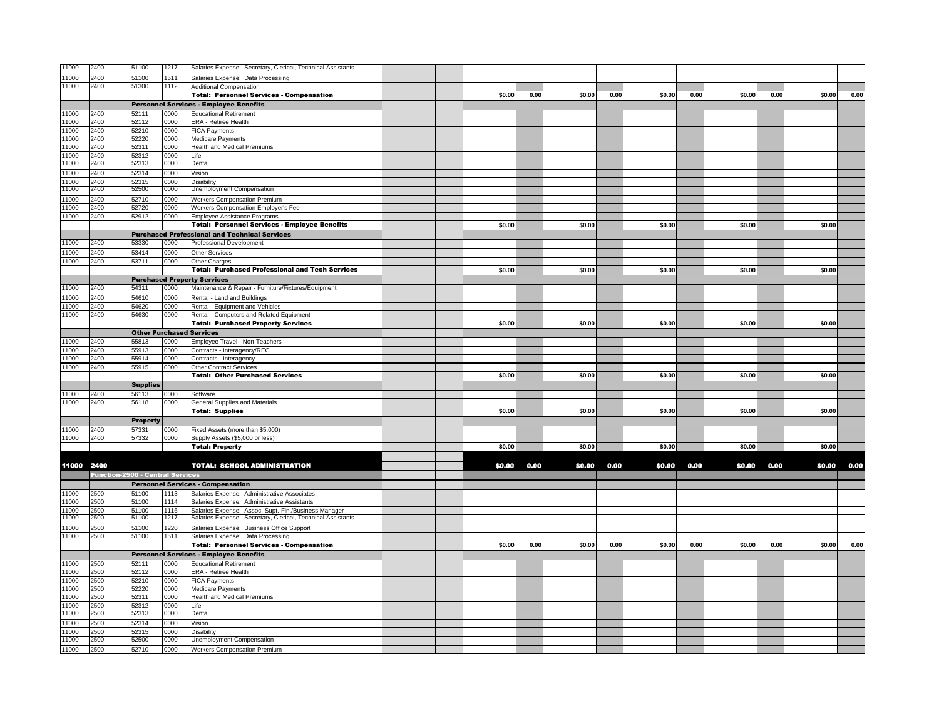| 11000          | 2400                                    | 51100           | 1217         | Salaries Expense: Secretary, Clerical, Technical Assistants                                         |  |        |      |        |      |        |      |        |      |        |      |
|----------------|-----------------------------------------|-----------------|--------------|-----------------------------------------------------------------------------------------------------|--|--------|------|--------|------|--------|------|--------|------|--------|------|
| 11000          | 2400                                    | 51100           | 1511         | Salaries Expense: Data Processing                                                                   |  |        |      |        |      |        |      |        |      |        |      |
| 11000          | 2400                                    | 51300           | 1112         | <b>Additional Compensation</b>                                                                      |  |        |      |        |      |        |      |        |      |        |      |
|                |                                         |                 |              | <b>Total: Personnel Services - Compensation</b>                                                     |  | \$0.00 | 0.00 | \$0.00 | 0.00 | \$0.00 | 0.00 | \$0.00 | 0.00 | \$0.00 | 0.00 |
|                |                                         |                 |              | <b>Personnel Services - Employee Benefits</b>                                                       |  |        |      |        |      |        |      |        |      |        |      |
| 11000          | 2400                                    | 52111           | 0000         | <b>Educational Retirement</b>                                                                       |  |        |      |        |      |        |      |        |      |        |      |
| 11000          | 2400                                    | 52112           | 2000         | ERA - Retiree Health                                                                                |  |        |      |        |      |        |      |        |      |        |      |
| 11000          | 2400                                    | 52210           | 0000         | <b>FICA Payments</b>                                                                                |  |        |      |        |      |        |      |        |      |        |      |
| 11000          | 2400                                    | 52220           | 0000         | <b>Medicare Payments</b>                                                                            |  |        |      |        |      |        |      |        |      |        |      |
| 11000<br>11000 | 2400<br>2400                            | 52311<br>52312  | 0000<br>0000 | <b>Health and Medical Premiums</b><br>Life                                                          |  |        |      |        |      |        |      |        |      |        |      |
| 1000           | 2400                                    | 52313           | 0000         | Dental                                                                                              |  |        |      |        |      |        |      |        |      |        |      |
| 1000           | 2400                                    | 52314           | 0000         | Vision                                                                                              |  |        |      |        |      |        |      |        |      |        |      |
| 11000          | 2400                                    | 52315           | 0000         | Disability                                                                                          |  |        |      |        |      |        |      |        |      |        |      |
| 11000          | 2400                                    | 52500           | 0000         | Unemployment Compensation                                                                           |  |        |      |        |      |        |      |        |      |        |      |
| 11000          | 2400                                    | 52710           | 0000         | Workers Compensation Premium                                                                        |  |        |      |        |      |        |      |        |      |        |      |
| 11000          | 2400                                    | 52720           | 0000         | Workers Compensation Employer's Fee                                                                 |  |        |      |        |      |        |      |        |      |        |      |
| 11000          | 2400                                    | 52912           | 0000         | Employee Assistance Programs                                                                        |  |        |      |        |      |        |      |        |      |        |      |
|                |                                         |                 |              | <b>Total: Personnel Services - Employee Benefits</b>                                                |  | \$0.00 |      | \$0.00 |      | \$0.00 |      | \$0.00 |      | \$0.00 |      |
|                |                                         |                 |              | <b>Purchased Professional and Technical Services</b>                                                |  |        |      |        |      |        |      |        |      |        |      |
| 11000          | 2400                                    | 53330           | 0000         | <b>Professional Development</b>                                                                     |  |        |      |        |      |        |      |        |      |        |      |
| 11000          | 2400                                    | 53414           | 0000         | Other Services                                                                                      |  |        |      |        |      |        |      |        |      |        |      |
| 11000          | 2400                                    | 53711           | 0000         | Other Charges                                                                                       |  |        |      |        |      |        |      |        |      |        |      |
|                |                                         |                 |              | <b>Total: Purchased Professional and Tech Services</b>                                              |  | \$0.00 |      | \$0.00 |      | \$0.00 |      | \$0.00 |      | \$0.00 |      |
|                |                                         |                 |              | <b>Purchased Property Services</b>                                                                  |  |        |      |        |      |        |      |        |      |        |      |
| 11000          | 2400                                    | 54311           | 0000         | Maintenance & Repair - Furniture/Fixtures/Equipment                                                 |  |        |      |        |      |        |      |        |      |        |      |
| 1000           | 2400                                    | 54610           | 0000         | Rental - Land and Buildings                                                                         |  |        |      |        |      |        |      |        |      |        |      |
| 11000          | 2400                                    | 54620           | 0000         | Rental - Equipment and Vehicles                                                                     |  |        |      |        |      |        |      |        |      |        |      |
| 11000          | 2400                                    | 54630           | 0000         | Rental - Computers and Related Equipment                                                            |  |        |      |        |      |        |      |        |      |        |      |
|                |                                         |                 |              | <b>Total: Purchased Property Services</b>                                                           |  | \$0.00 |      | \$0.00 |      | \$0.00 |      | \$0.00 |      | \$0.00 |      |
|                |                                         |                 |              | <b>Other Purchased Services</b>                                                                     |  |        |      |        |      |        |      |        |      |        |      |
| 11000<br>11000 | 2400<br>2400                            | 55813<br>55913  | 0000<br>0000 | Employee Travel - Non-Teachers                                                                      |  |        |      |        |      |        |      |        |      |        |      |
| 11000          | 2400                                    | 55914           | 0000         | Contracts - Interagency/REC<br>Contracts - Interagency                                              |  |        |      |        |      |        |      |        |      |        |      |
| 11000          | 2400                                    | 55915           | 0000         | <b>Other Contract Services</b>                                                                      |  |        |      |        |      |        |      |        |      |        |      |
|                |                                         |                 |              | <b>Total: Other Purchased Services</b>                                                              |  | \$0.00 |      | \$0.00 |      | \$0.00 |      | \$0.00 |      | \$0.00 |      |
|                |                                         | <b>Supplies</b> |              |                                                                                                     |  |        |      |        |      |        |      |        |      |        |      |
| 11000          | 2400                                    | 56113           | 0000         | Software                                                                                            |  |        |      |        |      |        |      |        |      |        |      |
| 11000          | 2400                                    | 56118           | 0000         | General Supplies and Materials                                                                      |  |        |      |        |      |        |      |        |      |        |      |
|                |                                         |                 |              | <b>Total: Supplies</b>                                                                              |  | \$0.00 |      | \$0.00 |      | \$0.00 |      | \$0.00 |      | \$0.00 |      |
|                |                                         | <b>Property</b> |              |                                                                                                     |  |        |      |        |      |        |      |        |      |        |      |
| 1000           | 2400                                    | 57331           | 0000         | Fixed Assets (more than \$5,000)                                                                    |  |        |      |        |      |        |      |        |      |        |      |
| 11000          | 2400                                    | 57332           | 0000         | Supply Assets (\$5,000 or less)                                                                     |  |        |      |        |      |        |      |        |      |        |      |
|                |                                         |                 |              | <b>Total: Property</b>                                                                              |  | \$0.00 |      | \$0.00 |      | \$0.00 |      | \$0.00 |      | \$0.00 |      |
|                |                                         |                 |              |                                                                                                     |  |        |      |        |      |        |      |        |      |        |      |
| 11000 2400     |                                         |                 |              | <b>TOTAL: SCHOOL ADMINISTRATION</b>                                                                 |  | \$0.00 | 0.00 | \$0.00 | 0.00 | \$0.00 | 0.00 | \$0.00 | 0.00 | \$0.00 | 0.00 |
|                | <b>Function-2500 - Central Services</b> |                 |              |                                                                                                     |  |        |      |        |      |        |      |        |      |        |      |
|                |                                         |                 |              | <b>Personnel Services - Compensation</b>                                                            |  |        |      |        |      |        |      |        |      |        |      |
| 11000          | 2500                                    | 51100           | 1113         | Salaries Expense: Administrative Associates                                                         |  |        |      |        |      |        |      |        |      |        |      |
| 11000<br>11000 | 2500<br>2500                            | 51100<br>51100  | 1114<br>1115 | Salaries Expense: Administrative Assistants<br>Salaries Expense: Assoc. Supt.-Fin./Business Manager |  |        |      |        |      |        |      |        |      |        |      |
| 1000           | 2500                                    | 51100           | 1217         | Salaries Expense: Secretary, Clerical, Technical Assistants                                         |  |        |      |        |      |        |      |        |      |        |      |
| 11000          | 2500                                    | 51100           | 1220         | Salaries Expense: Business Office Support                                                           |  |        |      |        |      |        |      |        |      |        |      |
| 11000          | 2500                                    | 51100           | 1511         | Salaries Expense: Data Processing                                                                   |  |        |      |        |      |        |      |        |      |        |      |
|                |                                         |                 |              | <b>Total: Personnel Services - Compensation</b>                                                     |  | \$0.00 | 0.00 | \$0.00 | 0.00 | \$0.00 | 0.00 | \$0.00 | 0.00 | \$0.00 | 0.00 |
|                |                                         |                 |              | <b>Personnel Services - Employee Benefits</b>                                                       |  |        |      |        |      |        |      |        |      |        |      |
| 11000          | 2500                                    | 52111           | 0000         | <b>Educational Retirement</b>                                                                       |  |        |      |        |      |        |      |        |      |        |      |
| 11000          | 2500                                    | 52112           | 0000         | ERA - Retiree Health                                                                                |  |        |      |        |      |        |      |        |      |        |      |
| 11000          | 2500                                    | 52210           | 0000         | <b>FICA Payments</b>                                                                                |  |        |      |        |      |        |      |        |      |        |      |
| 11000          | 2500                                    | 52220           | 0000         | Medicare Payments                                                                                   |  |        |      |        |      |        |      |        |      |        |      |
| 11000          | 2500                                    | 52311           | 0000         | Health and Medical Premiums                                                                         |  |        |      |        |      |        |      |        |      |        |      |
| 11000<br>11000 | 2500<br>2500                            | 52312<br>52313  | 0000<br>0000 | Life                                                                                                |  |        |      |        |      |        |      |        |      |        |      |
|                |                                         |                 |              | Dental                                                                                              |  |        |      |        |      |        |      |        |      |        |      |
| 11000<br>11000 | 2500<br>2500                            | 52314<br>52315  | 0000<br>0000 | Vision<br>Disability                                                                                |  |        |      |        |      |        |      |        |      |        |      |
| 11000          | 2500                                    | 52500           | 0000         | Unemployment Compensation                                                                           |  |        |      |        |      |        |      |        |      |        |      |
| 11000          | 2500                                    | 52710           | 0000         | <b>Workers Compensation Premium</b>                                                                 |  |        |      |        |      |        |      |        |      |        |      |
|                |                                         |                 |              |                                                                                                     |  |        |      |        |      |        |      |        |      |        |      |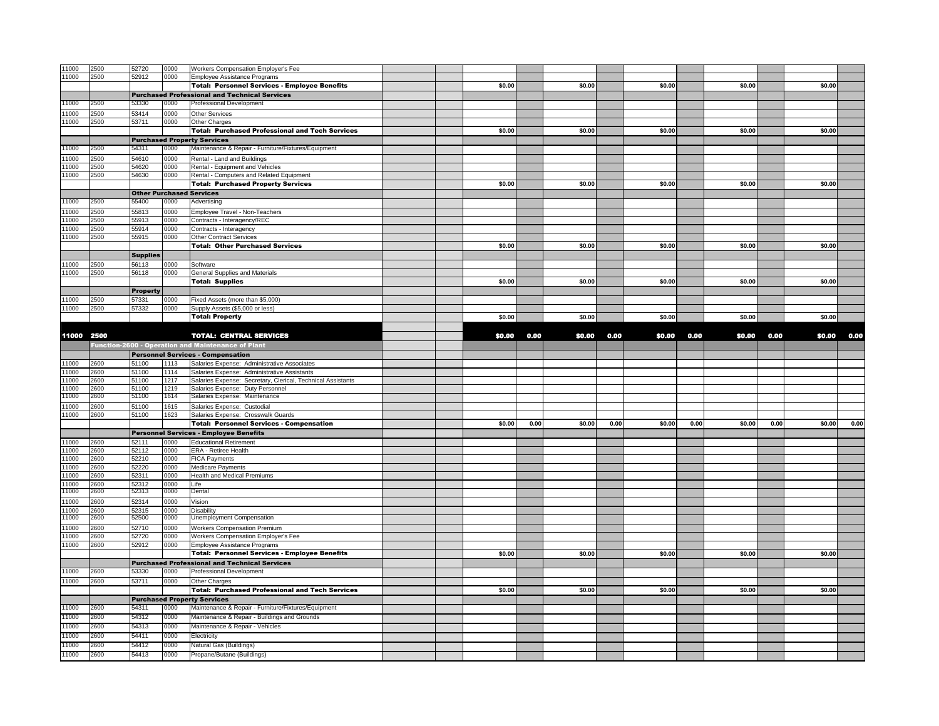| 11000      | 2500 | 52720           | 0000 | Workers Compensation Employer's Fee                                                     |        |      |        |      |        |      |        |      |        |      |
|------------|------|-----------------|------|-----------------------------------------------------------------------------------------|--------|------|--------|------|--------|------|--------|------|--------|------|
| 11000      | 2500 | 52912           | 0000 | <b>Employee Assistance Programs</b>                                                     |        |      |        |      |        |      |        |      |        |      |
|            |      |                 |      | <b>Total: Personnel Services - Employee Benefits</b>                                    | \$0.00 |      | \$0.00 |      | \$0.00 |      | \$0.00 |      | \$0.00 |      |
|            |      |                 |      | <b>Purchased Professional and Technical Services</b>                                    |        |      |        |      |        |      |        |      |        |      |
| 11000      | 2500 | 53330           | 0000 | Professional Development                                                                |        |      |        |      |        |      |        |      |        |      |
|            |      |                 |      |                                                                                         |        |      |        |      |        |      |        |      |        |      |
| 11000      | 2500 | 53414           | 0000 | <b>Other Services</b>                                                                   |        |      |        |      |        |      |        |      |        |      |
| 11000      | 2500 | 53711           | 0000 | Other Charges                                                                           |        |      |        |      |        |      |        |      |        |      |
|            |      |                 |      | <b>Total: Purchased Professional and Tech Services</b>                                  | \$0.00 |      | \$0.00 |      | \$0.00 |      | \$0.00 |      | \$0.00 |      |
|            |      |                 |      | <b>Purchased Property Services</b>                                                      |        |      |        |      |        |      |        |      |        |      |
| 1000       | 2500 | 54311           | 0000 | Maintenance & Repair - Furniture/Fixtures/Equipment                                     |        |      |        |      |        |      |        |      |        |      |
| 1000       | 2500 | 54610           | 0000 | Rental - Land and Buildings                                                             |        |      |        |      |        |      |        |      |        |      |
| 1000       | 2500 | 54620           | 0000 | Rental - Equipment and Vehicles                                                         |        |      |        |      |        |      |        |      |        |      |
| 11000      | 2500 | 54630           | 0000 | Rental - Computers and Related Equipment                                                |        |      |        |      |        |      |        |      |        |      |
|            |      |                 |      | <b>Total: Purchased Property Services</b>                                               | \$0.00 |      | \$0.00 |      | \$0.00 |      | \$0.00 |      | \$0.00 |      |
|            |      |                 |      | <b>Other Purchased Services</b>                                                         |        |      |        |      |        |      |        |      |        |      |
| 11000      | 2500 | 55400           | 0000 | Advertising                                                                             |        |      |        |      |        |      |        |      |        |      |
| 11000      | 2500 | 55813           | 0000 | Employee Travel - Non-Teachers                                                          |        |      |        |      |        |      |        |      |        |      |
| 1000       | 2500 | 55913           | 0000 | Contracts - Interagency/REC                                                             |        |      |        |      |        |      |        |      |        |      |
| 1000       | 2500 | 55914           | 0000 | Contracts - Interagency                                                                 |        |      |        |      |        |      |        |      |        |      |
| 11000      | 2500 | 55915           | 0000 |                                                                                         |        |      |        |      |        |      |        |      |        |      |
|            |      |                 |      | <b>Other Contract Services</b><br><b>Total: Other Purchased Services</b>                | \$0.00 |      | \$0.00 |      | \$0.00 |      | \$0.00 |      | \$0.00 |      |
|            |      |                 |      |                                                                                         |        |      |        |      |        |      |        |      |        |      |
|            |      | <b>Supplies</b> |      |                                                                                         |        |      |        |      |        |      |        |      |        |      |
| 1000       | 2500 | 56113           | 0000 | Software                                                                                |        |      |        |      |        |      |        |      |        |      |
| 1000       | 2500 | 56118           | 0000 | General Supplies and Materials                                                          |        |      |        |      |        |      |        |      |        |      |
|            |      |                 |      | <b>Total: Supplies</b>                                                                  | \$0.00 |      | \$0.00 |      | \$0.00 |      | \$0.00 |      | \$0.00 |      |
|            |      | <b>Property</b> |      |                                                                                         |        |      |        |      |        |      |        |      |        |      |
| 1000       | 2500 | 57331           | 0000 | Fixed Assets (more than \$5,000)                                                        |        |      |        |      |        |      |        |      |        |      |
| 11000      | 2500 | 57332           | 0000 | Supply Assets (\$5,000 or less)                                                         |        |      |        |      |        |      |        |      |        |      |
|            |      |                 |      | <b>Total: Property</b>                                                                  | \$0.00 |      | \$0.00 |      | \$0.00 |      | \$0.00 |      | \$0.00 |      |
|            |      |                 |      |                                                                                         |        |      |        |      |        |      |        |      |        |      |
| 11000 2500 |      |                 |      | <b>TOTAL: CENTRAL SERVICES</b>                                                          | \$0.00 | 0.00 | \$0.00 | 0.00 | \$0.00 | 0.00 | \$0.00 | 0.00 | \$0.00 | 0.00 |
|            |      |                 |      | Function-2600 - Operation and Maintenance of Plant                                      |        |      |        |      |        |      |        |      |        |      |
|            |      |                 |      |                                                                                         |        |      |        |      |        |      |        |      |        |      |
|            |      |                 |      | <b>Personnel Services - Compensation</b>                                                |        |      |        |      |        |      |        |      |        |      |
| 11000      | 2600 | 51100           | 1113 | Salaries Expense: Administrative Associates                                             |        |      |        |      |        |      |        |      |        |      |
| 11000      | 2600 | 51100           | 1114 | Salaries Expense: Administrative Assistants                                             |        |      |        |      |        |      |        |      |        |      |
| 11000      | 2600 | 51100           | 1217 | Salaries Expense: Secretary, Clerical, Technical Assistants                             |        |      |        |      |        |      |        |      |        |      |
| 11000      | 2600 | 51100           | 1219 | Salaries Expense: Duty Personnel                                                        |        |      |        |      |        |      |        |      |        |      |
| 11000      | 2600 | 51100           | 1614 | Salaries Expense: Maintenance                                                           |        |      |        |      |        |      |        |      |        |      |
| 11000      | 2600 | 51100           | 1615 | Salaries Expense: Custodial                                                             |        |      |        |      |        |      |        |      |        |      |
| 11000      | 2600 | 51100           | 1623 | Salaries Expense: Crosswalk Guards                                                      |        |      |        |      |        |      |        |      |        |      |
|            |      |                 |      | <b>Total: Personnel Services - Compensation</b>                                         | \$0.00 | 0.00 | \$0.00 | 0.00 | \$0.00 | 0.00 | \$0.00 | 0.00 | \$0.00 | 0.00 |
|            |      |                 |      | <b>Personnel Services - Employee Benefits</b>                                           |        |      |        |      |        |      |        |      |        |      |
| 11000      | 2600 | 52111           | 0000 | <b>Educational Retirement</b>                                                           |        |      |        |      |        |      |        |      |        |      |
| 11000      | 2600 | 52112           | 0000 | ERA - Retiree Health                                                                    |        |      |        |      |        |      |        |      |        |      |
| 11000      | 2600 | 52210           | 0000 | <b>FICA Payments</b>                                                                    |        |      |        |      |        |      |        |      |        |      |
| 1000       | 2600 | 52220           | 0000 | <b>Medicare Payments</b>                                                                |        |      |        |      |        |      |        |      |        |      |
| 11000      | 2600 | 52311           | 0000 | <b>Health and Medical Premiums</b>                                                      |        |      |        |      |        |      |        |      |        |      |
| 11000      | 2600 | 52312           | 0000 | Life                                                                                    |        |      |        |      |        |      |        |      |        |      |
| 11000      | 2600 | 52313           | 0000 | Dental                                                                                  |        |      |        |      |        |      |        |      |        |      |
| 11000      | 2600 | 52314           | 0000 | Vision                                                                                  |        |      |        |      |        |      |        |      |        |      |
| 11000      | 2600 | 52315           | 0000 | <b>Disability</b>                                                                       |        |      |        |      |        |      |        |      |        |      |
| 11000      | 2600 | 52500           | 0000 | Unemployment Compensation                                                               |        |      |        |      |        |      |        |      |        |      |
| 11000      | 2600 | 52710           | 0000 | <b>Workers Compensation Premium</b>                                                     |        |      |        |      |        |      |        |      |        |      |
| 11000      | 2600 | 52720           | 0000 | Workers Compensation Employer's Fee                                                     |        |      |        |      |        |      |        |      |        |      |
| 11000      | 2600 | 52912           | 0000 | Employee Assistance Programs                                                            |        |      |        |      |        |      |        |      |        |      |
|            |      |                 |      | <b>Total: Personnel Services - Employee Benefits</b>                                    | \$0.00 |      | \$0.00 |      | \$0.00 |      | \$0.00 |      | \$0.00 |      |
|            |      |                 |      |                                                                                         |        |      |        |      |        |      |        |      |        |      |
| 11000      | 2600 | 53330           | 0000 | <b>Purchased Professional and Technical Services</b><br><b>Professional Development</b> |        |      |        |      |        |      |        |      |        |      |
|            |      |                 |      |                                                                                         |        |      |        |      |        |      |        |      |        |      |
| 11000      | 2600 | 53711           | 0000 | Other Charges                                                                           |        |      |        |      |        |      |        |      |        |      |
|            |      |                 |      | <b>Total: Purchased Professional and Tech Services</b>                                  | \$0.00 |      | \$0.00 |      | \$0.00 |      | \$0.00 |      | \$0.00 |      |
|            |      |                 |      | <b>Purchased Property Services</b>                                                      |        |      |        |      |        |      |        |      |        |      |
| 11000      | 2600 | 54311           | 0000 | Maintenance & Repair - Furniture/Fixtures/Equipment                                     |        |      |        |      |        |      |        |      |        |      |
| 11000      | 2600 | 54312           | 0000 | Maintenance & Repair - Buildings and Grounds                                            |        |      |        |      |        |      |        |      |        |      |
| 11000      | 2600 | 54313           | 0000 | Maintenance & Repair - Vehicles                                                         |        |      |        |      |        |      |        |      |        |      |
| 11000      | 2600 | 54411           | 0000 | Electricity                                                                             |        |      |        |      |        |      |        |      |        |      |
| 11000      | 2600 | 54412           | 0000 | Natural Gas (Buildings)                                                                 |        |      |        |      |        |      |        |      |        |      |
| 11000      | 2600 | 54413           | 0000 | Propane/Butane (Buildings)                                                              |        |      |        |      |        |      |        |      |        |      |
|            |      |                 |      |                                                                                         |        |      |        |      |        |      |        |      |        |      |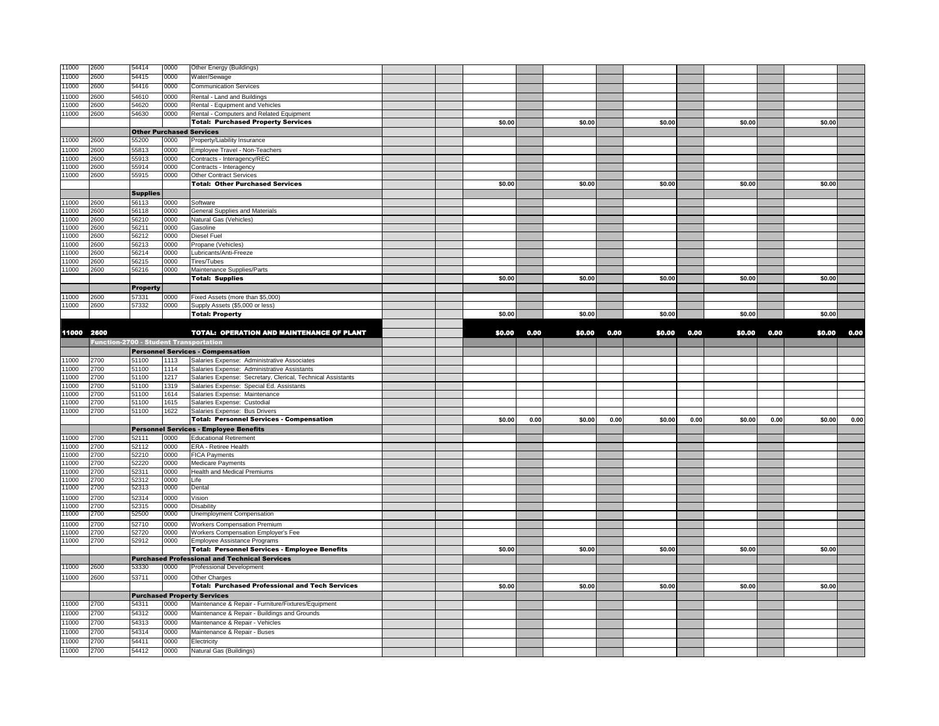| 11000          | 2600                                          | 54414                           | 0000         | Other Energy (Buildings)                                    |        |      |        |      |        |      |        |      |        |      |
|----------------|-----------------------------------------------|---------------------------------|--------------|-------------------------------------------------------------|--------|------|--------|------|--------|------|--------|------|--------|------|
| 11000          | 2600                                          | 54415                           | 0000         | Water/Sewage                                                |        |      |        |      |        |      |        |      |        |      |
| 11000          | 2600                                          | 54416                           | 0000         | <b>Communication Services</b>                               |        |      |        |      |        |      |        |      |        |      |
| 1000           | 2600                                          | 54610                           | 0000         | Rental - Land and Buildings                                 |        |      |        |      |        |      |        |      |        |      |
| 11000          | 2600                                          | 54620                           | 0000         | Rental - Equipment and Vehicles                             |        |      |        |      |        |      |        |      |        |      |
| 11000          | 2600                                          | 54630                           | 0000         | Rental - Computers and Related Equipment                    |        |      |        |      |        |      |        |      |        |      |
|                |                                               |                                 |              | <b>Total: Purchased Property Services</b>                   | \$0.00 |      | \$0.00 |      | \$0.00 |      | \$0.00 |      | \$0.00 |      |
|                |                                               | <b>Other Purchased Services</b> |              |                                                             |        |      |        |      |        |      |        |      |        |      |
| 1000           | 2600                                          | 55200                           | 0000         | Property/Liability Insurance                                |        |      |        |      |        |      |        |      |        |      |
| 1000           | 2600                                          | 55813                           | 0000         | Employee Travel - Non-Teachers                              |        |      |        |      |        |      |        |      |        |      |
| 1000           | 2600                                          | 55913                           | 0000         | Contracts - Interagency/REC                                 |        |      |        |      |        |      |        |      |        |      |
| 11000          | 2600                                          | 55914                           | 0000         | Contracts - Interagency                                     |        |      |        |      |        |      |        |      |        |      |
| 11000          | 2600                                          | 55915                           | 0000         | <b>Other Contract Services</b>                              |        |      |        |      |        |      |        |      |        |      |
|                |                                               |                                 |              | <b>Total: Other Purchased Services</b>                      | \$0.00 |      | \$0.00 |      | \$0.00 |      | \$0.00 |      | \$0.00 |      |
|                |                                               | <b>Supplies</b>                 |              |                                                             |        |      |        |      |        |      |        |      |        |      |
| 11000          | 2600                                          | 56113                           | 0000         | Software                                                    |        |      |        |      |        |      |        |      |        |      |
| 11000          | 2600                                          | 56118                           | 0000         | General Supplies and Materials                              |        |      |        |      |        |      |        |      |        |      |
| 1000           | 2600                                          | 56210                           | 0000         | Natural Gas (Vehicles)                                      |        |      |        |      |        |      |        |      |        |      |
| 1000           | 2600                                          | 56211                           | 0000         | Gasoline                                                    |        |      |        |      |        |      |        |      |        |      |
| 11000          | 2600                                          | 56212                           | 0000         | <b>Diesel Fuel</b>                                          |        |      |        |      |        |      |        |      |        |      |
| 11000          | 2600                                          | 56213                           | 0000         | Propane (Vehicles)                                          |        |      |        |      |        |      |        |      |        |      |
| 1000           | 2600                                          | 56214                           | 0000         | Lubricants/Anti-Freeze                                      |        |      |        |      |        |      |        |      |        |      |
| 1000           | 2600                                          | 56215                           | 0000         | Tires/Tubes                                                 |        |      |        |      |        |      |        |      |        |      |
| 11000          | 2600                                          | 56216                           | 0000         | Maintenance Supplies/Parts                                  |        |      |        |      |        |      |        |      |        |      |
|                |                                               |                                 |              | <b>Total: Supplies</b>                                      | \$0.00 |      | \$0.00 |      | \$0.00 |      | \$0.00 |      | \$0.00 |      |
|                |                                               | <b>Property</b>                 |              |                                                             |        |      |        |      |        |      |        |      |        |      |
| 1000           | 2600                                          | 57331                           | 0000         | Fixed Assets (more than \$5,000)                            |        |      |        |      |        |      |        |      |        |      |
| 11000          | 2600                                          | 57332                           | 0000         | Supply Assets (\$5,000 or less)                             |        |      |        |      |        |      |        |      |        |      |
|                |                                               |                                 |              | <b>Total: Property</b>                                      | \$0.00 |      | \$0.00 |      | \$0.00 |      | \$0.00 |      | \$0.00 |      |
|                |                                               |                                 |              |                                                             |        |      |        |      |        |      |        |      |        |      |
| 11000 2600     |                                               |                                 |              | <b>TOTAL: OPERATION AND MAINTENANCE OF PLANT</b>            | \$0.00 | 0.00 | \$0.00 | 0.00 | \$0.00 | 0.00 | \$0.00 | 0.00 | \$0.00 | 0.00 |
|                | <b>Function-2700 - Student Transportation</b> |                                 |              |                                                             |        |      |        |      |        |      |        |      |        |      |
|                |                                               |                                 |              | <b>Personnel Services - Compensation</b>                    |        |      |        |      |        |      |        |      |        |      |
| 11000          | 2700                                          | 51100                           | 1113         | Salaries Expense: Administrative Associates                 |        |      |        |      |        |      |        |      |        |      |
| 11000          | 2700                                          | 51100                           | 1114         | Salaries Expense: Administrative Assistants                 |        |      |        |      |        |      |        |      |        |      |
|                |                                               |                                 |              |                                                             |        |      |        |      |        |      |        |      |        |      |
| 11000          | 2700                                          | 51100                           | 1217         | Salaries Expense: Secretary, Clerical, Technical Assistants |        |      |        |      |        |      |        |      |        |      |
| 1000           | 2700                                          | 51100                           | 1319         | Salaries Expense: Special Ed. Assistants                    |        |      |        |      |        |      |        |      |        |      |
| 1000           | 2700                                          | 51100                           | 1614         | Salaries Expense: Maintenance                               |        |      |        |      |        |      |        |      |        |      |
| 11000          | 2700                                          | 51100                           | 1615         | Salaries Expense: Custodial                                 |        |      |        |      |        |      |        |      |        |      |
| 11000          | 2700                                          | 51100                           | 1622         | Salaries Expense: Bus Drivers                               |        |      |        |      |        |      |        |      |        |      |
|                |                                               |                                 |              | <b>Total: Personnel Services - Compensation</b>             | \$0.00 | 0.00 | \$0.00 | 0.00 | \$0.00 | 0.00 | \$0.00 | 0.00 | \$0.00 |      |
|                |                                               |                                 |              | <b>Personnel Services - Employee Benefits</b>               |        |      |        |      |        |      |        |      |        | 0.00 |
| 11000          | 2700                                          | 52111                           | 0000         | <b>Educational Retirement</b>                               |        |      |        |      |        |      |        |      |        |      |
| 11000          | 2700                                          | 52112                           | 0000         | ERA - Retiree Health                                        |        |      |        |      |        |      |        |      |        |      |
| 11000          | 2700                                          | 52210                           | 0000         | <b>FICA Payments</b>                                        |        |      |        |      |        |      |        |      |        |      |
| 11000          | 2700                                          | 52220                           | 0000         | Medicare Payments                                           |        |      |        |      |        |      |        |      |        |      |
| 11000          | 2700                                          | 52311                           | 0000         | Health and Medical Premiums                                 |        |      |        |      |        |      |        |      |        |      |
| 11000          | 2700                                          | 52312                           | 0000         | Life                                                        |        |      |        |      |        |      |        |      |        |      |
| 11000          | 2700                                          | 52313                           | 0000         | Dental                                                      |        |      |        |      |        |      |        |      |        |      |
| 11000          | 2700                                          | 52314                           | 0000         | Vision                                                      |        |      |        |      |        |      |        |      |        |      |
| 11000<br>11000 | 2700<br>2700                                  | 52315<br>52500                  | 0000<br>0000 | Disability<br>Unemployment Compensation                     |        |      |        |      |        |      |        |      |        |      |
|                |                                               |                                 |              |                                                             |        |      |        |      |        |      |        |      |        |      |
| 1000           | 2700                                          | 52710                           | 0000         | <b>Workers Compensation Premium</b>                         |        |      |        |      |        |      |        |      |        |      |
| 1000           | 2700                                          | 52720                           | 0000         | Workers Compensation Employer's Fee                         |        |      |        |      |        |      |        |      |        |      |
| 1000           | 2700                                          | 52912                           | 0000         | Employee Assistance Programs                                |        |      |        |      |        |      |        |      |        |      |
|                |                                               |                                 |              | <b>Total: Personnel Services - Employee Benefits</b>        | \$0.00 |      | \$0.00 |      | \$0.00 |      | \$0.00 |      | \$0.00 |      |
|                |                                               |                                 |              | <b>Purchased Professional and Technical Services</b>        |        |      |        |      |        |      |        |      |        |      |
| 11000          | 2600                                          | 53330                           | 0000         | <b>Professional Development</b>                             |        |      |        |      |        |      |        |      |        |      |
| 11000          | 2600                                          | 53711                           | 0000         | Other Charges                                               |        |      |        |      |        |      |        |      |        |      |
|                |                                               |                                 |              | <b>Total: Purchased Professional and Tech Services</b>      | \$0.00 |      | \$0.00 |      | \$0.00 |      | \$0.00 |      | \$0.00 |      |
|                |                                               |                                 |              | <b>Purchased Property Services</b>                          |        |      |        |      |        |      |        |      |        |      |
| 11000          | 2700                                          | 54311                           | 0000         | Maintenance & Repair - Furniture/Fixtures/Equipment         |        |      |        |      |        |      |        |      |        |      |
| 11000          | 2700                                          | 54312                           | 0000         | Maintenance & Repair - Buildings and Grounds                |        |      |        |      |        |      |        |      |        |      |
| 11000          | 2700                                          | 54313                           | 0000         | Maintenance & Repair - Vehicles                             |        |      |        |      |        |      |        |      |        |      |
| 11000          | 2700                                          | 54314                           | 0000         | Maintenance & Repair - Buses                                |        |      |        |      |        |      |        |      |        |      |
| 11000<br>11000 | 2700<br>2700                                  | 54411<br>54412                  | 0000<br>0000 | Electricity<br>Natural Gas (Buildings)                      |        |      |        |      |        |      |        |      |        |      |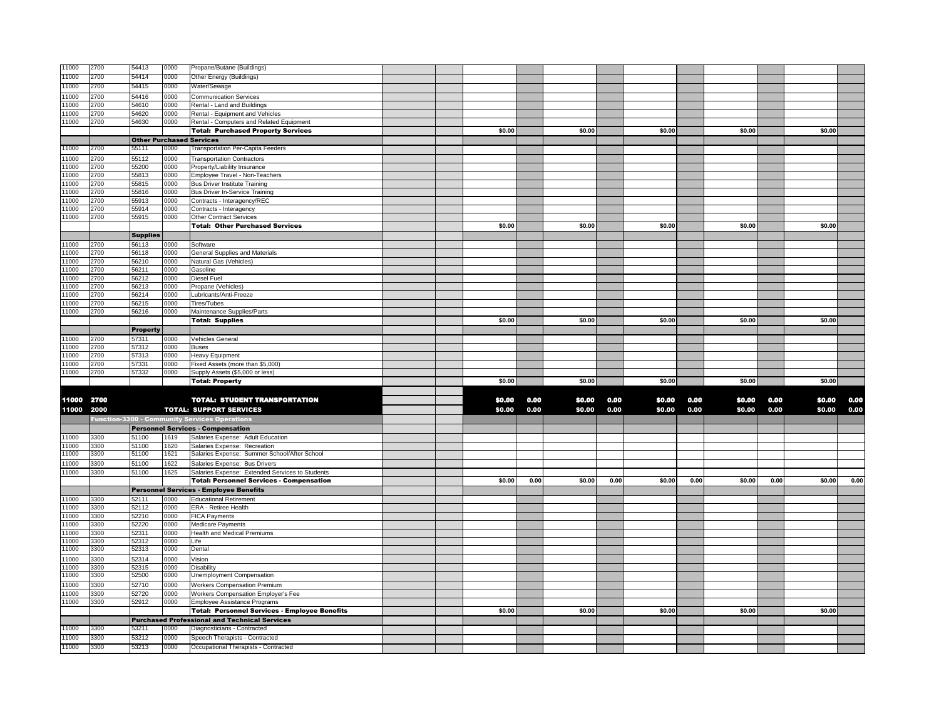| 11000          | 2700         | 54413           | 0000         | Propane/Butane (Buildings)                                                       |        |      |        |      |        |      |        |      |        |      |
|----------------|--------------|-----------------|--------------|----------------------------------------------------------------------------------|--------|------|--------|------|--------|------|--------|------|--------|------|
| 11000          | 2700         | 54414           | 0000         | Other Energy (Buildings)                                                         |        |      |        |      |        |      |        |      |        |      |
| 11000          | 2700         | 54415           | 0000         | Water/Sewage                                                                     |        |      |        |      |        |      |        |      |        |      |
| 11000          | 2700         | 54416           | 0000         | <b>Communication Services</b>                                                    |        |      |        |      |        |      |        |      |        |      |
| 11000          | 2700         | 54610           | 0000         | Rental - Land and Buildings                                                      |        |      |        |      |        |      |        |      |        |      |
| 11000          | 2700         | 54620           | 0000         | Rental - Equipment and Vehicles                                                  |        |      |        |      |        |      |        |      |        |      |
| 11000          | 2700         | 54630           | 0000         | Rental - Computers and Related Equipment                                         |        |      |        |      |        |      |        |      |        |      |
|                |              |                 |              | <b>Total: Purchased Property Services</b>                                        | \$0.00 |      | \$0.00 |      | \$0.00 |      | \$0.00 |      | \$0.00 |      |
|                |              |                 |              | <b>Other Purchased Services</b>                                                  |        |      |        |      |        |      |        |      |        |      |
| 11000          | 2700         | 55111           | 0000         | <b>Transportation Per-Capita Feeders</b>                                         |        |      |        |      |        |      |        |      |        |      |
| 11000          | 2700         | 55112           | 0000         | <b>Transportation Contractors</b>                                                |        |      |        |      |        |      |        |      |        |      |
| 11000          | 2700         | 55200           | 0000         | Property/Liability Insurance                                                     |        |      |        |      |        |      |        |      |        |      |
| 11000          | 2700         | 55813           | 0000         | Employee Travel - Non-Teachers                                                   |        |      |        |      |        |      |        |      |        |      |
| 11000          | 2700         | 55815           | 0000         | <b>Bus Driver Institute Training</b>                                             |        |      |        |      |        |      |        |      |        |      |
| 11000          | 2700         | 55816           | 0000         | <b>Bus Driver In-Service Training</b>                                            |        |      |        |      |        |      |        |      |        |      |
| 11000          | 2700         | 55913           | 0000         | Contracts - Interagency/REC                                                      |        |      |        |      |        |      |        |      |        |      |
| 11000          | 2700         | 55914           | 0000         | Contracts - Interagency                                                          |        |      |        |      |        |      |        |      |        |      |
| 11000          | 2700         | 55915           | 0000         | <b>Other Contract Services</b>                                                   |        |      |        |      |        |      |        |      |        |      |
|                |              |                 |              | <b>Total: Other Purchased Services</b>                                           | \$0.00 |      | \$0.00 |      | \$0.00 |      | \$0.00 |      | \$0.00 |      |
|                |              | <b>Supplies</b> |              |                                                                                  |        |      |        |      |        |      |        |      |        |      |
| 11000          | 2700         | 56113           | 0000         | Software                                                                         |        |      |        |      |        |      |        |      |        |      |
| 11000          | 2700         | 56118           | 0000         | General Supplies and Materials                                                   |        |      |        |      |        |      |        |      |        |      |
| 11000          | 2700         | 56210           | 0000         | Natural Gas (Vehicles)                                                           |        |      |        |      |        |      |        |      |        |      |
| 11000          | 2700         | 56211           | 0000         | Gasoline                                                                         |        |      |        |      |        |      |        |      |        |      |
| 11000          | 2700         | 56212           | 0000         | Diesel Fuel                                                                      |        |      |        |      |        |      |        |      |        |      |
| 11000<br>11000 | 2700<br>2700 | 56213<br>56214  | 0000<br>0000 | Propane (Vehicles)<br>Lubricants/Anti-Freeze                                     |        |      |        |      |        |      |        |      |        |      |
| 11000          | 2700         | 56215           | 0000         | Tires/Tubes                                                                      |        |      |        |      |        |      |        |      |        |      |
| 11000          | 2700         | 56216           | 0000         | Maintenance Supplies/Parts                                                       |        |      |        |      |        |      |        |      |        |      |
|                |              |                 |              | <b>Total: Supplies</b>                                                           | \$0.00 |      | \$0.00 |      | \$0.00 |      | \$0.00 |      | \$0.00 |      |
|                |              | <b>Property</b> |              |                                                                                  |        |      |        |      |        |      |        |      |        |      |
| 1000           | 2700         | 57311           | 0000         | Vehicles General                                                                 |        |      |        |      |        |      |        |      |        |      |
| 1000           | 2700         | 57312           | 0000         | Buses                                                                            |        |      |        |      |        |      |        |      |        |      |
| 11000          | 2700         | 57313           | 0000         | Heavy Equipment                                                                  |        |      |        |      |        |      |        |      |        |      |
|                |              |                 |              |                                                                                  |        |      |        |      |        |      |        |      |        |      |
|                |              |                 |              |                                                                                  |        |      |        |      |        |      |        |      |        |      |
| 11000          | 2700         | 57331           | 0000         | Fixed Assets (more than \$5,000)                                                 |        |      |        |      |        |      |        |      |        |      |
| 11000          | 2700         | 57332           | 0000         | Supply Assets (\$5,000 or less)<br><b>Total: Property</b>                        | \$0.00 |      | \$0.00 |      | \$0.00 |      | \$0.00 |      | \$0.00 |      |
|                |              |                 |              |                                                                                  |        |      |        |      |        |      |        |      |        |      |
| 11000 2700     |              |                 |              | <b>TOTAL: STUDENT TRANSPORTATION</b>                                             | \$0.00 | 0.00 | \$0.00 | 0.00 | \$0.00 | 0.00 | \$0.00 | 0.00 | \$0.00 | 0.00 |
|                |              |                 |              |                                                                                  |        | 0.00 |        |      |        |      |        |      |        |      |
| 11000          | 2000         |                 |              | <b>TOTAL: SUPPORT SERVICES</b>                                                   | \$0.00 |      | \$0.00 | 0.00 | \$0.00 | 0.00 | \$0.00 | 0.00 | \$0.00 |      |
|                |              |                 |              | <b>Function-3300 - Community Services Operations</b>                             |        |      |        |      |        |      |        |      |        | 0.00 |
|                |              |                 |              | <b>Personnel Services - Compensation</b>                                         |        |      |        |      |        |      |        |      |        |      |
| 11000          | 3300<br>3300 | 51100<br>51100  | 1619<br>1620 | Salaries Expense: Adult Education                                                |        |      |        |      |        |      |        |      |        |      |
| 11000<br>11000 | 3300         | 51100           | 1621         | Salaries Expense: Recreation<br>Salaries Expense: Summer School/After School     |        |      |        |      |        |      |        |      |        |      |
| 11000          | 3300         | 51100           | 1622         |                                                                                  |        |      |        |      |        |      |        |      |        |      |
| 11000          | 3300         | 51100           | 1625         | Salaries Expense: Bus Drivers<br>Salaries Expense: Extended Services to Students |        |      |        |      |        |      |        |      |        |      |
|                |              |                 |              | <b>Total: Personnel Services - Compensation</b>                                  | \$0.00 | 0.00 | \$0.00 | 0.00 | \$0.00 | 0.00 | \$0.00 | 0.00 | \$0.00 |      |
|                |              |                 |              | <b>Personnel Services - Employee Benefits</b>                                    |        |      |        |      |        |      |        |      |        |      |
| 11000          | 3300         | 52111           | 0000         | <b>Educational Retirement</b>                                                    |        |      |        |      |        |      |        |      |        |      |
| 11000          | 3300         | 52112           | 0000         | ERA - Retiree Health                                                             |        |      |        |      |        |      |        |      |        | 0.00 |
| 11000          | 3300         | 52210           | 0000         | <b>FICA Payments</b>                                                             |        |      |        |      |        |      |        |      |        |      |
| 11000          | 3300         | 52220           | 0000         | Medicare Payments                                                                |        |      |        |      |        |      |        |      |        |      |
| 11000          | 3300         | 52311           | 0000         | Health and Medical Premiums                                                      |        |      |        |      |        |      |        |      |        |      |
| 11000          | 3300         | 52312           | 0000         | Life                                                                             |        |      |        |      |        |      |        |      |        |      |
| 11000          | 3300         | 52313           | 0000         | Dental                                                                           |        |      |        |      |        |      |        |      |        |      |
| 11000          | 3300         | 52314           | 0000         | Vision                                                                           |        |      |        |      |        |      |        |      |        |      |
| 11000          | 3300         | 52315           | 0000         | <b>Disability</b>                                                                |        |      |        |      |        |      |        |      |        |      |
| 11000          | 3300         | 52500           | 0000         | Unemployment Compensation                                                        |        |      |        |      |        |      |        |      |        |      |
| 1000           | 3300         | 52710           | 0000         | <b>Workers Compensation Premium</b>                                              |        |      |        |      |        |      |        |      |        |      |
| 11000          | 3300         | 52720           | 0000         | Workers Compensation Employer's Fee                                              |        |      |        |      |        |      |        |      |        |      |
| 11000          | 3300         | 52912           | 0000         | Employee Assistance Programs                                                     |        |      |        |      |        |      |        |      |        |      |
|                |              |                 |              | <b>Total: Personnel Services - Employee Benefits</b>                             | \$0.00 |      | \$0.00 |      | \$0.00 |      | \$0.00 |      | \$0.00 |      |
|                |              |                 |              | <b>Purchased Professional and Technical Services</b>                             |        |      |        |      |        |      |        |      |        |      |
| 1000           | 3300         | 53211           | 0000         | Diagnosticians - Contracted                                                      |        |      |        |      |        |      |        |      |        |      |
| 11000<br>11000 | 3300<br>3300 | 53212<br>53213  | 0000<br>0000 | Speech Therapists - Contracted<br>Occupational Therapists - Contracted           |        |      |        |      |        |      |        |      |        |      |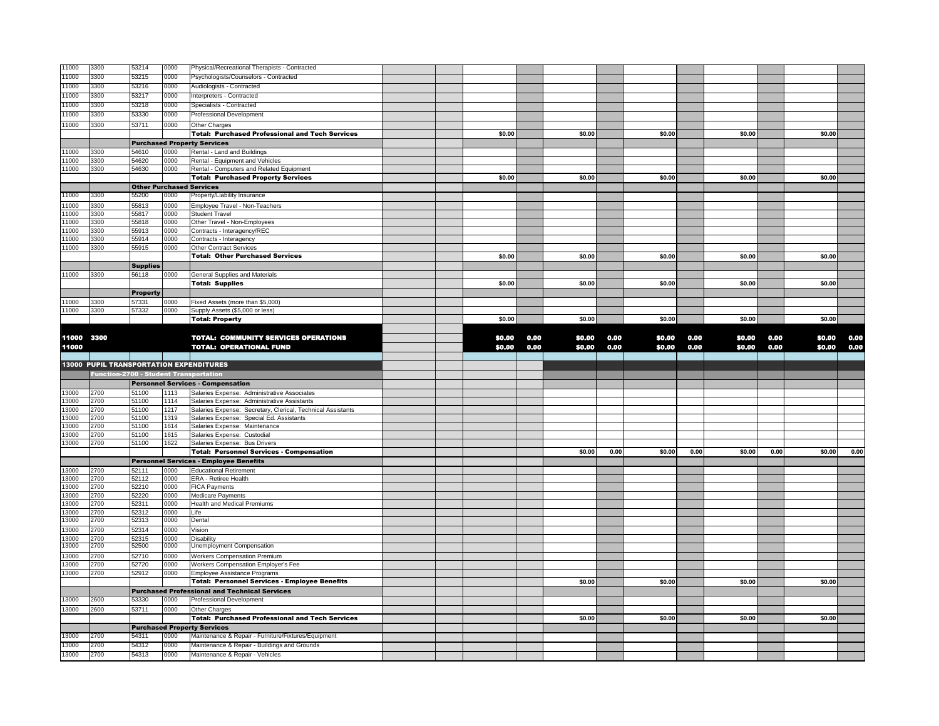| 11000          | 3300                                          | 53214           | 0000         | Physical/Recreational Therapists - Contracted                                   |        |      |        |      |        |      |        |      |        |      |
|----------------|-----------------------------------------------|-----------------|--------------|---------------------------------------------------------------------------------|--------|------|--------|------|--------|------|--------|------|--------|------|
| 11000          | 3300                                          | 53215           | 0000         | Psychologists/Counselors - Contracted                                           |        |      |        |      |        |      |        |      |        |      |
| 11000          | 3300                                          | 53216           | 0000         | Audiologists - Contracted                                                       |        |      |        |      |        |      |        |      |        |      |
| 11000          | 3300                                          | 53217           | 0000         | Interpreters - Contracted                                                       |        |      |        |      |        |      |        |      |        |      |
| 11000          | 3300                                          | 53218           | 0000         | Specialists - Contracted                                                        |        |      |        |      |        |      |        |      |        |      |
| 11000          | 3300                                          | 53330           | 0000         | Professional Development                                                        |        |      |        |      |        |      |        |      |        |      |
| 11000          | 3300                                          | 53711           | 0000         | Other Charges                                                                   |        |      |        |      |        |      |        |      |        |      |
|                |                                               |                 |              | <b>Total: Purchased Professional and Tech Services</b>                          | \$0.00 |      | \$0.00 |      | \$0.00 |      | \$0.00 |      | \$0.00 |      |
|                |                                               |                 |              | <b>Purchased Property Services</b>                                              |        |      |        |      |        |      |        |      |        |      |
| 11000          | 3300                                          | 54610           | 0000         | Rental - Land and Buildings                                                     |        |      |        |      |        |      |        |      |        |      |
| 11000          | 3300                                          | 54620           | 0000         | Rental - Equipment and Vehicles                                                 |        |      |        |      |        |      |        |      |        |      |
| 11000          | 3300                                          | 54630           | 0000         | Rental - Computers and Related Equipment                                        |        |      |        |      |        |      |        |      |        |      |
|                |                                               |                 |              | <b>Total: Purchased Property Services</b>                                       | \$0.00 |      | \$0.00 |      | \$0.00 |      | \$0.00 |      | \$0.00 |      |
|                |                                               |                 |              | <b>Other Purchased Services</b>                                                 |        |      |        |      |        |      |        |      |        |      |
| 11000          | 3300                                          | 55200           | 0000         | Property/Liability Insurance                                                    |        |      |        |      |        |      |        |      |        |      |
| 11000          | 3300                                          | 55813           | 0000         | Employee Travel - Non-Teachers                                                  |        |      |        |      |        |      |        |      |        |      |
| 11000          | 3300                                          | 55817           | 0000         | <b>Student Travel</b>                                                           |        |      |        |      |        |      |        |      |        |      |
| 11000          | 3300                                          | 55818           | 0000         | Other Travel - Non-Employees                                                    |        |      |        |      |        |      |        |      |        |      |
| 11000          | 3300                                          | 55913           | 0000         | Contracts - Interagency/REC                                                     |        |      |        |      |        |      |        |      |        |      |
| 11000          | 3300                                          | 55914           | 0000         | Contracts - Interagency                                                         |        |      |        |      |        |      |        |      |        |      |
| 11000          | 3300                                          | 55915           | 0000         | Other Contract Services                                                         |        |      |        |      |        |      |        |      |        |      |
|                |                                               |                 |              | <b>Total: Other Purchased Services</b>                                          | \$0.00 |      | \$0.00 |      | \$0.00 |      | \$0.00 |      | \$0.00 |      |
|                |                                               | <b>Supplies</b> |              |                                                                                 |        |      |        |      |        |      |        |      |        |      |
| 11000          | 3300                                          | 56118           | 0000         | General Supplies and Materials                                                  |        |      |        |      |        |      |        |      |        |      |
|                |                                               |                 |              | <b>Total: Supplies</b>                                                          | \$0.00 |      | \$0.00 |      | \$0.00 |      | \$0.00 |      | \$0.00 |      |
|                |                                               | <b>Property</b> |              |                                                                                 |        |      |        |      |        |      |        |      |        |      |
| 11000          | 3300                                          | 57331           | 0000         | Fixed Assets (more than \$5,000)                                                |        |      |        |      |        |      |        |      |        |      |
| 11000          | 3300                                          | 57332           | 0000         | Supply Assets (\$5,000 or less)                                                 |        |      |        |      |        |      |        |      |        |      |
|                |                                               |                 |              | <b>Total: Property</b>                                                          | \$0.00 |      | \$0.00 |      | \$0.00 |      | \$0.00 |      | \$0.00 |      |
|                |                                               |                 |              |                                                                                 |        |      |        |      |        |      |        |      |        |      |
| 11000 3300     |                                               |                 |              | TOTAL: COMMUNITY SERVICES OPERATIONS                                            | \$0.00 | 0.00 | \$0.00 | 0.00 | \$0.00 | 0.00 | \$0.00 | 0.00 | \$0.00 | 0.00 |
| 11000          |                                               |                 |              | <b>TOTAL: OPERATIONAL FUND</b>                                                  | \$0.00 | 0.00 | \$0.00 | 0.00 | \$0.00 | 0.00 | \$0.00 | 0.00 | \$0.00 | 0.00 |
|                |                                               |                 |              |                                                                                 |        |      |        |      |        |      |        |      |        |      |
|                |                                               |                 |              |                                                                                 |        |      |        |      |        |      |        |      |        |      |
|                |                                               |                 |              | <b>13000 PUPIL TRANSPORTATION EXPENDITURES</b>                                  |        |      |        |      |        |      |        |      |        |      |
|                | <b>Function-2700 - Student Transportation</b> |                 |              |                                                                                 |        |      |        |      |        |      |        |      |        |      |
|                |                                               |                 |              | <b>Personnel Services - Compensation</b>                                        |        |      |        |      |        |      |        |      |        |      |
| 13000          | 2700                                          | 51100           | 1113         | Salaries Expense: Administrative Associates                                     |        |      |        |      |        |      |        |      |        |      |
| 13000          | 2700                                          | 51100           | 1114         | Salaries Expense: Administrative Assistants                                     |        |      |        |      |        |      |        |      |        |      |
| 13000          | 2700                                          | 51100           | 1217         | Salaries Expense: Secretary, Clerical, Technical Assistants                     |        |      |        |      |        |      |        |      |        |      |
| 13000          | 2700                                          | 51100           | 1319         | Salaries Expense: Special Ed. Assistants                                        |        |      |        |      |        |      |        |      |        |      |
| 13000          | 2700                                          | 51100           | 1614         | Salaries Expense: Maintenance                                                   |        |      |        |      |        |      |        |      |        |      |
| 13000          | 2700<br>2700                                  | 51100           | 1615         | Salaries Expense: Custodial                                                     |        |      |        |      |        |      |        |      |        |      |
| 13000          |                                               | 51100           | 1622         | Salaries Expense: Bus Drivers                                                   |        |      |        |      |        |      |        |      |        |      |
|                |                                               |                 |              | <b>Total: Personnel Services - Compensation</b>                                 |        |      | \$0.00 | 0.00 | \$0.00 | 0.00 | \$0.00 | 0.00 | \$0.00 |      |
| 13000          | 2700                                          | 52111           | 0000         | <b>Personnel Services - Employee Benefits</b><br><b>Educational Retirement</b>  |        |      |        |      |        |      |        |      |        |      |
| 13000          | 2700                                          | 52112           | 0000         | ERA - Retiree Health                                                            |        |      |        |      |        |      |        |      |        |      |
| 13000          | 2700                                          | 52210           | 0000         | <b>FICA Payments</b>                                                            |        |      |        |      |        |      |        |      |        |      |
| 13000          | 2700                                          | 52220           | 0000         | Medicare Payments                                                               |        |      |        |      |        |      |        |      |        |      |
| 13000          | 2700                                          | 52311           | 0000         | Health and Medical Premiums                                                     |        |      |        |      |        |      |        |      |        |      |
| 13000          | 2700                                          | 52312           | 0000         | Life                                                                            |        |      |        |      |        |      |        |      |        |      |
| 13000          | 2700                                          | 52313           | 0000         | Dental                                                                          |        |      |        |      |        |      |        |      |        | 0.00 |
| 13000          | 2700                                          | 52314           | 0000         | /ision                                                                          |        |      |        |      |        |      |        |      |        |      |
| 13000          | 2700                                          | 52315           | 0000         | Disability                                                                      |        |      |        |      |        |      |        |      |        |      |
| 13000          | 2700                                          | 52500           | 0000         | Unemployment Compensation                                                       |        |      |        |      |        |      |        |      |        |      |
| 13000          | 2700                                          | 52710           | 0000         | <b>Workers Compensation Premium</b>                                             |        |      |        |      |        |      |        |      |        |      |
| 13000          | 2700                                          | 52720           | 0000         | Workers Compensation Employer's Fee                                             |        |      |        |      |        |      |        |      |        |      |
| 13000          | 2700                                          | 52912           | 0000         | Employee Assistance Programs                                                    |        |      |        |      |        |      |        |      |        |      |
|                |                                               |                 |              | <b>Total: Personnel Services - Employee Benefits</b>                            |        |      | \$0.00 |      | \$0.00 |      | \$0.00 |      | \$0.00 |      |
|                |                                               |                 |              | <b>Purchased Professional and Technical Services</b>                            |        |      |        |      |        |      |        |      |        |      |
| 13000          | 2600                                          | 53330           | 0000         | Professional Development                                                        |        |      |        |      |        |      |        |      |        |      |
| 13000          | 2600                                          | 53711           | 0000         | Other Charges                                                                   |        |      |        |      |        |      |        |      |        |      |
|                |                                               |                 |              | <b>Total: Purchased Professional and Tech Services</b>                          |        |      | \$0.00 |      | \$0.00 |      | \$0.00 |      | \$0.00 |      |
|                |                                               |                 |              | <b>Purchased Property Services</b>                                              |        |      |        |      |        |      |        |      |        |      |
| 13000          | 2700                                          | 54311           | 0000         | Maintenance & Repair - Furniture/Fixtures/Equipment                             |        |      |        |      |        |      |        |      |        |      |
| 13000<br>13000 | 2700<br>2700                                  | 54312<br>54313  | 0000<br>0000 | Maintenance & Repair - Buildings and Grounds<br>Maintenance & Repair - Vehicles |        |      |        |      |        |      |        |      |        |      |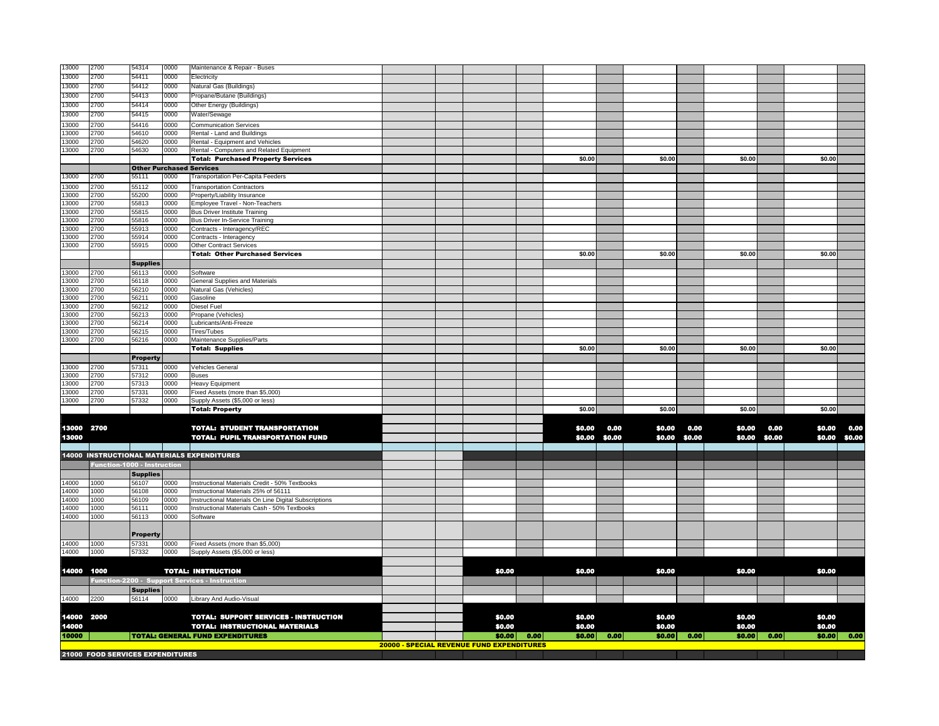| 13000          | 2700                               | 54314             | 0000         | Maintenance & Repair - Buses                             |                                           |        |      |        |        |        |        |        |        |        |         |
|----------------|------------------------------------|-------------------|--------------|----------------------------------------------------------|-------------------------------------------|--------|------|--------|--------|--------|--------|--------|--------|--------|---------|
| 13000          | 2700                               | 54411             | 0000         | Electricity                                              |                                           |        |      |        |        |        |        |        |        |        |         |
| 13000          | 2700                               | 54412             | 0000         | Natural Gas (Buildings)                                  |                                           |        |      |        |        |        |        |        |        |        |         |
| 13000          | 2700                               | 54413             | 0000         | Propane/Butane (Buildings)                               |                                           |        |      |        |        |        |        |        |        |        |         |
| 13000          | 2700                               | 54414             | 0000         | Other Energy (Buildings)                                 |                                           |        |      |        |        |        |        |        |        |        |         |
| 13000          | 2700                               | 54415             | 0000         | Water/Sewage                                             |                                           |        |      |        |        |        |        |        |        |        |         |
| 13000          | 2700                               | 54416             | 0000         | <b>Communication Services</b>                            |                                           |        |      |        |        |        |        |        |        |        |         |
| 13000          | 2700                               | 54610             | 0000         | Rental - Land and Buildings                              |                                           |        |      |        |        |        |        |        |        |        |         |
| 13000          | 2700                               | 54620             | 0000         | Rental - Equipment and Vehicles                          |                                           |        |      |        |        |        |        |        |        |        |         |
| 13000          | 2700                               | 54630             | 0000         | Rental - Computers and Related Equipment                 |                                           |        |      |        |        |        |        |        |        |        |         |
|                |                                    |                   |              | <b>Total: Purchased Property Services</b>                |                                           |        |      | \$0.00 |        | \$0.00 |        | \$0.00 |        | \$0.00 |         |
|                |                                    |                   |              | <b>Other Purchased Services</b>                          |                                           |        |      |        |        |        |        |        |        |        |         |
| 13000          | 2700                               | 55111             | 0000         | Transportation Per-Capita Feeders                        |                                           |        |      |        |        |        |        |        |        |        |         |
| 13000          | 2700                               | 55112             | 0000         | <b>Transportation Contractors</b>                        |                                           |        |      |        |        |        |        |        |        |        |         |
| 13000          | 2700                               | 55200             | 0000         | Property/Liability Insurance                             |                                           |        |      |        |        |        |        |        |        |        |         |
| 13000          | 2700                               | 55813             | 0000         | Employee Travel - Non-Teachers                           |                                           |        |      |        |        |        |        |        |        |        |         |
| 13000          | 2700                               | 55815             | 0000         | <b>Bus Driver Institute Training</b>                     |                                           |        |      |        |        |        |        |        |        |        |         |
| 13000<br>3000  | 2700<br>2700                       | 55816<br>55913    | 0000<br>0000 | <b>Bus Driver In-Service Training</b>                    |                                           |        |      |        |        |        |        |        |        |        |         |
| 3000           | 2700                               | 55914             | 0000         | Contracts - Interagency/REC<br>Contracts - Interagency   |                                           |        |      |        |        |        |        |        |        |        |         |
| 13000          | 2700                               | 55915             | 0000         | <b>Other Contract Services</b>                           |                                           |        |      |        |        |        |        |        |        |        |         |
|                |                                    |                   |              | <b>Total: Other Purchased Services</b>                   |                                           |        |      | \$0.00 |        | \$0.00 |        | \$0.00 |        | \$0.00 |         |
|                |                                    | <b>Supplies</b>   |              |                                                          |                                           |        |      |        |        |        |        |        |        |        |         |
| 13000          | 2700                               | 56113             | 0000         | Software                                                 |                                           |        |      |        |        |        |        |        |        |        |         |
| 13000          | 2700                               | 56118             | 0000         | <b>General Supplies and Materials</b>                    |                                           |        |      |        |        |        |        |        |        |        |         |
| 13000          | 2700                               | 56210             | 0000         | Natural Gas (Vehicles)                                   |                                           |        |      |        |        |        |        |        |        |        |         |
| 13000          | 2700                               | 56211             | 0000         | Gasoline                                                 |                                           |        |      |        |        |        |        |        |        |        |         |
| 13000          | 2700                               | 56212             | 0000         | Diesel Fuel                                              |                                           |        |      |        |        |        |        |        |        |        |         |
| 13000          | 2700                               | 56213             | 0000         | Propane (Vehicles)                                       |                                           |        |      |        |        |        |        |        |        |        |         |
| 13000          | 2700                               | 56214             | 0000         | Lubricants/Anti-Freeze                                   |                                           |        |      |        |        |        |        |        |        |        |         |
| 13000<br>13000 | 2700<br>2700                       | 56215<br>56216    | 0000<br>0000 | Tires/Tubes                                              |                                           |        |      |        |        |        |        |        |        |        |         |
|                |                                    |                   |              | Maintenance Supplies/Parts<br><b>Total: Supplies</b>     |                                           |        |      | \$0.00 |        | \$0.00 |        | \$0.00 |        | \$0.00 |         |
|                |                                    | <b>Property</b>   |              |                                                          |                                           |        |      |        |        |        |        |        |        |        |         |
| 13000          | 2700                               | 57311             | 0000         | Vehicles General                                         |                                           |        |      |        |        |        |        |        |        |        |         |
| 13000          | 2700                               | 57312             | 0000         | <b>Buses</b>                                             |                                           |        |      |        |        |        |        |        |        |        |         |
| 13000          | 2700                               | 57313             | 0000         | <b>Heavy Equipment</b>                                   |                                           |        |      |        |        |        |        |        |        |        |         |
| 13000          | 2700                               | 57331             | 0000         | Fixed Assets (more than \$5,000)                         |                                           |        |      |        |        |        |        |        |        |        |         |
| 13000          | 2700                               | 57332             | 0000         | Supply Assets (\$5,000 or less)                          |                                           |        |      |        |        |        |        |        |        |        |         |
|                |                                    |                   |              | <b>Total: Property</b>                                   |                                           |        |      | \$0.00 |        | \$0.00 |        | \$0.00 |        | \$0.00 |         |
|                |                                    |                   |              |                                                          |                                           |        |      |        |        |        |        |        |        |        |         |
| 13000          | 2700                               |                   |              | <b>TOTAL: STUDENT TRANSPORTATION</b>                     |                                           |        |      | \$0.00 | 0.00   | \$0.00 | 0.00   | \$0.00 | 0.00   | \$0.00 | 0.00    |
| 13000          |                                    |                   |              | <b>TOTAL: PUPIL TRANSPORTATION FUND</b>                  |                                           |        |      | \$0.00 | \$0,00 | \$0.00 | \$0,00 | \$0.00 | \$0.00 | \$0.00 | \$0,00  |
|                |                                    |                   |              |                                                          |                                           |        |      |        |        |        |        |        |        |        |         |
|                |                                    |                   |              | <b>14000 INSTRUCTIONAL MATERIALS EXPENDITURES</b>        |                                           |        |      |        |        |        |        |        |        |        |         |
|                | <b>Function-1000 - Instruction</b> |                   |              |                                                          |                                           |        |      |        |        |        |        |        |        |        |         |
|                |                                    | <b>Supplies</b>   |              |                                                          |                                           |        |      |        |        |        |        |        |        |        |         |
| 14000          | 1000                               | 56107             | 0000         | Instructional Materials Credit - 50% Textbooks           |                                           |        |      |        |        |        |        |        |        |        |         |
| 14000          | 1000                               | 56108             | 0000         | Instructional Materials 25% of 56111                     |                                           |        |      |        |        |        |        |        |        |        |         |
| 14000          | 1000                               | 56109             | 0000         | Instructional Materials On Line Digital Subscriptions    |                                           |        |      |        |        |        |        |        |        |        |         |
| 14000<br>14000 | 1000<br>1000                       | 56111<br>56113    | 0000<br>0000 | Instructional Materials Cash - 50% Textbooks<br>Software |                                           |        |      |        |        |        |        |        |        |        |         |
|                |                                    |                   |              |                                                          |                                           |        |      |        |        |        |        |        |        |        |         |
|                |                                    |                   |              |                                                          |                                           |        |      |        |        |        |        |        |        |        |         |
| 14000          | 1000                               | Property<br>57331 | 0000         | Fixed Assets (more than \$5,000)                         |                                           |        |      |        |        |        |        |        |        |        |         |
| 14000          | 1000                               | 57332             | 0000         | Supply Assets (\$5,000 or less)                          |                                           |        |      |        |        |        |        |        |        |        |         |
|                |                                    |                   |              |                                                          |                                           |        |      |        |        |        |        |        |        |        |         |
| 14000          | 1000                               |                   |              | <b>TOTAL: INSTRUCTION</b>                                |                                           | \$0.00 |      | \$0.00 |        | \$0.00 |        | \$0.00 |        | \$0.00 |         |
|                |                                    |                   |              | Function-2200 - Support Services - Instruction           |                                           |        |      |        |        |        |        |        |        |        |         |
|                |                                    | <b>Supplies</b>   |              |                                                          |                                           |        |      |        |        |        |        |        |        |        |         |
| 14000          | 2200                               | 56114             | 0000         | Library And Audio-Visual                                 |                                           |        |      |        |        |        |        |        |        |        |         |
|                |                                    |                   |              |                                                          |                                           |        |      |        |        |        |        |        |        |        |         |
| 14000          | 2000                               |                   |              | <b>TOTAL: SUPPORT SERVICES - INSTRUCTION</b>             |                                           | \$0.00 |      | \$0.00 |        | \$0.00 |        | \$0.00 |        | \$0.00 |         |
| 14000          |                                    |                   |              | <b>TOTAL: INSTRUCTIONAL MATERIALS</b>                    |                                           | \$0.00 |      | \$0,00 |        | \$0.00 |        | \$0.00 |        | \$0.00 |         |
| 10000          |                                    |                   |              | <b>TOTAL: GENERAL FUND EXPENDITURES</b>                  |                                           | \$0.00 | 0.00 | \$0.00 | 0.00   | \$0.00 | 0.00   | \$0.00 | 0.00   | \$0.00 | $-0.00$ |
|                |                                    |                   |              |                                                          | 20000 - SPECIAL REVENUE FUND EXPENDITURES |        |      |        |        |        |        |        |        |        |         |
|                | 21000 FOOD SERVICES EXPENDITURES   |                   |              |                                                          |                                           |        |      |        |        |        |        |        |        |        |         |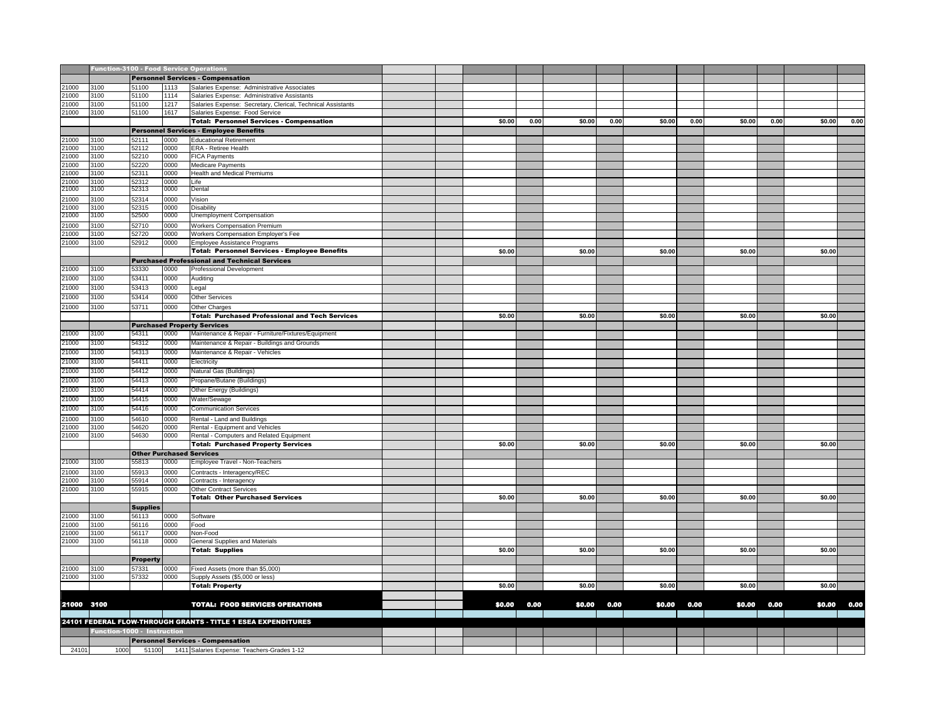|               | <b>Function-3100 - Food Service Operations</b> |                 |              |                                                                     |  |        |      |        |      |        |      |        |      |        |      |
|---------------|------------------------------------------------|-----------------|--------------|---------------------------------------------------------------------|--|--------|------|--------|------|--------|------|--------|------|--------|------|
|               |                                                |                 |              | <b>Personnel Services - Compensation</b>                            |  |        |      |        |      |        |      |        |      |        |      |
| 21000         | 3100                                           | 51100           | 1113         | Salaries Expense: Administrative Associates                         |  |        |      |        |      |        |      |        |      |        |      |
| 1000          | 3100                                           | 51100           | 1114         | Salaries Expense: Administrative Assistants                         |  |        |      |        |      |        |      |        |      |        |      |
| 1000          | 3100                                           | 51100           | 1217         | Salaries Expense: Secretary, Clerical, Technical Assistants         |  |        |      |        |      |        |      |        |      |        |      |
| 21000         | 3100                                           | 51100           | 1617         | Salaries Expense: Food Service                                      |  |        |      |        |      |        |      |        |      |        |      |
|               |                                                |                 |              | <b>Total: Personnel Services - Compensation</b>                     |  | \$0.00 | 0.00 | \$0.00 | 0.00 | \$0.00 | 0.00 | \$0.00 | 0.00 | \$0.00 | 0.00 |
|               |                                                |                 |              | <b>Personnel Services - Employee Benefits</b>                       |  |        |      |        |      |        |      |        |      |        |      |
| 1000          | 3100                                           | 52111           | 0000         | <b>Educational Retirement</b>                                       |  |        |      |        |      |        |      |        |      |        |      |
| 1000<br>21000 | 3100<br>3100                                   | 52112<br>52210  | 0000<br>0000 | ERA - Retiree Health<br><b>FICA Payments</b>                        |  |        |      |        |      |        |      |        |      |        |      |
| 21000         | 3100                                           | 52220           | 0000         | <b>Medicare Payments</b>                                            |  |        |      |        |      |        |      |        |      |        |      |
| 1000          | 3100                                           | 52311           | 0000         | Health and Medical Premiums                                         |  |        |      |        |      |        |      |        |      |        |      |
| 21000         | 3100                                           | 52312           | 0000         | Life                                                                |  |        |      |        |      |        |      |        |      |        |      |
| 21000         | 3100                                           | 52313           | 0000         | Dental                                                              |  |        |      |        |      |        |      |        |      |        |      |
| 21000         | 3100                                           | 52314           | 0000         | Vision                                                              |  |        |      |        |      |        |      |        |      |        |      |
| 21000         | 3100                                           | 52315           | 0000         | Disability                                                          |  |        |      |        |      |        |      |        |      |        |      |
| 21000         | 3100                                           | 52500           | 0000         | Unemployment Compensation                                           |  |        |      |        |      |        |      |        |      |        |      |
| 1000<br>21000 | 3100<br>3100                                   | 52710<br>52720  | 0000<br>0000 | <b>Workers Compensation Premium</b>                                 |  |        |      |        |      |        |      |        |      |        |      |
| 1000          | 3100                                           | 52912           | 0000         | Workers Compensation Employer's Fee<br>Employee Assistance Programs |  |        |      |        |      |        |      |        |      |        |      |
|               |                                                |                 |              | <b>Total: Personnel Services - Employee Benefits</b>                |  | \$0.00 |      | \$0.00 |      | \$0.00 |      | \$0.00 |      | \$0.00 |      |
|               |                                                |                 |              | <b>Purchased Professional and Technical Services</b>                |  |        |      |        |      |        |      |        |      |        |      |
| 21000         | 3100                                           | 53330           | 0000         | Professional Development                                            |  |        |      |        |      |        |      |        |      |        |      |
| 21000         | 3100                                           | 53411           | 0000         | Auditing                                                            |  |        |      |        |      |        |      |        |      |        |      |
| 21000         | 3100                                           | 53413           | 0000         | Legal                                                               |  |        |      |        |      |        |      |        |      |        |      |
| 21000         | 3100                                           | 53414           | 0000         | <b>Other Services</b>                                               |  |        |      |        |      |        |      |        |      |        |      |
| 21000         | 3100                                           | 53711           | 0000         | Other Charges                                                       |  |        |      |        |      |        |      |        |      |        |      |
|               |                                                |                 |              | <b>Total: Purchased Professional and Tech Services</b>              |  | \$0.00 |      | \$0.00 |      | \$0.00 |      | \$0.00 |      | \$0.00 |      |
|               |                                                |                 |              | <b>Purchased Property Services</b>                                  |  |        |      |        |      |        |      |        |      |        |      |
| 21000         | 3100                                           | 54311           | 0000         | Maintenance & Repair - Furniture/Fixtures/Equipment                 |  |        |      |        |      |        |      |        |      |        |      |
| 21000         | 3100                                           | 54312           | 0000         | Maintenance & Repair - Buildings and Grounds                        |  |        |      |        |      |        |      |        |      |        |      |
| 21000         | 3100                                           | 54313           | 0000         | Maintenance & Repair - Vehicles                                     |  |        |      |        |      |        |      |        |      |        |      |
| 21000         | 3100                                           | 54411           | 0000         | Electricity                                                         |  |        |      |        |      |        |      |        |      |        |      |
| 21000         | 3100                                           | 54412           | 0000         | Natural Gas (Buildings)                                             |  |        |      |        |      |        |      |        |      |        |      |
| 21000         | 3100                                           | 54413           | 0000         | Propane/Butane (Buildings)                                          |  |        |      |        |      |        |      |        |      |        |      |
| 21000         | 3100                                           | 54414           | 0000         | Other Energy (Buildings)                                            |  |        |      |        |      |        |      |        |      |        |      |
| 21000         | 3100                                           | 54415           | 0000         | Water/Sewage                                                        |  |        |      |        |      |        |      |        |      |        |      |
| 21000         | 3100                                           | 54416           | 0000         | <b>Communication Services</b>                                       |  |        |      |        |      |        |      |        |      |        |      |
| 1000          | 3100                                           | 54610           | 0000         | Rental - Land and Buildings                                         |  |        |      |        |      |        |      |        |      |        |      |
| 1000          | 3100                                           | 54620           | 0000         | Rental - Equipment and Vehicles                                     |  |        |      |        |      |        |      |        |      |        |      |
| 21000         | 3100                                           | 54630           | 0000         | Rental - Computers and Related Equipment                            |  |        |      |        |      |        |      |        |      |        |      |
|               |                                                |                 |              | <b>Total: Purchased Property Services</b>                           |  | \$0.00 |      | \$0.00 |      | \$0.00 |      | \$0.00 |      | \$0.00 |      |
|               |                                                |                 |              | <b>Other Purchased Services</b>                                     |  |        |      |        |      |        |      |        |      |        |      |
| 21000         | 3100                                           | 55813           | 0000         | Employee Travel - Non-Teachers                                      |  |        |      |        |      |        |      |        |      |        |      |
| 1000          | 3100                                           | 55913           | 0000         | Contracts - Interagency/REC                                         |  |        |      |        |      |        |      |        |      |        |      |
| 1000<br>21000 | 3100<br>3100                                   | 55914<br>55915  | 0000<br>0000 | Contracts - Interagency<br><b>Other Contract Services</b>           |  |        |      |        |      |        |      |        |      |        |      |
|               |                                                |                 |              | <b>Total: Other Purchased Services</b>                              |  | \$0.00 |      | \$0.00 |      | \$0.00 |      | \$0.00 |      | \$0.00 |      |
|               |                                                | <b>Supplies</b> |              |                                                                     |  |        |      |        |      |        |      |        |      |        |      |
| 21000         | 3100                                           | 56113           | 0000         | Software                                                            |  |        |      |        |      |        |      |        |      |        |      |
| 1000          | 3100                                           | 56116           | 0000         | Food                                                                |  |        |      |        |      |        |      |        |      |        |      |
| 21000         | 3100                                           | 56117           | 0000         | Non-Food                                                            |  |        |      |        |      |        |      |        |      |        |      |
| 21000         | 3100                                           | 56118           | 0000         | General Supplies and Materials                                      |  |        |      |        |      |        |      |        |      |        |      |
|               |                                                |                 |              | <b>Total: Supplies</b>                                              |  | \$0.00 |      | \$0.00 |      | \$0.00 |      | \$0.00 |      | \$0.00 |      |
|               |                                                | <b>Property</b> |              |                                                                     |  |        |      |        |      |        |      |        |      |        |      |
| 21000         | 3100                                           | 57331           | 0000         | Fixed Assets (more than \$5,000)                                    |  |        |      |        |      |        |      |        |      |        |      |
| 21000         | 3100                                           | 57332           | 0000         | Supply Assets (\$5,000 or less)                                     |  |        |      |        |      |        |      |        |      | \$0.00 |      |
|               |                                                |                 |              | <b>Total: Property</b>                                              |  | \$0.00 |      | \$0.00 |      | \$0.00 |      | \$0.00 |      |        |      |
| 21000 3100    |                                                |                 |              | <b>TOTAL: FOOD SERVICES OPERATIONS</b>                              |  | \$0.00 | 0.00 | \$0.00 | 0.00 | \$0.00 | 0.00 | \$0.00 | 0.00 | \$0.00 | 0.00 |
|               |                                                |                 |              |                                                                     |  |        |      |        |      |        |      |        |      |        |      |
|               |                                                |                 |              | 24101 FEDERAL FLOW-THROUGH GRANTS - TITLE 1 ESEA EXPENDITURES       |  |        |      |        |      |        |      |        |      |        |      |
|               | Function-1000 - Instruction                    |                 |              |                                                                     |  |        |      |        |      |        |      |        |      |        |      |
|               |                                                |                 |              | <b>Personnel Services - Compensation</b>                            |  |        |      |        |      |        |      |        |      |        |      |
| 24101         | 1000                                           |                 |              | 51100 1411 Salaries Expense: Teachers-Grades 1-12                   |  |        |      |        |      |        |      |        |      |        |      |
|               |                                                |                 |              |                                                                     |  |        |      |        |      |        |      |        |      |        |      |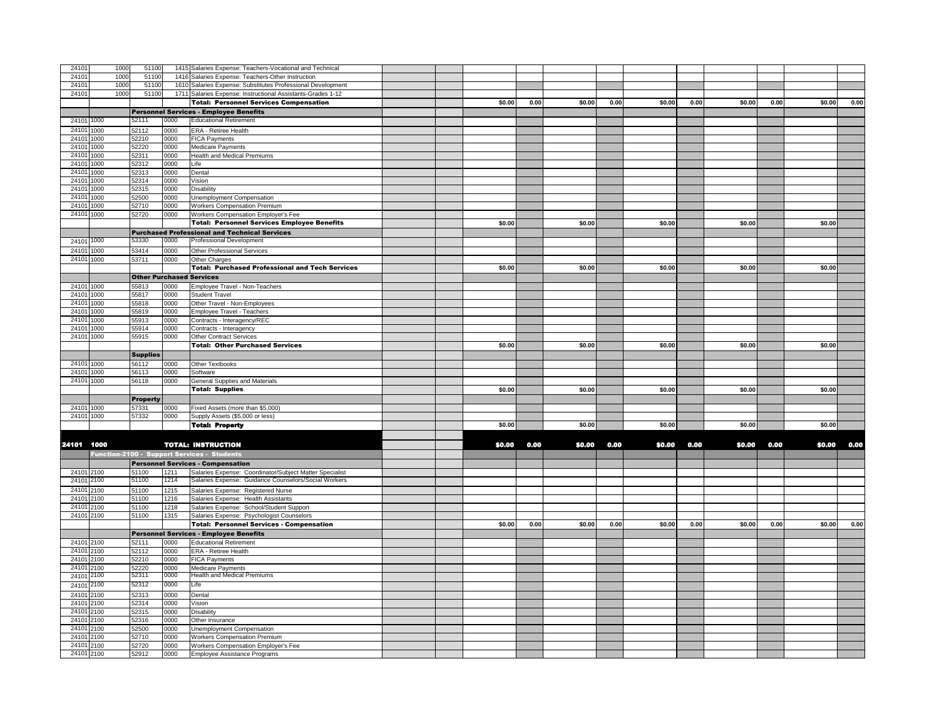| 2410       | 1000         | 51100           |      | 1415 Salaries Expense: Teachers-Vocational and Technical |  |        |      |        |      |        |      |        |      |        |      |
|------------|--------------|-----------------|------|----------------------------------------------------------|--|--------|------|--------|------|--------|------|--------|------|--------|------|
| 2410       | 1000         | 51100           | 1416 | Salaries Expense: Teachers-Other Instruction             |  |        |      |        |      |        |      |        |      |        |      |
| 2410       | 1000         | 51100           | 1610 | Salaries Expense: Substitutes Professional Development   |  |        |      |        |      |        |      |        |      |        |      |
| 24101      | 1000         | 51100           | 1711 |                                                          |  |        |      |        |      |        |      |        |      |        |      |
|            |              |                 |      | Salaries Expense: Instructional Assistants-Grades 1-12   |  |        |      |        |      |        |      |        |      |        |      |
|            |              |                 |      | <b>Total: Personnel Services Compensation</b>            |  | \$0.00 | 0.00 | \$0.00 | 0.00 | \$0.00 | 0.00 | \$0.00 | 0.00 | \$0.00 | 0.00 |
|            |              |                 |      | <b>Personnel Services - Employee Benefits</b>            |  |        |      |        |      |        |      |        |      |        |      |
| 24101      | 1000         | 52111           | 0000 | <b>Educational Retirement</b>                            |  |        |      |        |      |        |      |        |      |        |      |
| 24101 1000 |              | 52112           | 0000 | ERA - Retiree Health                                     |  |        |      |        |      |        |      |        |      |        |      |
| 24101      | 1000         | 52210           | 0000 | <b>FICA Payments</b>                                     |  |        |      |        |      |        |      |        |      |        |      |
| 2410       | 1000         | 52220           | 0000 | Medicare Payments                                        |  |        |      |        |      |        |      |        |      |        |      |
| 2410       | 1000         | 52311           | 0000 | Health and Medical Premiums                              |  |        |      |        |      |        |      |        |      |        |      |
| 2410       | 1000         | 52312           | 0000 | Life                                                     |  |        |      |        |      |        |      |        |      |        |      |
| 2410       | 1000         | 52313           | 0000 | Dental                                                   |  |        |      |        |      |        |      |        |      |        |      |
| 2410       |              | 52314           | 0000 |                                                          |  |        |      |        |      |        |      |        |      |        |      |
| 2410       | 1000<br>1000 |                 | 0000 | /ision<br>Disability                                     |  |        |      |        |      |        |      |        |      |        |      |
| 2410       |              | 52315           |      |                                                          |  |        |      |        |      |        |      |        |      |        |      |
|            | 1000         | 52500           | 0000 | Jnemployment Compensation                                |  |        |      |        |      |        |      |        |      |        |      |
| 24101      | 1000         | 52710           | 0000 | <b>Workers Compensation Premium</b>                      |  |        |      |        |      |        |      |        |      |        |      |
| 24101      | 1000         | 52720           | 0000 | Workers Compensation Employer's Fee                      |  |        |      |        |      |        |      |        |      |        |      |
|            |              |                 |      | <b>Total: Personnel Services Employee Benefits</b>       |  | \$0.00 |      | \$0.00 |      | \$0.00 |      | \$0.00 |      | \$0.00 |      |
|            |              |                 |      | <b>Purchased Professional and Technical Services</b>     |  |        |      |        |      |        |      |        |      |        |      |
|            | 24101 1000   | 53330           | 0000 | Professional Development                                 |  |        |      |        |      |        |      |        |      |        |      |
| 2410       | 1000         | 53414           | 0000 | Other Professional Services                              |  |        |      |        |      |        |      |        |      |        |      |
| 24101      | 1000         | 53711           | 0000 | Other Charges                                            |  |        |      |        |      |        |      |        |      |        |      |
|            |              |                 |      | <b>Total: Purchased Professional and Tech Services</b>   |  | \$0.00 |      | \$0.00 |      | \$0.00 |      | \$0.00 |      | \$0.00 |      |
|            |              |                 |      |                                                          |  |        |      |        |      |        |      |        |      |        |      |
|            |              |                 |      | <b>Other Purchased Services</b>                          |  |        |      |        |      |        |      |        |      |        |      |
| 24101      | 1000         | 55813           | 0000 | Employee Travel - Non-Teachers                           |  |        |      |        |      |        |      |        |      |        |      |
| 2410       | 1000         | 55817           | 0000 | Student Travel                                           |  |        |      |        |      |        |      |        |      |        |      |
| 24101      | 1000         | 55818           | 0000 | Other Travel - Non-Employees                             |  |        |      |        |      |        |      |        |      |        |      |
| 24101      | 1000         | 55819           | 0000 | Employee Travel - Teachers                               |  |        |      |        |      |        |      |        |      |        |      |
| 2410       | 1000         | 55913           | 0000 | Contracts - Interagency/REC                              |  |        |      |        |      |        |      |        |      |        |      |
| 2410       | 1000         | 55914           | 0000 | Contracts - Interagency                                  |  |        |      |        |      |        |      |        |      |        |      |
|            | 24101 1000   | 55915           | 0000 | Other Contract Services                                  |  |        |      |        |      |        |      |        |      |        |      |
|            |              |                 |      | <b>Total: Other Purchased Services</b>                   |  | \$0.00 |      | \$0.00 |      | \$0.00 |      | \$0.00 |      | \$0.00 |      |
|            |              | <b>Supplies</b> |      |                                                          |  |        |      |        |      |        |      |        |      |        |      |
| 2410       | 1000         | 56112           | 0000 | Other Textbooks                                          |  |        |      |        |      |        |      |        |      |        |      |
| 2410       | 1000         | 56113           | 0000 | Software                                                 |  |        |      |        |      |        |      |        |      |        |      |
| 24101 1000 |              | 56118           | 0000 | General Supplies and Materials                           |  |        |      |        |      |        |      |        |      |        |      |
|            |              |                 |      | <b>Total: Supplies</b>                                   |  | \$0.00 |      | \$0.00 |      | \$0.00 |      | \$0.00 |      | \$0.00 |      |
|            |              |                 |      |                                                          |  |        |      |        |      |        |      |        |      |        |      |
|            |              | <b>Property</b> |      |                                                          |  |        |      |        |      |        |      |        |      |        |      |
|            | 24101 1000   | 57331           | 0000 | Fixed Assets (more than \$5,000)                         |  |        |      |        |      |        |      |        |      |        |      |
|            | 24101 1000   | 57332           | 0000 | Supply Assets (\$5,000 or less)                          |  |        |      |        |      |        |      |        |      |        |      |
|            |              |                 |      | <b>Total: Property</b>                                   |  | \$0.00 |      | \$0.00 |      | \$0.00 |      | \$0.00 |      | \$0.00 |      |
|            |              |                 |      |                                                          |  |        |      |        |      |        |      |        |      |        |      |
| 24101 1000 |              |                 |      | <b>TOTAL: INSTRUCTION</b>                                |  | \$0.00 | 0.00 | \$0.00 | 0.00 | \$0,00 | 0.00 | \$0.00 | 0.00 | \$0,00 | 0.00 |
|            |              |                 |      | Function-2100 - Support Services - Students              |  |        |      |        |      |        |      |        |      |        |      |
|            |              |                 |      | <b>Personnel Services - Compensation</b>                 |  |        |      |        |      |        |      |        |      |        |      |
|            |              |                 |      |                                                          |  |        |      |        |      |        |      |        |      |        |      |
| 24101 2100 |              | 51100           | 1211 | Salaries Expense: Coordinator/Subject Matter Specialist  |  |        |      |        |      |        |      |        |      |        |      |
| 24101      | 2100         | 51100           | 1214 | Salaries Expense: Guidance Counselors/Social Workers     |  |        |      |        |      |        |      |        |      |        |      |
| 24101      | 2100         | 51100           | 1215 | Salaries Expense: Registered Nurse                       |  |        |      |        |      |        |      |        |      |        |      |
| 2410       | 2100         | 51100           | 1216 | Salaries Expense: Health Assistants                      |  |        |      |        |      |        |      |        |      |        |      |
| 24101      | 2100         | 51100           | 1218 | Salaries Expense: School/Student Support                 |  |        |      |        |      |        |      |        |      |        |      |
| 24101      | 2100         | 51100           | 1315 | Salaries Expense: Psychologist Counselors                |  |        |      |        |      |        |      |        |      |        |      |
|            |              |                 |      | <b>Total: Personnel Services - Compensation</b>          |  | \$0.00 | 0.00 | \$0.00 | 0.00 | \$0.00 | 0.00 | \$0.00 | 0.00 | \$0.00 | 0.00 |
|            |              |                 |      | <b>Personnel Services - Employee Benefits</b>            |  |        |      |        |      |        |      |        |      |        |      |
| 24101      | 2100         | 52111           | 0000 | <b>Educational Retirement</b>                            |  |        |      |        |      |        |      |        |      |        |      |
| 24101      | 2100         | 52112           | 0000 | ERA - Retiree Health                                     |  |        |      |        |      |        |      |        |      |        |      |
| 24101      | 2100         | 52210           | 0000 | FICA Payments                                            |  |        |      |        |      |        |      |        |      |        |      |
| 24101 2100 |              | 52220           | 0000 | Medicare Payments                                        |  |        |      |        |      |        |      |        |      |        |      |
| 24101      | 2100         | 52311           | 0000 | <b>Health and Medical Premiums</b>                       |  |        |      |        |      |        |      |        |      |        |      |
| 24101      | 2100         | 52312           | 0000 | Life                                                     |  |        |      |        |      |        |      |        |      |        |      |
|            |              |                 |      |                                                          |  |        |      |        |      |        |      |        |      |        |      |
| 2410       | 2100         | 52313           | 0000 | Dental                                                   |  |        |      |        |      |        |      |        |      |        |      |
| 24101      | 2100         | 52314           | 0000 | /ision                                                   |  |        |      |        |      |        |      |        |      |        |      |
| 24101      | 2100         | 52315           | 0000 | Disability                                               |  |        |      |        |      |        |      |        |      |        |      |
| 2410       | 2100         | 52316           | 0000 | Other Insurance                                          |  |        |      |        |      |        |      |        |      |        |      |
| 2410       | 2100         | 52500           | 0000 | Unemployment Compensation                                |  |        |      |        |      |        |      |        |      |        |      |
| 2410       | 2100         | 52710           | 0000 | <b>Workers Compensation Premium</b>                      |  |        |      |        |      |        |      |        |      |        |      |
| 24101      | 2100         | 52720           | 0000 | Workers Compensation Employer's Fee                      |  |        |      |        |      |        |      |        |      |        |      |
| 24101      | 2100         | 52912           | 0000 | Employee Assistance Programs                             |  |        |      |        |      |        |      |        |      |        |      |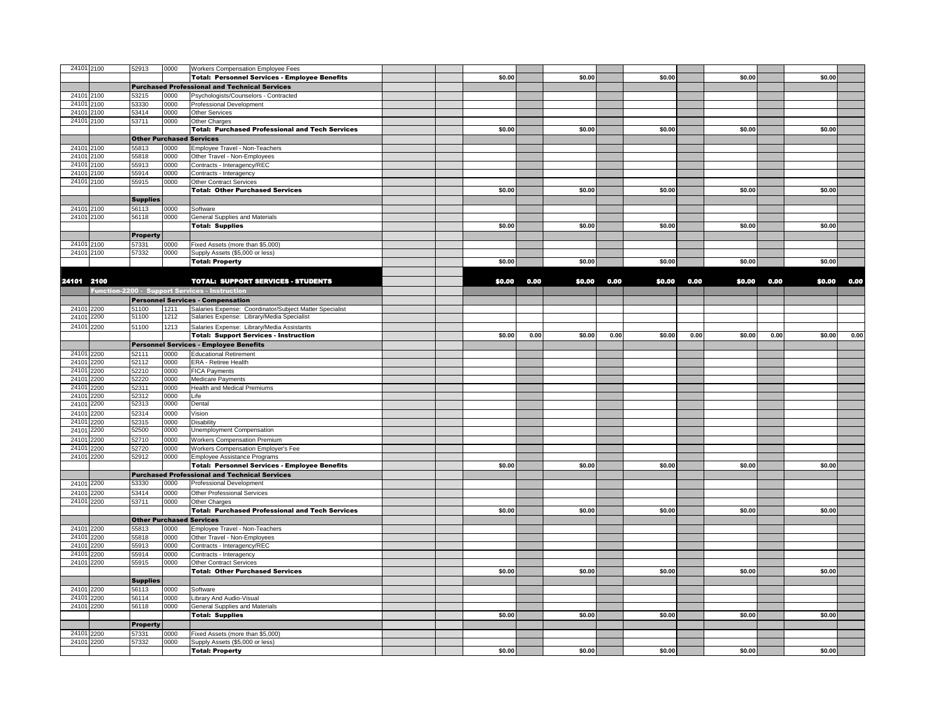| 24101 2100 |      | 52913                           | 0000 | Workers Compensation Employee Fees                      |        |      |        |      |        |      |        |      |        |      |
|------------|------|---------------------------------|------|---------------------------------------------------------|--------|------|--------|------|--------|------|--------|------|--------|------|
|            |      |                                 |      | <b>Total: Personnel Services - Employee Benefits</b>    | \$0.00 |      | \$0.00 |      | \$0.00 |      | \$0.00 |      | \$0.00 |      |
|            |      |                                 |      | <b>Purchased Professional and Technical Services</b>    |        |      |        |      |        |      |        |      |        |      |
|            |      |                                 |      |                                                         |        |      |        |      |        |      |        |      |        |      |
| 24101 2100 |      | 53215                           | 0000 | Psychologists/Counselors - Contracted                   |        |      |        |      |        |      |        |      |        |      |
| 24101      | 2100 | 53330                           | 0000 | Professional Development                                |        |      |        |      |        |      |        |      |        |      |
| 24101      | 2100 | 53414                           | 0000 | <b>Other Services</b>                                   |        |      |        |      |        |      |        |      |        |      |
| 24101      | 2100 | 53711                           | 0000 | Other Charges                                           |        |      |        |      |        |      |        |      |        |      |
|            |      |                                 |      | <b>Total: Purchased Professional and Tech Services</b>  | \$0.00 |      | \$0.00 |      | \$0.00 |      | \$0.00 |      | \$0.00 |      |
|            |      | <b>Other Purchased Services</b> |      |                                                         |        |      |        |      |        |      |        |      |        |      |
| 24101      | 2100 | 55813                           | 0000 | Employee Travel - Non-Teachers                          |        |      |        |      |        |      |        |      |        |      |
| 24101      | 2100 | 55818                           | 0000 | Other Travel - Non-Employees                            |        |      |        |      |        |      |        |      |        |      |
| 24101      | 2100 | 55913                           | 0000 | Contracts - Interagency/REC                             |        |      |        |      |        |      |        |      |        |      |
| 24101      | 2100 | 55914                           | 0000 | Contracts - Interagency                                 |        |      |        |      |        |      |        |      |        |      |
| 24101 2100 |      | 55915                           | 0000 | <b>Other Contract Services</b>                          |        |      |        |      |        |      |        |      |        |      |
|            |      |                                 |      | <b>Total: Other Purchased Services</b>                  | \$0.00 |      | \$0.00 |      | \$0.00 |      | \$0.00 |      | \$0.00 |      |
|            |      | <b>Supplies</b>                 |      |                                                         |        |      |        |      |        |      |        |      |        |      |
| 24101 2100 |      | 56113                           | 0000 | Software                                                |        |      |        |      |        |      |        |      |        |      |
| 24101 2100 |      |                                 |      |                                                         |        |      |        |      |        |      |        |      |        |      |
|            |      | 56118                           | 0000 | General Supplies and Materials                          |        |      |        |      |        |      |        |      |        |      |
|            |      |                                 |      | <b>Total: Supplies</b>                                  | \$0.00 |      | \$0.00 |      | \$0.00 |      | \$0.00 |      | \$0.00 |      |
|            |      | <b>Property</b>                 |      |                                                         |        |      |        |      |        |      |        |      |        |      |
| 24101 2100 |      | 57331                           | 0000 | Fixed Assets (more than \$5,000)                        |        |      |        |      |        |      |        |      |        |      |
| 24101 2100 |      | 57332                           | 0000 | Supply Assets (\$5,000 or less)                         |        |      |        |      |        |      |        |      |        |      |
|            |      |                                 |      | <b>Total: Property</b>                                  | \$0.00 |      | \$0.00 |      | \$0.00 |      | \$0.00 |      | \$0.00 |      |
|            |      |                                 |      |                                                         |        |      |        |      |        |      |        |      |        |      |
| 24101 2100 |      |                                 |      | <b>TOTAL: SUPPORT SERVICES - STUDENTS</b>               | \$0.00 | 0.00 | \$0.00 | 0.00 | \$0.00 | 0.00 | \$0.00 | 0.00 | \$0.00 | 0.00 |
|            |      |                                 |      | Function-2200 - Support Services - Instruction          |        |      |        |      |        |      |        |      |        |      |
|            |      |                                 |      |                                                         |        |      |        |      |        |      |        |      |        |      |
|            |      |                                 |      | <b>Personnel Services - Compensation</b>                |        |      |        |      |        |      |        |      |        |      |
| 24101 2200 |      | 51100                           | 1211 | Salaries Expense: Coordinator/Subject Matter Specialist |        |      |        |      |        |      |        |      |        |      |
| 24101      | 2200 | 51100                           | 1212 | Salaries Expense: Library/Media Specialist              |        |      |        |      |        |      |        |      |        |      |
| 24101      | 2200 | 51100                           | 1213 | Salaries Expense: Library/Media Assistants              |        |      |        |      |        |      |        |      |        |      |
|            |      |                                 |      | <b>Total: Support Services - Instruction</b>            | \$0.00 | 0.00 | \$0.00 | 0.00 | \$0.00 | 0.00 | \$0.00 | 0.00 | \$0.00 | 0.00 |
|            |      |                                 |      | <b>Personnel Services - Employee Benefits</b>           |        |      |        |      |        |      |        |      |        |      |
| 24101 2200 |      | 52111                           | 0000 | <b>Educational Retirement</b>                           |        |      |        |      |        |      |        |      |        |      |
| 24101      | 2200 | 52112                           | 0000 | ERA - Retiree Health                                    |        |      |        |      |        |      |        |      |        |      |
| 24101      | 2200 | 52210                           | 0000 | <b>FICA Payments</b>                                    |        |      |        |      |        |      |        |      |        |      |
| 2410'      | 2200 | 52220                           | 0000 | Medicare Payments                                       |        |      |        |      |        |      |        |      |        |      |
| 24101      | 2200 | 52311                           | 0000 | Health and Medical Premiums                             |        |      |        |      |        |      |        |      |        |      |
| 24101      | 2200 | 52312                           | 0000 | Life                                                    |        |      |        |      |        |      |        |      |        |      |
| 24101      | 2200 | 52313                           | 0000 | Dental                                                  |        |      |        |      |        |      |        |      |        |      |
| 24101      | 2200 | 52314                           | 0000 | Vision                                                  |        |      |        |      |        |      |        |      |        |      |
| 24101      | 2200 | 52315                           | 0000 | <b>Disability</b>                                       |        |      |        |      |        |      |        |      |        |      |
| 24101      | 2200 | 52500                           | 0000 | <b>Unemployment Compensation</b>                        |        |      |        |      |        |      |        |      |        |      |
| 2410'      |      |                                 |      |                                                         |        |      |        |      |        |      |        |      |        |      |
|            | 2200 | 52710                           | 0000 | <b>Workers Compensation Premium</b>                     |        |      |        |      |        |      |        |      |        |      |
| 2410'      | 2200 | 52720                           | 0000 | Workers Compensation Employer's Fee                     |        |      |        |      |        |      |        |      |        |      |
| 24101      | 2200 | 52912                           | 0000 | Employee Assistance Programs                            |        |      |        |      |        |      |        |      |        |      |
|            |      |                                 |      | <b>Total: Personnel Services - Employee Benefits</b>    | \$0.00 |      | \$0.00 |      | \$0.00 |      | \$0.00 |      | \$0.00 |      |
|            |      |                                 |      | <b>Purchased Professional and Technical Services</b>    |        |      |        |      |        |      |        |      |        |      |
| 24101 2200 |      | 53330                           | 0000 | Professional Development                                |        |      |        |      |        |      |        |      |        |      |
| 24101 2200 |      | 53414                           | 0000 | <b>Other Professional Services</b>                      |        |      |        |      |        |      |        |      |        |      |
| 24101 2200 |      | 53711                           | 0000 | <b>Other Charges</b>                                    |        |      |        |      |        |      |        |      |        |      |
|            |      |                                 |      | <b>Total: Purchased Professional and Tech Services</b>  | \$0.00 |      | \$0.00 |      | \$0.00 |      | \$0.00 |      | \$0.00 |      |
|            |      | <b>Other Purchased Services</b> |      |                                                         |        |      |        |      |        |      |        |      |        |      |
| 24101 2200 |      | 55813                           | 0000 | Employee Travel - Non-Teachers                          |        |      |        |      |        |      |        |      |        |      |
| 24101      | 2200 | 55818                           | 0000 | Other Travel - Non-Employees                            |        |      |        |      |        |      |        |      |        |      |
| 2410'      | 2200 | 55913                           | 0000 | Contracts - Interagency/REC                             |        |      |        |      |        |      |        |      |        |      |
| 24101      | 2200 | 55914                           | 0000 | Contracts - Interagency                                 |        |      |        |      |        |      |        |      |        |      |
| 24101 2200 |      | 55915                           | 0000 | <b>Other Contract Services</b>                          |        |      |        |      |        |      |        |      |        |      |
|            |      |                                 |      | <b>Total: Other Purchased Services</b>                  | \$0.00 |      | \$0.00 |      | \$0.00 |      | \$0.00 |      | \$0.00 |      |
|            |      |                                 |      |                                                         |        |      |        |      |        |      |        |      |        |      |
|            |      | <b>Supplies</b>                 |      |                                                         |        |      |        |      |        |      |        |      |        |      |
| 24101 2200 |      | 56113                           | 0000 | Software                                                |        |      |        |      |        |      |        |      |        |      |
| 24101 2200 |      | 56114                           | 0000 | Library And Audio-Visual                                |        |      |        |      |        |      |        |      |        |      |
| 24101 2200 |      | 56118                           | 0000 | General Supplies and Materials                          |        |      |        |      |        |      |        |      |        |      |
|            |      |                                 |      | <b>Total: Supplies</b>                                  | \$0.00 |      | \$0.00 |      | \$0.00 |      | \$0.00 |      | \$0.00 |      |
|            |      | <b>Property</b>                 |      |                                                         |        |      |        |      |        |      |        |      |        |      |
| 24101 2200 |      | 57331                           | 0000 | Fixed Assets (more than \$5,000)                        |        |      |        |      |        |      |        |      |        |      |
| 24101 2200 |      | 57332                           | 0000 | Supply Assets (\$5,000 or less)                         |        |      |        |      |        |      |        |      |        |      |
|            |      |                                 |      | <b>Total: Property</b>                                  | \$0.00 |      | \$0.00 |      | \$0.00 |      | \$0.00 |      | \$0.00 |      |
|            |      |                                 |      |                                                         |        |      |        |      |        |      |        |      |        |      |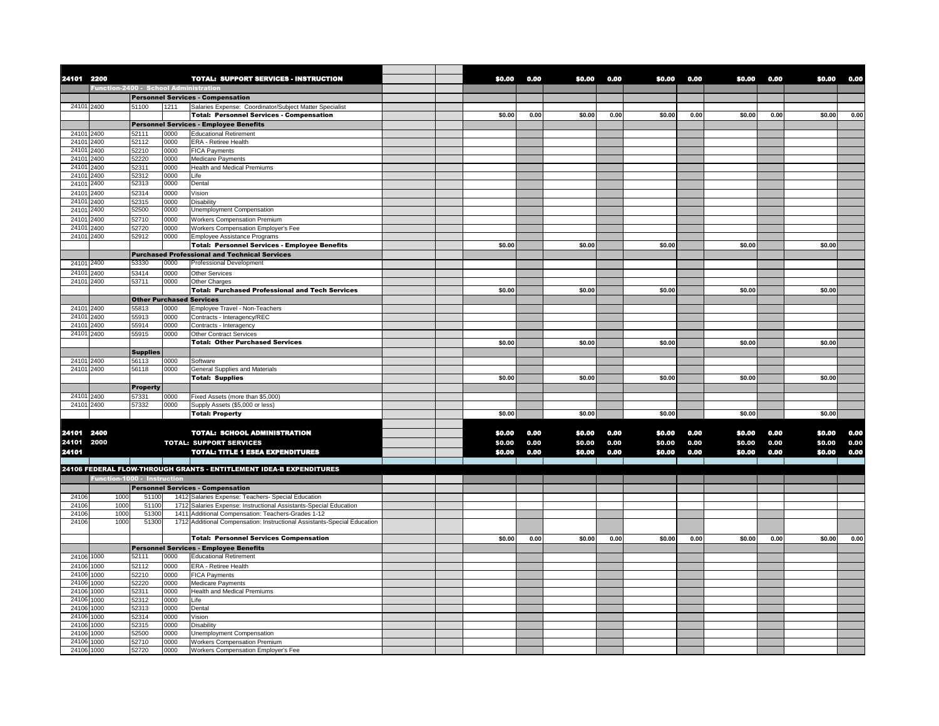| 24101 2200          |                                       |                 |              | <b>TOTAL: SUPPORT SERVICES - INSTRUCTION</b>                                                               | \$0.00 | 0.00 | \$0,00           | 0.00 | \$0,00           | 0.00         | \$0.00           | 0.00 | \$0.00 | 0.00         |
|---------------------|---------------------------------------|-----------------|--------------|------------------------------------------------------------------------------------------------------------|--------|------|------------------|------|------------------|--------------|------------------|------|--------|--------------|
|                     | Function-2400 - School Administration |                 |              |                                                                                                            |        |      |                  |      |                  |              |                  |      |        |              |
|                     |                                       |                 |              | <b>Personnel Services - Compensation</b>                                                                   |        |      |                  |      |                  |              |                  |      |        |              |
| 24101 2400          |                                       | 51100           | 1211         | Salaries Expense: Coordinator/Subject Matter Specialist<br><b>Total: Personnel Services - Compensation</b> | \$0.00 | 0.00 | \$0.00           | 0.00 | \$0.00           | 0.00         | \$0.00           | 0.00 | \$0.00 | 0.00         |
|                     |                                       |                 |              | <b>Personnel Services - Employee Benefits</b>                                                              |        |      |                  |      |                  |              |                  |      |        |              |
| 24101 2400          |                                       | 52111           | 0000         | <b>Educational Retirement</b>                                                                              |        |      |                  |      |                  |              |                  |      |        |              |
| 24101               | 2400                                  | 52112           | 0000         | ERA - Retiree Health                                                                                       |        |      |                  |      |                  |              |                  |      |        |              |
| 24101               | 2400                                  | 52210           | 0000         | <b>FICA Payments</b>                                                                                       |        |      |                  |      |                  |              |                  |      |        |              |
| 2410'               | 2400                                  | 52220           | 0000         | Medicare Payments                                                                                          |        |      |                  |      |                  |              |                  |      |        |              |
| 24101               | 2400                                  | 52311           | 0000         | <b>Health and Medical Premiums</b>                                                                         |        |      |                  |      |                  |              |                  |      |        |              |
| 24101               | 2400                                  | 52312           | 0000         | Life                                                                                                       |        |      |                  |      |                  |              |                  |      |        |              |
| 24101               | 2400                                  | 52313           | 0000         | Dental                                                                                                     |        |      |                  |      |                  |              |                  |      |        |              |
| 24101<br>24101      | 2400<br>2400                          | 52314<br>52315  | 0000<br>0000 | Vision<br><b>Disability</b>                                                                                |        |      |                  |      |                  |              |                  |      |        |              |
| 24101               | 2400                                  | 52500           | 0000         | Unemployment Compensation                                                                                  |        |      |                  |      |                  |              |                  |      |        |              |
| 2410'               | 2400                                  | 52710           | 0000         | <b>Workers Compensation Premium</b>                                                                        |        |      |                  |      |                  |              |                  |      |        |              |
| 2410'               | 2400                                  | 52720           | 0000         | Workers Compensation Employer's Fee                                                                        |        |      |                  |      |                  |              |                  |      |        |              |
| 24101               | 2400                                  | 52912           | 0000         | Employee Assistance Programs                                                                               |        |      |                  |      |                  |              |                  |      |        |              |
|                     |                                       |                 |              | <b>Total: Personnel Services - Employee Benefits</b>                                                       | \$0.00 |      | \$0.00           |      | \$0.00           |              | \$0.00           |      | \$0.00 |              |
|                     |                                       |                 |              | <b>Purchased Professional and Technical Services</b>                                                       |        |      |                  |      |                  |              |                  |      |        |              |
| 24101 2400          |                                       | 53330           | 0000         | Professional Development                                                                                   |        |      |                  |      |                  |              |                  |      |        |              |
| 24101 2400          |                                       | 53414           | 0000         | <b>Other Services</b>                                                                                      |        |      |                  |      |                  |              |                  |      |        |              |
| 24101 2400          |                                       | 53711           | 0000         | Other Charges                                                                                              |        |      |                  |      |                  |              |                  |      |        |              |
|                     |                                       |                 |              | <b>Total: Purchased Professional and Tech Services</b>                                                     | \$0.00 |      | \$0.00           |      | \$0.00           |              | \$0.00           |      | \$0.00 |              |
|                     |                                       |                 |              | <b>Other Purchased Services</b>                                                                            |        |      |                  |      |                  |              |                  |      |        |              |
| 24101               | 2400                                  | 55813           | 0000         | Employee Travel - Non-Teachers                                                                             |        |      |                  |      |                  |              |                  |      |        |              |
| 24101<br>24101      | 2400<br>2400                          | 55913<br>55914  | 0000<br>0000 | Contracts - Interagency/REC<br>Contracts - Interagency                                                     |        |      |                  |      |                  |              |                  |      |        |              |
| 24101 2400          |                                       | 55915           | 0000         | <b>Other Contract Services</b>                                                                             |        |      |                  |      |                  |              |                  |      |        |              |
|                     |                                       |                 |              | <b>Total: Other Purchased Services</b>                                                                     | \$0.00 |      | \$0.00           |      | \$0.00           |              | \$0.00           |      | \$0.00 |              |
|                     |                                       | <b>Supplies</b> |              |                                                                                                            |        |      |                  |      |                  |              |                  |      |        |              |
| 24101 2400          |                                       | 56113           | 0000         | Software                                                                                                   |        |      |                  |      |                  |              |                  |      |        |              |
| 24101 2400          |                                       | 56118           | 0000         | General Supplies and Materials                                                                             |        |      |                  |      |                  |              |                  |      |        |              |
|                     |                                       |                 |              | <b>Total: Supplies</b>                                                                                     | \$0.00 |      | \$0.00           |      | \$0.00           |              | \$0.00           |      | \$0.00 |              |
|                     |                                       | <b>Property</b> |              |                                                                                                            |        |      |                  |      |                  |              |                  |      |        |              |
| 24101 2400          |                                       | 57331           | 0000         | Fixed Assets (more than \$5,000)                                                                           |        |      |                  |      |                  |              |                  |      |        |              |
| 24101 2400          |                                       | 57332           | 0000         | Supply Assets (\$5,000 or less)                                                                            |        |      |                  |      |                  |              |                  |      |        |              |
|                     |                                       |                 |              | <b>Total: Property</b>                                                                                     | \$0.00 |      | \$0.00           |      | \$0.00           |              | \$0.00           |      | \$0.00 |              |
|                     |                                       |                 |              |                                                                                                            | \$0.00 | 0.00 | \$0.00           | 0.00 |                  |              | \$0.00           | 0.00 | \$0.00 |              |
| 24101 2400          |                                       |                 |              | <b>TOTAL: SCHOOL ADMINISTRATION</b>                                                                        | \$0.00 | 0.00 |                  | 0.00 | \$0.00           | 0.00<br>0.00 |                  | 0.00 | \$0.00 | 0.00         |
| 24101 2000<br>24101 |                                       |                 |              | <b>TOTAL: SUPPORT SERVICES</b><br><b>TOTAL: TITLE 1 ESEA EXPENDITURES</b>                                  | \$0.00 | 0.00 | \$0.00<br>\$0.00 | 0.00 | \$0.00<br>\$0.00 | 0.00         | \$0.00<br>\$0.00 | 0.00 | \$0.00 | 0.00<br>0.00 |
|                     |                                       |                 |              |                                                                                                            |        |      |                  |      |                  |              |                  |      |        |              |
|                     |                                       |                 |              | 24106 FEDERAL FLOW-THROUGH GRANTS - ENTITLEMENT IDEA-B EXPENDITURES                                        |        |      |                  |      |                  |              |                  |      |        |              |
|                     | Function-1000 - Instruction           |                 |              |                                                                                                            |        |      |                  |      |                  |              |                  |      |        |              |
|                     |                                       |                 |              | <b>Personnel Services - Compensation</b>                                                                   |        |      |                  |      |                  |              |                  |      |        |              |
| 24106               | 1000                                  | 5110            |              | 1412 Salaries Expense: Teachers- Special Education                                                         |        |      |                  |      |                  |              |                  |      |        |              |
| 24106               | 1000                                  | 51100           |              | 1712 Salaries Expense: Instructional Assistants-Special Education                                          |        |      |                  |      |                  |              |                  |      |        |              |
| 24106               | 1000                                  | 51300           |              | 1411 Additional Compensation: Teachers-Grades 1-12                                                         |        |      |                  |      |                  |              |                  |      |        |              |
| 24106               | 1000                                  | 51300           |              | 1712 Additional Compensation: Instructional Assistants-Special Education                                   |        |      |                  |      |                  |              |                  |      |        |              |
|                     |                                       |                 |              | <b>Total: Personnel Services Compensation</b>                                                              | \$0.00 | 0.00 | \$0.00           | 0.00 | \$0.00           | 0.00         | \$0.00           | 0.00 | \$0.00 | 0.00         |
|                     |                                       |                 |              | <b>Personnel Services - Employee Benefits</b>                                                              |        |      |                  |      |                  |              |                  |      |        |              |
| 24106               | 1000                                  | 52111           | 0000         | <b>Educational Retirement</b>                                                                              |        |      |                  |      |                  |              |                  |      |        |              |
| 24106               | 1000                                  | 52112           | 0000         | <b>ERA - Retiree Health</b>                                                                                |        |      |                  |      |                  |              |                  |      |        |              |
| 24106               | 1000                                  | 52210           | 0000         | <b>FICA Payments</b>                                                                                       |        |      |                  |      |                  |              |                  |      |        |              |
| 24106               | 1000                                  | 52220           | 0000         | Medicare Payments                                                                                          |        |      |                  |      |                  |              |                  |      |        |              |
| 24106               | 1000                                  | 52311           | 0000         | <b>Health and Medical Premiums</b>                                                                         |        |      |                  |      |                  |              |                  |      |        |              |
| 24106               | 1000                                  | 52312           | 0000         | Life                                                                                                       |        |      |                  |      |                  |              |                  |      |        |              |
| 24106<br>24106      | 1000                                  | 52313           | 0000         | Dental                                                                                                     |        |      |                  |      |                  |              |                  |      |        |              |
| 24106               | 1000<br>1000                          | 52314<br>52315  | 0000<br>0000 | Vision<br>Disability                                                                                       |        |      |                  |      |                  |              |                  |      |        |              |
| 24106               | 1000                                  | 52500           | 0000         | Unemployment Compensation                                                                                  |        |      |                  |      |                  |              |                  |      |        |              |
| 24106               | 1000                                  | 52710           | 0000         | <b>Workers Compensation Premium</b>                                                                        |        |      |                  |      |                  |              |                  |      |        |              |
| 24106 1000          |                                       | 52720           | 0000         | Workers Compensation Employer's Fee                                                                        |        |      |                  |      |                  |              |                  |      |        |              |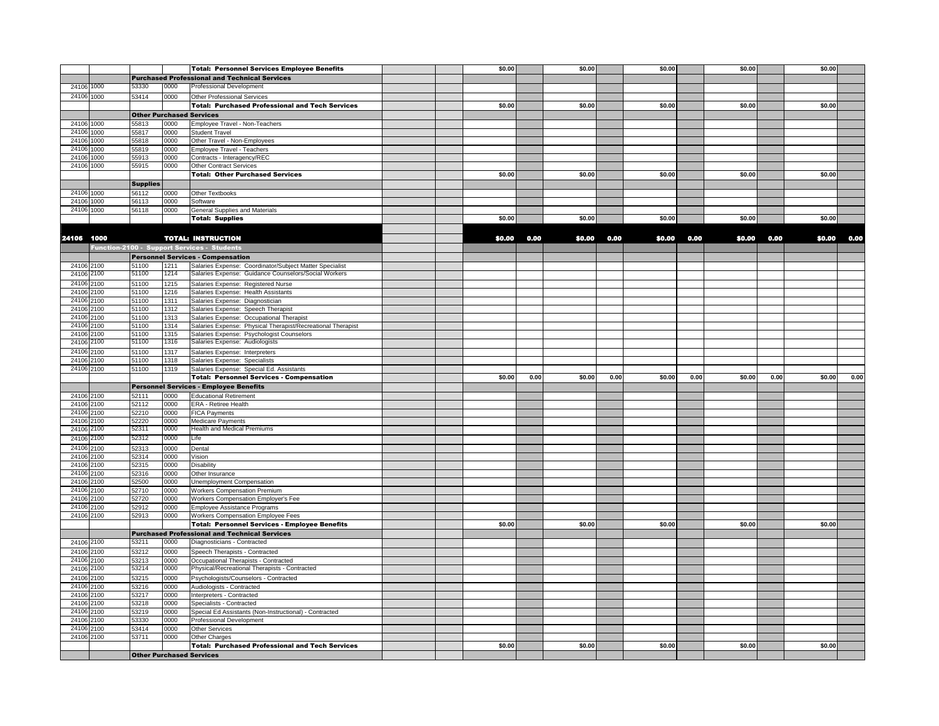|                |              |                 |              | <b>Total: Personnel Services Employee Benefits</b>                                                       | \$0.00 |      | \$0.00 |      | \$0.00 |      | \$0.00 |      | \$0.00 |      |
|----------------|--------------|-----------------|--------------|----------------------------------------------------------------------------------------------------------|--------|------|--------|------|--------|------|--------|------|--------|------|
|                |              |                 |              | <b>Purchased Professional and Technical Services</b>                                                     |        |      |        |      |        |      |        |      |        |      |
| 24106          | 1000         | 53330           | 0000         | <b>Professional Development</b>                                                                          |        |      |        |      |        |      |        |      |        |      |
| 24106          | 1000         | 53414           | 0000         | <b>Other Professional Services</b>                                                                       |        |      |        |      |        |      |        |      |        |      |
|                |              |                 |              | <b>Total: Purchased Professional and Tech Services</b>                                                   | \$0.00 |      | \$0.00 |      | \$0.00 |      | \$0.00 |      | \$0.00 |      |
|                |              |                 |              | <b>Other Purchased Services</b>                                                                          |        |      |        |      |        |      |        |      |        |      |
| 24106 1000     |              | 55813           | 0000         | Employee Travel - Non-Teachers                                                                           |        |      |        |      |        |      |        |      |        |      |
| 24106 1000     |              | 55817           | 0000         | <b>Student Travel</b>                                                                                    |        |      |        |      |        |      |        |      |        |      |
| 24106          | 1000         | 55818           | 0000         | Other Travel - Non-Employees                                                                             |        |      |        |      |        |      |        |      |        |      |
| 24106 1000     |              | 55819           | 0000         | <b>Employee Travel - Teachers</b>                                                                        |        |      |        |      |        |      |        |      |        |      |
| 24106          | 1000         | 55913           | 0000         | Contracts - Interagency/REC                                                                              |        |      |        |      |        |      |        |      |        |      |
| 24106 1000     |              | 55915           | 0000         | <b>Other Contract Services</b>                                                                           |        |      |        |      |        |      |        |      |        |      |
|                |              |                 |              | <b>Total: Other Purchased Services</b>                                                                   | \$0.00 |      | \$0.00 |      | \$0.00 |      | \$0.00 |      | \$0.00 |      |
|                |              | <b>Supplies</b> |              |                                                                                                          |        |      |        |      |        |      |        |      |        |      |
| 24106 1000     |              | 56112           | 0000         | Other Textbooks                                                                                          |        |      |        |      |        |      |        |      |        |      |
| 24106 1000     |              | 56113           | 0000         | Software                                                                                                 |        |      |        |      |        |      |        |      |        |      |
| 24106 1000     |              | 56118           | 0000         | <b>General Supplies and Materials</b>                                                                    |        |      |        |      |        |      |        |      |        |      |
|                |              |                 |              | <b>Total: Supplies</b>                                                                                   | \$0.00 |      | \$0.00 |      | \$0.00 |      | \$0.00 |      | \$0.00 |      |
|                |              |                 |              |                                                                                                          |        |      |        |      |        |      |        |      |        |      |
| 24106 1000     |              |                 |              | <b>TOTAL: INSTRUCTION</b>                                                                                | \$0.00 | 0.00 | \$0.00 | 0.00 | \$0.00 | 0.00 | \$0.00 | 0.00 | \$0.00 | 0.00 |
|                |              |                 |              | Function-2100 - Support Services - Students                                                              |        |      |        |      |        |      |        |      |        |      |
|                |              |                 |              | <b>Personnel Services - Compensation</b>                                                                 |        |      |        |      |        |      |        |      |        |      |
| 24106 2100     |              | 51100           | 1211         | Salaries Expense: Coordinator/Subject Matter Specialist                                                  |        |      |        |      |        |      |        |      |        |      |
| 24106 2100     |              | 51100           | 1214         | Salaries Expense: Guidance Counselors/Social Workers                                                     |        |      |        |      |        |      |        |      |        |      |
| 24106 2100     |              | 51100           | 1215         | Salaries Expense: Registered Nurse                                                                       |        |      |        |      |        |      |        |      |        |      |
| 24106          | 2100         | 51100           | 1216         | Salaries Expense: Health Assistants                                                                      |        |      |        |      |        |      |        |      |        |      |
| 24106          | 2100         | 51100           | 1311         | Salaries Expense: Diagnostician                                                                          |        |      |        |      |        |      |        |      |        |      |
| 24106 2100     |              | 51100           | 1312         | Salaries Expense: Speech Therapist                                                                       |        |      |        |      |        |      |        |      |        |      |
| 24106<br>24106 | 2100<br>2100 | 51100<br>51100  | 1313<br>1314 | Salaries Expense: Occupational Therapist                                                                 |        |      |        |      |        |      |        |      |        |      |
| 24106          | 2100         | 51100           | 1315         | Salaries Expense: Physical Therapist/Recreational Therapist<br>Salaries Expense: Psychologist Counselors |        |      |        |      |        |      |        |      |        |      |
| 24106 2100     |              | 51100           | 1316         | Salaries Expense: Audiologists                                                                           |        |      |        |      |        |      |        |      |        |      |
| 24106          | 2100         | 51100           | 1317         | Salaries Expense: Interpreters                                                                           |        |      |        |      |        |      |        |      |        |      |
| 24106          | 2100         | 51100           | 1318         | Salaries Expense: Specialists                                                                            |        |      |        |      |        |      |        |      |        |      |
| 24106 2100     |              | 51100           | 1319         | Salaries Expense: Special Ed. Assistants                                                                 |        |      |        |      |        |      |        |      |        |      |
|                |              |                 |              | <b>Total: Personnel Services - Compensation</b>                                                          | \$0.00 | 0.00 | \$0.00 | 0.00 | \$0.00 | 0.00 | \$0.00 | 0.00 | \$0.00 | 0.00 |
|                |              |                 |              | <b>Personnel Services - Employee Benefits</b>                                                            |        |      |        |      |        |      |        |      |        |      |
| 24106 2100     |              | 52111           | 0000         | <b>Educational Retirement</b>                                                                            |        |      |        |      |        |      |        |      |        |      |
| 24106 2100     |              | 52112           | 0000         | <b>ERA - Retiree Health</b>                                                                              |        |      |        |      |        |      |        |      |        |      |
| 24106 2100     |              | 52210           | 0000         | <b>FICA Payments</b>                                                                                     |        |      |        |      |        |      |        |      |        |      |
| 24106          | 2100         | 52220           | 0000         | Medicare Payments                                                                                        |        |      |        |      |        |      |        |      |        |      |
| 24106          | 2100         | 52311           | 0000         | <b>Health and Medical Premiums</b>                                                                       |        |      |        |      |        |      |        |      |        |      |
| 24106 2100     |              | 52312           | 0000         | Life                                                                                                     |        |      |        |      |        |      |        |      |        |      |
| 24106 2100     |              | 52313           | 0000         | Dental                                                                                                   |        |      |        |      |        |      |        |      |        |      |
| 24106          | 2100         | 52314           | 0000         | Vision                                                                                                   |        |      |        |      |        |      |        |      |        |      |
| 24106 2100     |              | 52315           | 0000         | <b>Disability</b>                                                                                        |        |      |        |      |        |      |        |      |        |      |
| 24106 2100     |              | 52316           | 0000         | Other Insurance                                                                                          |        |      |        |      |        |      |        |      |        |      |
| 24106 2100     |              | 52500           | 0000         | Unemployment Compensation                                                                                |        |      |        |      |        |      |        |      |        |      |
| 24106<br>24106 | 2100         | 52710<br>52720  | 0000<br>0000 | <b>Workers Compensation Premium</b>                                                                      |        |      |        |      |        |      |        |      |        |      |
| 24106          | 2100<br>2100 | 52912           | 0000         | Workers Compensation Employer's Fee<br>Employee Assistance Programs                                      |        |      |        |      |        |      |        |      |        |      |
| 24106 2100     |              | 52913           | 0000         | Workers Compensation Employee Fees                                                                       |        |      |        |      |        |      |        |      |        |      |
|                |              |                 |              | <b>Total: Personnel Services - Employee Benefits</b>                                                     | \$0.00 |      | \$0.00 |      | \$0.00 |      | \$0.00 |      | \$0.00 |      |
|                |              |                 |              | <b>Purchased Professional and Technical Services</b>                                                     |        |      |        |      |        |      |        |      |        |      |
| 24106 2100     |              | 53211           | 0000         | Diagnosticians - Contracted                                                                              |        |      |        |      |        |      |        |      |        |      |
| 24106 2100     |              | 53212           | 0000         | Speech Therapists - Contracted                                                                           |        |      |        |      |        |      |        |      |        |      |
| 24106 2100     |              | 53213           | 0000         | Occupational Therapists - Contracted                                                                     |        |      |        |      |        |      |        |      |        |      |
| 24106 2100     |              | 53214           | 0000         | Physical/Recreational Therapists - Contracted                                                            |        |      |        |      |        |      |        |      |        |      |
| 24106 2100     |              | 53215           | 0000         | Psychologists/Counselors - Contracted                                                                    |        |      |        |      |        |      |        |      |        |      |
| 24106          | 2100         | 53216           | 0000         | Audiologists - Contracted                                                                                |        |      |        |      |        |      |        |      |        |      |
| 24106          | 2100         | 53217           | 0000         | Interpreters - Contracted                                                                                |        |      |        |      |        |      |        |      |        |      |
| 24106          | 2100         | 53218           | 0000         | Specialists - Contracted                                                                                 |        |      |        |      |        |      |        |      |        |      |
| 24106          | 2100         | 53219           | 0000         | Special Ed Assistants (Non-Instructional) - Contracted                                                   |        |      |        |      |        |      |        |      |        |      |
| 24106          | 2100         | 53330           | 0000         | Professional Development                                                                                 |        |      |        |      |        |      |        |      |        |      |
| 24106          | 2100         | 53414           | 0000         | <b>Other Services</b>                                                                                    |        |      |        |      |        |      |        |      |        |      |
| 24106          | 2100         | 53711           | 0000         | Other Charges                                                                                            |        |      |        |      |        |      |        |      |        |      |
|                |              |                 |              | <b>Total: Purchased Professional and Tech Services</b>                                                   | \$0.00 |      | \$0.00 |      | \$0.00 |      | \$0.00 |      | \$0.00 |      |
|                |              |                 |              | <b>Other Purchased Services</b>                                                                          |        |      |        |      |        |      |        |      |        |      |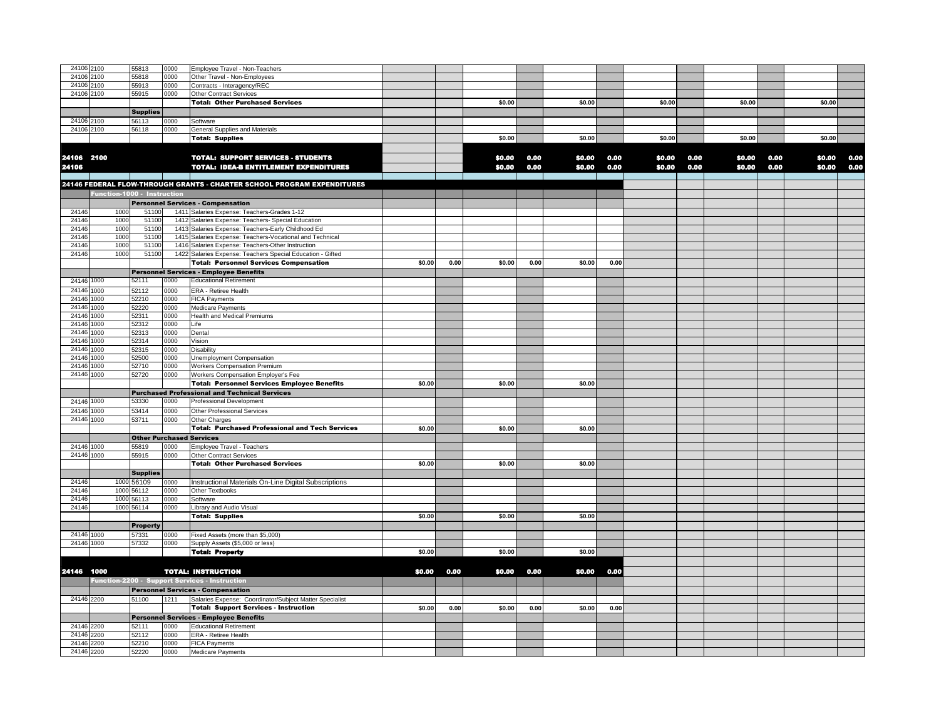| 24106 2100          |                             | 55813                           | 0000 | Employee Travel - Non-Teachers                                          |        |      |        |      |        |      |        |      |        |      |        |      |
|---------------------|-----------------------------|---------------------------------|------|-------------------------------------------------------------------------|--------|------|--------|------|--------|------|--------|------|--------|------|--------|------|
| 24106               | 2100                        | 55818                           | 0000 | Other Travel - Non-Employees                                            |        |      |        |      |        |      |        |      |        |      |        |      |
| 24106               | 2100                        | 55913                           | 0000 | Contracts - Interagency/REC                                             |        |      |        |      |        |      |        |      |        |      |        |      |
| 24106 2100          |                             | 55915                           | 0000 | Other Contract Services                                                 |        |      |        |      |        |      |        |      |        |      |        |      |
|                     |                             |                                 |      | <b>Total: Other Purchased Services</b>                                  |        |      | \$0.00 |      | \$0.00 |      | \$0.00 |      | \$0.00 |      | \$0.00 |      |
|                     |                             |                                 |      |                                                                         |        |      |        |      |        |      |        |      |        |      |        |      |
|                     |                             | <b>Supplies</b>                 |      |                                                                         |        |      |        |      |        |      |        |      |        |      |        |      |
| 24106               | 2100                        | 56113                           | 0000 | Software                                                                |        |      |        |      |        |      |        |      |        |      |        |      |
| 24106 2100          |                             | 56118                           | 0000 | General Supplies and Materials                                          |        |      |        |      |        |      |        |      |        |      |        |      |
|                     |                             |                                 |      | <b>Total: Supplies</b>                                                  |        |      | \$0.00 |      | \$0.00 |      | \$0.00 |      | \$0.00 |      | \$0.00 |      |
|                     |                             |                                 |      |                                                                         |        |      |        |      |        |      |        |      |        |      |        |      |
|                     |                             |                                 |      | <b>TOTAL: SUPPORT SERVICES - STUDENTS</b>                               |        |      | \$0.00 | 0.00 | \$0.00 | 0.00 | \$0.00 | 0.00 | \$0.00 | 0.00 | \$0.00 | 0.00 |
| 24106 2100<br>24106 |                             |                                 |      | TOTAL: IDEA-B ENTITLEMENT EXPENDITURES                                  |        |      | \$0.00 | 0.00 | \$0.00 | 0.00 | \$0.00 | 0.00 | \$0.00 | 0.00 | \$0.00 | 0.00 |
|                     |                             |                                 |      |                                                                         |        |      |        |      |        |      |        |      |        |      |        |      |
|                     |                             |                                 |      | 24146 FEDERAL FLOW-THROUGH GRANTS - CHARTER SCHOOL PROGRAM EXPENDITURES |        |      |        |      |        |      |        |      |        |      |        |      |
|                     | Function-1000 - Instruction |                                 |      |                                                                         |        |      |        |      |        |      |        |      |        |      |        |      |
|                     |                             |                                 |      |                                                                         |        |      |        |      |        |      |        |      |        |      |        |      |
|                     |                             |                                 |      | <b>Personnel Services - Compensation</b>                                |        |      |        |      |        |      |        |      |        |      |        |      |
| 24146               | 1000                        | 51100                           |      | 1411 Salaries Expense: Teachers-Grades 1-12                             |        |      |        |      |        |      |        |      |        |      |        |      |
| 24146               | 1000                        | 51100                           |      | 1412 Salaries Expense: Teachers- Special Education                      |        |      |        |      |        |      |        |      |        |      |        |      |
| 24146               | 1000                        | 51100                           |      | 1413 Salaries Expense: Teachers-Early Childhood Ed                      |        |      |        |      |        |      |        |      |        |      |        |      |
| 24146               | 1000                        | 51100                           |      | 1415 Salaries Expense: Teachers-Vocational and Technical                |        |      |        |      |        |      |        |      |        |      |        |      |
| 24146               | 1000                        | 51100                           |      | 1416 Salaries Expense: Teachers-Other Instruction                       |        |      |        |      |        |      |        |      |        |      |        |      |
| 24146               | 1000                        | 51100                           |      | 1422 Salaries Expense: Teachers Special Education - Gifted              |        |      |        |      |        |      |        |      |        |      |        |      |
|                     |                             |                                 |      | <b>Total: Personnel Services Compensation</b>                           | \$0.00 | 0.00 | \$0.00 | 0.00 | \$0.00 | 0.00 |        |      |        |      |        |      |
|                     |                             |                                 |      | <b>Personnel Services - Employee Benefits</b>                           |        |      |        |      |        |      |        |      |        |      |        |      |
| 24146 1000          |                             | 52111                           | 0000 | <b>Educational Retirement</b>                                           |        |      |        |      |        |      |        |      |        |      |        |      |
| 24146 1000          |                             | 52112                           | 0000 | ERA - Retiree Health                                                    |        |      |        |      |        |      |        |      |        |      |        |      |
| 24146               | 1000                        | 52210                           | 0000 | <b>FICA Payments</b>                                                    |        |      |        |      |        |      |        |      |        |      |        |      |
| 24146               | 1000                        | 52220                           | 0000 | Medicare Payments                                                       |        |      |        |      |        |      |        |      |        |      |        |      |
| 24146               | 1000                        | 52311                           | 0000 | Health and Medical Premiums                                             |        |      |        |      |        |      |        |      |        |      |        |      |
| 24146               | 1000                        | 52312                           | 0000 | Life                                                                    |        |      |        |      |        |      |        |      |        |      |        |      |
| 24146               | 1000                        | 52313                           | 0000 | Dental                                                                  |        |      |        |      |        |      |        |      |        |      |        |      |
| 24146               | 1000                        | 52314                           | 0000 | Vision                                                                  |        |      |        |      |        |      |        |      |        |      |        |      |
| 24146               | 1000                        | 52315                           | 0000 | Disability                                                              |        |      |        |      |        |      |        |      |        |      |        |      |
| 24146               | 1000                        | 52500                           | 0000 | Unemployment Compensation                                               |        |      |        |      |        |      |        |      |        |      |        |      |
| 24146               | 1000                        | 52710                           | 0000 | <b>Workers Compensation Premium</b>                                     |        |      |        |      |        |      |        |      |        |      |        |      |
| 24146               | 1000                        |                                 | 0000 |                                                                         |        |      |        |      |        |      |        |      |        |      |        |      |
|                     |                             | 52720                           |      | Workers Compensation Employer's Fee                                     | \$0.00 |      |        |      |        |      |        |      |        |      |        |      |
|                     |                             |                                 |      | <b>Total: Personnel Services Employee Benefits</b>                      |        |      | \$0.00 |      | \$0.00 |      |        |      |        |      |        |      |
|                     |                             |                                 |      | <b>Purchased Professional and Technical Services</b>                    |        |      |        |      |        |      |        |      |        |      |        |      |
| 24146 1000          |                             | 53330                           | 0000 | <b>Professional Development</b>                                         |        |      |        |      |        |      |        |      |        |      |        |      |
| 24146 1000          |                             | 53414                           | 0000 | Other Professional Services                                             |        |      |        |      |        |      |        |      |        |      |        |      |
| 24146 1000          |                             | 53711                           | 0000 | Other Charges                                                           |        |      |        |      |        |      |        |      |        |      |        |      |
|                     |                             |                                 |      | <b>Total: Purchased Professional and Tech Services</b>                  | \$0.00 |      | \$0.00 |      | \$0.00 |      |        |      |        |      |        |      |
|                     |                             | <b>Other Purchased Services</b> |      |                                                                         |        |      |        |      |        |      |        |      |        |      |        |      |
| 24146 1000          |                             | 55819                           | 0000 | Employee Travel - Teachers                                              |        |      |        |      |        |      |        |      |        |      |        |      |
| 24146 1000          |                             | 55915                           | 0000 | <b>Other Contract Services</b>                                          |        |      |        |      |        |      |        |      |        |      |        |      |
|                     |                             |                                 |      | <b>Total: Other Purchased Services</b>                                  | \$0.00 |      | \$0.00 |      | \$0.00 |      |        |      |        |      |        |      |
|                     |                             | <b>Supplies</b>                 |      |                                                                         |        |      |        |      |        |      |        |      |        |      |        |      |
| 24146               | 1000                        | 56109                           | 0000 | Instructional Materials On-Line Digital Subscriptions                   |        |      |        |      |        |      |        |      |        |      |        |      |
| 24146               |                             | 1000 56112                      | 0000 | Other Textbooks                                                         |        |      |        |      |        |      |        |      |        |      |        |      |
| 24146               |                             | 1000 56113                      | 0000 | Software                                                                |        |      |        |      |        |      |        |      |        |      |        |      |
| 24146               |                             | 1000 56114                      | 0000 | Library and Audio Visual                                                |        |      |        |      |        |      |        |      |        |      |        |      |
|                     |                             |                                 |      | <b>Total: Supplies</b>                                                  | \$0.00 |      | \$0.00 |      | \$0.00 |      |        |      |        |      |        |      |
|                     |                             |                                 |      |                                                                         |        |      |        |      |        |      |        |      |        |      |        |      |
|                     |                             | <b>Property</b>                 |      |                                                                         |        |      |        |      |        |      |        |      |        |      |        |      |
| 24146 1000          |                             | 57331                           | 0000 | Fixed Assets (more than \$5,000)                                        |        |      |        |      |        |      |        |      |        |      |        |      |
| 24146 1000          |                             | 57332                           | 0000 | Supply Assets (\$5,000 or less)                                         |        |      |        |      |        |      |        |      |        |      |        |      |
|                     |                             |                                 |      | <b>Total: Property</b>                                                  | \$0.00 |      | \$0.00 |      | \$0.00 |      |        |      |        |      |        |      |
|                     |                             |                                 |      |                                                                         |        |      |        |      |        |      |        |      |        |      |        |      |
| 24146 1000          |                             |                                 |      | <b>TOTAL: INSTRUCTION</b>                                               | \$0.00 | 0.00 | \$0.00 | 0.00 | \$0,00 | 0.00 |        |      |        |      |        |      |
|                     |                             |                                 |      | Function-2200 - Support Services - Instruction                          |        |      |        |      |        |      |        |      |        |      |        |      |
|                     |                             |                                 |      | <b>Personnel Services - Compensation</b>                                |        |      |        |      |        |      |        |      |        |      |        |      |
| 24146 2200          |                             | 51100                           |      |                                                                         |        |      |        |      |        |      |        |      |        |      |        |      |
|                     |                             |                                 | 1211 | Salaries Expense: Coordinator/Subject Matter Specialist                 |        |      |        |      |        |      |        |      |        |      |        |      |
|                     |                             |                                 |      | <b>Total: Support Services - Instruction</b>                            | \$0.00 | 0.00 | \$0.00 | 0.00 | \$0.00 | 0.00 |        |      |        |      |        |      |
|                     |                             |                                 |      | <b>Personnel Services - Employee Benefits</b>                           |        |      |        |      |        |      |        |      |        |      |        |      |
| 24146 2200          |                             | 52111                           | 0000 | <b>Educational Retirement</b>                                           |        |      |        |      |        |      |        |      |        |      |        |      |
| 24146               | 2200                        | 52112                           | 0000 | ERA - Retiree Health                                                    |        |      |        |      |        |      |        |      |        |      |        |      |
| 24146               | 2200                        | 52210                           | 0000 | <b>FICA Payments</b>                                                    |        |      |        |      |        |      |        |      |        |      |        |      |
| 24146 2200          |                             | 52220                           | 0000 | Medicare Payments                                                       |        |      |        |      |        |      |        |      |        |      |        |      |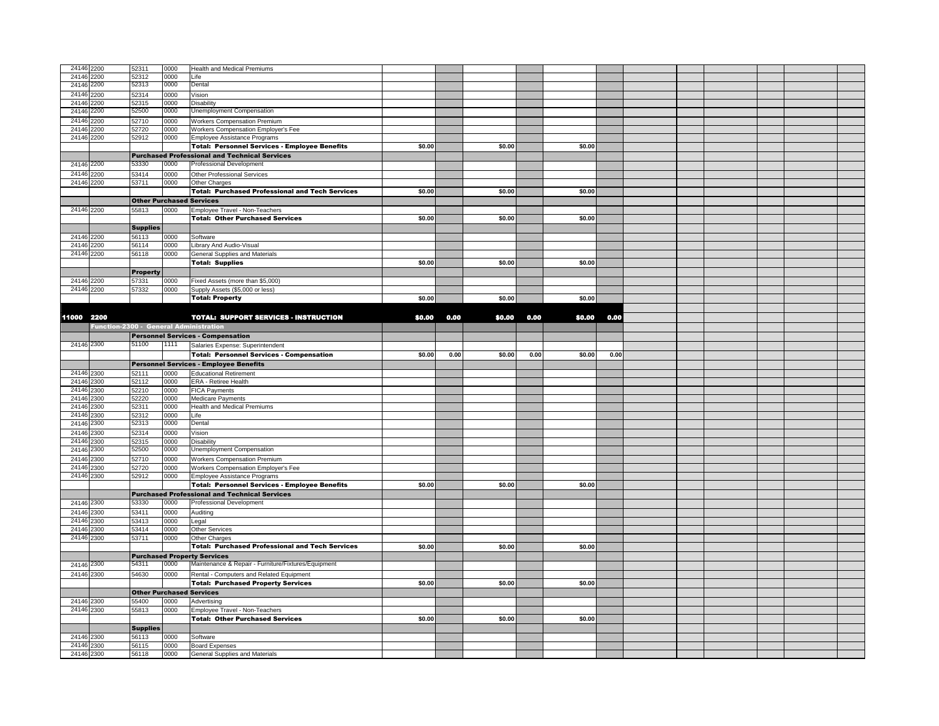| 24146 2200               |                                        | 52311                           | 0000         | <b>Health and Medical Premiums</b>                                       |        |      |        |      |        |      |  |  |  |
|--------------------------|----------------------------------------|---------------------------------|--------------|--------------------------------------------------------------------------|--------|------|--------|------|--------|------|--|--|--|
| 24146 2200               |                                        | 52312                           | nnnn         | l ife                                                                    |        |      |        |      |        |      |  |  |  |
| 24146 2200               |                                        | 52313                           | 0000         | Dental                                                                   |        |      |        |      |        |      |  |  |  |
| 24146                    | 2200                                   | 52314                           | 0000         | Vision                                                                   |        |      |        |      |        |      |  |  |  |
| 24146                    | 2200                                   | 52315                           | 0000         | Disability                                                               |        |      |        |      |        |      |  |  |  |
| 24146                    | 2200                                   | 52500                           | 0000         | Unemployment Compensation                                                |        |      |        |      |        |      |  |  |  |
| 24146                    | 2200                                   | 52710                           | 0000         | <b>Workers Compensation Premium</b>                                      |        |      |        |      |        |      |  |  |  |
| 24146                    | 2200                                   | 52720                           | 0000         | Workers Compensation Employer's Fee                                      |        |      |        |      |        |      |  |  |  |
| 24146                    | 2200                                   | 52912                           | 0000         | Employee Assistance Programs                                             |        |      |        |      |        |      |  |  |  |
|                          |                                        |                                 |              | <b>Total: Personnel Services - Employee Benefits</b>                     | \$0.00 |      | \$0.00 |      | \$0.00 |      |  |  |  |
|                          |                                        |                                 |              | <b>Purchased Professional and Technical Services</b>                     |        |      |        |      |        |      |  |  |  |
| 24146 2200               |                                        | 53330                           | 0000         | <b>Professional Development</b>                                          |        |      |        |      |        |      |  |  |  |
|                          |                                        |                                 |              |                                                                          |        |      |        |      |        |      |  |  |  |
|                          | 24146 2200                             | 53414                           | 0000         | Other Professional Services                                              |        |      |        |      |        |      |  |  |  |
| 24146 2200               |                                        | 53711                           | 0000         | Other Charges                                                            |        |      |        |      |        |      |  |  |  |
|                          |                                        |                                 |              | <b>Total: Purchased Professional and Tech Services</b>                   | \$0.00 |      | \$0.00 |      | \$0.00 |      |  |  |  |
|                          |                                        |                                 |              | <b>Other Purchased Services</b>                                          |        |      |        |      |        |      |  |  |  |
|                          | 24146 2200                             | 55813                           | 0000         | Employee Travel - Non-Teachers                                           |        |      |        |      |        |      |  |  |  |
|                          |                                        |                                 |              | <b>Total: Other Purchased Services</b>                                   | \$0.00 |      | \$0.00 |      | \$0.00 |      |  |  |  |
|                          |                                        | <b>Supplies</b>                 |              |                                                                          |        |      |        |      |        |      |  |  |  |
| 24146                    | 2200                                   | 56113                           | 0000         | Software                                                                 |        |      |        |      |        |      |  |  |  |
|                          | 24146 2200                             | 56114                           | 0000         | Library And Audio-Visual                                                 |        |      |        |      |        |      |  |  |  |
|                          | 24146 2200                             | 56118                           | 0000         | General Supplies and Materials                                           |        |      |        |      |        |      |  |  |  |
|                          |                                        |                                 |              | <b>Total: Supplies</b>                                                   | \$0.00 |      | \$0.00 |      | \$0.00 |      |  |  |  |
|                          |                                        | Property                        |              |                                                                          |        |      |        |      |        |      |  |  |  |
| 24146 2200               |                                        | 57331                           | 0000         | Fixed Assets (more than \$5,000)                                         |        |      |        |      |        |      |  |  |  |
|                          | 24146 2200                             | 57332                           | 0000         | Supply Assets (\$5,000 or less)                                          |        |      |        |      |        |      |  |  |  |
|                          |                                        |                                 |              | <b>Total: Property</b>                                                   | \$0.00 |      | \$0.00 |      | \$0.00 |      |  |  |  |
|                          |                                        |                                 |              |                                                                          |        |      |        |      |        |      |  |  |  |
| 11000 2200               |                                        |                                 |              | <b>TOTAL: SUPPORT SERVICES - INSTRUCTION</b>                             | \$0.00 | 0.00 | \$0.00 | 0.00 | \$0.00 | 0.00 |  |  |  |
|                          | Function-2300 - General Administration |                                 |              |                                                                          |        |      |        |      |        |      |  |  |  |
|                          |                                        |                                 |              |                                                                          |        |      |        |      |        |      |  |  |  |
|                          |                                        | 51100                           | 1111         | <b>Personnel Services - Compensation</b>                                 |        |      |        |      |        |      |  |  |  |
| 24146 2300               |                                        |                                 |              | Salaries Expense: Superintendent                                         |        |      |        |      |        |      |  |  |  |
|                          |                                        |                                 |              |                                                                          |        |      |        |      |        |      |  |  |  |
|                          |                                        |                                 |              | <b>Total: Personnel Services - Compensation</b>                          | \$0.00 | 0.00 | \$0.00 | 0.00 | \$0.00 | 0.00 |  |  |  |
|                          |                                        |                                 |              | <b>Personnel Services - Employee Benefits</b>                            |        |      |        |      |        |      |  |  |  |
| 24146 2300               |                                        | 52111                           | 0000         | <b>Educational Retirement</b>                                            |        |      |        |      |        |      |  |  |  |
| 24146 2300               |                                        | 52112                           | 0000         | ERA - Retiree Health                                                     |        |      |        |      |        |      |  |  |  |
| 24146                    | 2300                                   | 52210                           | 0000         | <b>FICA Payments</b>                                                     |        |      |        |      |        |      |  |  |  |
| 24146                    | 2300                                   | 52220                           | 0000         | Medicare Payments                                                        |        |      |        |      |        |      |  |  |  |
| 24146                    | 2300                                   | 52311                           | 0000         | <b>Health and Medical Premiums</b>                                       |        |      |        |      |        |      |  |  |  |
| 24146                    | 2300                                   | 52312                           | 0000         | Life                                                                     |        |      |        |      |        |      |  |  |  |
| 24146                    | 2300                                   | 52313                           | 0000         | Dental                                                                   |        |      |        |      |        |      |  |  |  |
| 24146                    | 2300                                   | 52314                           | 0000         | Vision                                                                   |        |      |        |      |        |      |  |  |  |
| 24146                    | 2300                                   | 52315                           | 0000         | <b>Disability</b>                                                        |        |      |        |      |        |      |  |  |  |
| 24146                    | 2300                                   | 52500                           | 0000         | Unemployment Compensation                                                |        |      |        |      |        |      |  |  |  |
| 24146                    | 2300                                   | 52710                           | 0000         | Workers Compensation Premium                                             |        |      |        |      |        |      |  |  |  |
| 24146                    | 2300                                   | 52720                           | 0000         | Workers Compensation Employer's Fee                                      |        |      |        |      |        |      |  |  |  |
|                          | 24146 2300                             | 52912                           | 0000         | Employee Assistance Programs                                             |        |      |        |      |        |      |  |  |  |
|                          |                                        |                                 |              | <b>Total: Personnel Services - Employee Benefits</b>                     | \$0.00 |      | \$0.00 |      | \$0.00 |      |  |  |  |
|                          |                                        |                                 |              | <b>Purchased Professional and Technical Services</b>                     |        |      |        |      |        |      |  |  |  |
| 24146 2300               |                                        | 53330                           | 0000         | Professional Development                                                 |        |      |        |      |        |      |  |  |  |
| 24146 2300               |                                        | 53411                           | 0000         | Auditing                                                                 |        |      |        |      |        |      |  |  |  |
| 24146                    | 2300                                   | 53413                           | 0000         | Legal                                                                    |        |      |        |      |        |      |  |  |  |
| 24146                    | 2300                                   | 53414                           | 0000         | <b>Other Services</b>                                                    |        |      |        |      |        |      |  |  |  |
| 24146 2300               |                                        | 53711                           | 0000         | Other Charges                                                            |        |      |        |      |        |      |  |  |  |
|                          |                                        |                                 |              | <b>Total: Purchased Professional and Tech Services</b>                   | \$0.00 |      | \$0.00 |      | \$0.00 |      |  |  |  |
|                          |                                        |                                 |              | <b>Purchased Property Services</b>                                       |        |      |        |      |        |      |  |  |  |
| 24146 2300               |                                        | 54311                           | 0000         | Maintenance & Repair - Furniture/Fixtures/Equipment                      |        |      |        |      |        |      |  |  |  |
| 24146 2300               |                                        | 54630                           | 0000         | Rental - Computers and Related Equipment                                 |        |      |        |      |        |      |  |  |  |
|                          |                                        |                                 |              | <b>Total: Purchased Property Services</b>                                | \$0.00 |      | \$0.00 |      | \$0.00 |      |  |  |  |
|                          |                                        | <b>Other Purchased Services</b> |              |                                                                          |        |      |        |      |        |      |  |  |  |
|                          |                                        |                                 |              |                                                                          |        |      |        |      |        |      |  |  |  |
| 24146 2300<br>24146 2300 |                                        | 55400                           | 0000         | Advertising                                                              |        |      |        |      |        |      |  |  |  |
|                          |                                        | 55813                           | 0000         | Employee Travel - Non-Teachers<br><b>Total: Other Purchased Services</b> | \$0.00 |      | \$0.00 |      | \$0.00 |      |  |  |  |
|                          |                                        |                                 |              |                                                                          |        |      |        |      |        |      |  |  |  |
|                          |                                        | <b>Supplies</b>                 |              |                                                                          |        |      |        |      |        |      |  |  |  |
| 24146 2300               | 24146 2300                             | 56113<br>56115                  | 0000<br>0000 | Software<br><b>Board Expenses</b>                                        |        |      |        |      |        |      |  |  |  |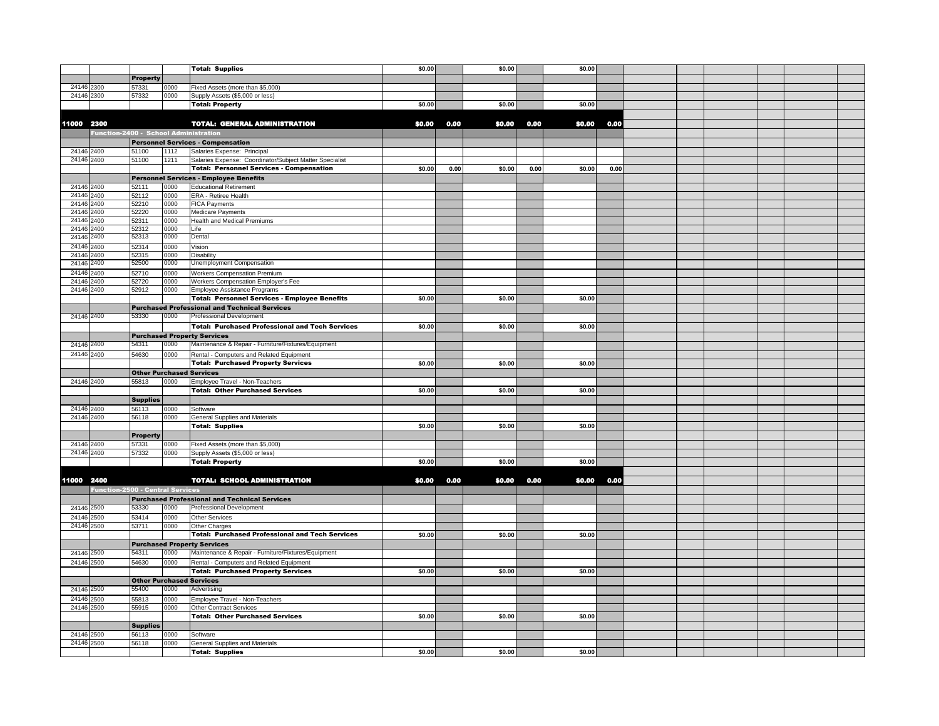|                          |                                         |                                          |      | <b>Total: Supplies</b>                                                                    | \$0.00 |      | \$0.00 |      | \$0.00 |      |  |  |  |
|--------------------------|-----------------------------------------|------------------------------------------|------|-------------------------------------------------------------------------------------------|--------|------|--------|------|--------|------|--|--|--|
|                          |                                         | <b>Property</b>                          |      |                                                                                           |        |      |        |      |        |      |  |  |  |
| 24146 2300               |                                         | 57331                                    | 0000 | Fixed Assets (more than \$5,000)                                                          |        |      |        |      |        |      |  |  |  |
| 24146 2300               |                                         | 57332                                    | 0000 | Supply Assets (\$5,000 or less)                                                           |        |      |        |      |        |      |  |  |  |
|                          |                                         |                                          |      | <b>Total: Property</b>                                                                    | \$0.00 |      | \$0.00 |      | \$0.00 |      |  |  |  |
|                          |                                         |                                          |      |                                                                                           |        |      |        |      |        |      |  |  |  |
| 11000 2300               |                                         |                                          |      | <b>TOTAL: GENERAL ADMINISTRATION</b>                                                      | \$0,00 | 0.00 | \$0.00 | 0.00 | \$0.00 | 0.00 |  |  |  |
|                          | Function-2400 - School Administration   |                                          |      |                                                                                           |        |      |        |      |        |      |  |  |  |
|                          |                                         |                                          |      | <b>Personnel Services - Compensation</b>                                                  |        |      |        |      |        |      |  |  |  |
| 24146 2400               |                                         | 51100                                    | 1112 | Salaries Expense: Principal                                                               |        |      |        |      |        |      |  |  |  |
| 24146 2400               |                                         | 51100                                    | 1211 | Salaries Expense: Coordinator/Subject Matter Specialist                                   |        |      |        |      |        |      |  |  |  |
|                          |                                         |                                          |      | <b>Total: Personnel Services - Compensation</b>                                           | \$0.00 | 0.00 | \$0.00 | 0.00 | \$0.00 | 0.00 |  |  |  |
|                          |                                         |                                          |      | <b>Personnel Services - Employee Benefits</b>                                             |        |      |        |      |        |      |  |  |  |
| 24146 2400               |                                         | 52111                                    | 0000 | <b>Educational Retirement</b>                                                             |        |      |        |      |        |      |  |  |  |
| 24146 2400               |                                         | 52112                                    | 0000 | ERA - Retiree Health                                                                      |        |      |        |      |        |      |  |  |  |
| 24146                    | 2400                                    | 52210                                    | 0000 | <b>FICA Payments</b>                                                                      |        |      |        |      |        |      |  |  |  |
| 24146                    | 2400                                    | 52220                                    | 0000 | Medicare Payments                                                                         |        |      |        |      |        |      |  |  |  |
| 24146 2400               |                                         | 52311                                    | 0000 | Health and Medical Premiums                                                               |        |      |        |      |        |      |  |  |  |
| 24146                    | 2400                                    | 52312                                    | 0000 | Life                                                                                      |        |      |        |      |        |      |  |  |  |
| 24146                    | 2400                                    | 52313                                    | 0000 | Dental                                                                                    |        |      |        |      |        |      |  |  |  |
| 24146                    | 2400                                    | 52314                                    | 0000 | Vision                                                                                    |        |      |        |      |        |      |  |  |  |
| 24146                    | 2400                                    | 52315                                    | 0000 | <b>Disability</b>                                                                         |        |      |        |      |        |      |  |  |  |
| 24146                    | 2400                                    | 52500                                    | 0000 | Unemployment Compensation                                                                 |        |      |        |      |        |      |  |  |  |
| 24146                    | 2400                                    | 52710                                    | 0000 | Workers Compensation Premium                                                              |        |      |        |      |        |      |  |  |  |
| 24146                    | 2400                                    | 52720                                    | 0000 | Workers Compensation Employer's Fee                                                       |        |      |        |      |        |      |  |  |  |
| 24146 2400               |                                         | 52912                                    | 0000 | Employee Assistance Programs                                                              |        |      |        |      |        |      |  |  |  |
|                          |                                         |                                          |      | <b>Total: Personnel Services - Employee Benefits</b>                                      | \$0.00 |      | \$0.00 |      | \$0.00 |      |  |  |  |
|                          |                                         |                                          |      | <b>Purchased Professional and Technical Services</b>                                      |        |      |        |      |        |      |  |  |  |
| 24146 2400               |                                         | 53330                                    | 0000 | <b>Professional Development</b>                                                           |        |      |        |      |        |      |  |  |  |
|                          |                                         |                                          |      | <b>Total: Purchased Professional and Tech Services</b>                                    | \$0.00 |      | \$0.00 |      | \$0.00 |      |  |  |  |
|                          |                                         |                                          |      | <b>Purchased Property Services</b>                                                        |        |      |        |      |        |      |  |  |  |
| 24146 2400               |                                         | 54311                                    | 0000 | Maintenance & Repair - Furniture/Fixtures/Equipment                                       |        |      |        |      |        |      |  |  |  |
| 24146 2400               |                                         | 54630                                    | 0000 | Rental - Computers and Related Equipment                                                  |        |      |        |      |        |      |  |  |  |
|                          |                                         |                                          |      | <b>Total: Purchased Property Services</b>                                                 | \$0.00 |      | \$0.00 |      | \$0.00 |      |  |  |  |
|                          |                                         | <b>Other Purchased Services</b>          |      |                                                                                           |        |      |        |      |        |      |  |  |  |
| 24146 2400               |                                         | 55813                                    | 0000 | Employee Travel - Non-Teachers                                                            |        |      |        |      |        |      |  |  |  |
|                          |                                         |                                          |      | <b>Total: Other Purchased Services</b>                                                    | \$0.00 |      | \$0.00 |      | \$0.00 |      |  |  |  |
|                          |                                         | <b>Supplies</b>                          |      |                                                                                           |        |      |        |      |        |      |  |  |  |
| 24146 2400               |                                         | 56113                                    | 0000 | Software                                                                                  |        |      |        |      |        |      |  |  |  |
| 24146 2400               |                                         | 56118                                    | 0000 | General Supplies and Materials                                                            |        |      |        |      |        |      |  |  |  |
|                          |                                         |                                          |      | <b>Total: Supplies</b>                                                                    | \$0.00 |      | \$0.00 |      | \$0.00 |      |  |  |  |
|                          |                                         | <b>Property</b>                          |      |                                                                                           |        |      |        |      |        |      |  |  |  |
| 24146 2400               |                                         | 57331                                    | 0000 | Fixed Assets (more than \$5,000)                                                          |        |      |        |      |        |      |  |  |  |
| 24146 2400               |                                         | 57332                                    | 0000 | Supply Assets (\$5,000 or less)                                                           |        |      |        |      |        |      |  |  |  |
|                          |                                         |                                          |      | <b>Total: Property</b>                                                                    | \$0.00 |      | \$0.00 |      | \$0.00 |      |  |  |  |
|                          |                                         |                                          |      |                                                                                           |        |      |        |      |        |      |  |  |  |
| 11000 2400               | <b>Function-2500 - Central Services</b> |                                          |      | <b>TOTAL: SCHOOL ADMINISTRATION</b>                                                       | \$0.00 | 0.00 | \$0.00 | 0.00 | \$0.00 | 0.00 |  |  |  |
|                          |                                         |                                          |      |                                                                                           |        |      |        |      |        |      |  |  |  |
| 24146 2500               |                                         | 53330                                    | 0000 | <b>Purchased Professional and Technical Services</b><br><b>Professional Development</b>   |        |      |        |      |        |      |  |  |  |
|                          |                                         |                                          |      |                                                                                           |        |      |        |      |        |      |  |  |  |
| 24146 2500<br>24146 2500 |                                         | 53414<br>53711                           | 0000 | <b>Other Services</b><br>Other Charges                                                    |        |      |        |      |        |      |  |  |  |
|                          |                                         |                                          | 0000 | <b>Total: Purchased Professional and Tech Services</b>                                    | \$0.00 |      | \$0.00 |      | \$0.00 |      |  |  |  |
|                          |                                         |                                          |      |                                                                                           |        |      |        |      |        |      |  |  |  |
| 24146 2500               |                                         | 54311                                    | 0000 | <b>Purchased Property Services</b><br>Maintenance & Repair - Furniture/Fixtures/Equipment |        |      |        |      |        |      |  |  |  |
|                          |                                         |                                          |      |                                                                                           |        |      |        |      |        |      |  |  |  |
| 24146 2500               |                                         | 54630                                    | 0000 | Rental - Computers and Related Equipment<br><b>Total: Purchased Property Services</b>     | \$0.00 |      | \$0.00 |      | \$0.00 |      |  |  |  |
|                          |                                         |                                          |      |                                                                                           |        |      |        |      |        |      |  |  |  |
|                          | 24146 2500                              | <b>Other Purchased Services</b><br>55400 | 0000 | Advertising                                                                               |        |      |        |      |        |      |  |  |  |
| 24146 2500               |                                         | 55813                                    | 0000 |                                                                                           |        |      |        |      |        |      |  |  |  |
| 24146 2500               |                                         | 55915                                    | 0000 | Employee Travel - Non-Teachers<br><b>Other Contract Services</b>                          |        |      |        |      |        |      |  |  |  |
|                          |                                         |                                          |      | <b>Total: Other Purchased Services</b>                                                    | \$0.00 |      | \$0.00 |      | \$0.00 |      |  |  |  |
|                          |                                         | <b>Supplies</b>                          |      |                                                                                           |        |      |        |      |        |      |  |  |  |
|                          |                                         |                                          |      |                                                                                           |        |      |        |      |        |      |  |  |  |
|                          |                                         |                                          |      |                                                                                           |        |      |        |      |        |      |  |  |  |
|                          | 24146 2500                              | 56113                                    | 0000 | Software                                                                                  |        |      |        |      |        |      |  |  |  |
| 24146 2500               |                                         | 56118                                    | 0000 | General Supplies and Materials<br><b>Total: Supplies</b>                                  | \$0.00 |      | \$0.00 |      | \$0.00 |      |  |  |  |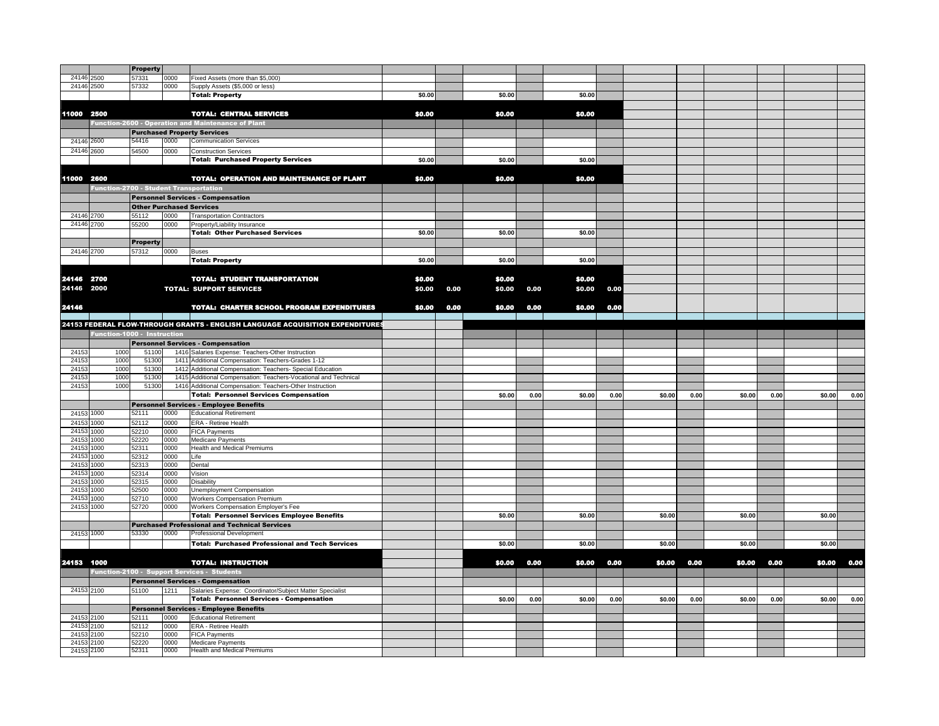|                          |                                               | Property        |              |                                                                               |        |      |        |      |        |      |        |      |        |      |        |      |
|--------------------------|-----------------------------------------------|-----------------|--------------|-------------------------------------------------------------------------------|--------|------|--------|------|--------|------|--------|------|--------|------|--------|------|
| 24146 2500               |                                               | 57331           | 0000         | Fixed Assets (more than \$5,000)                                              |        |      |        |      |        |      |        |      |        |      |        |      |
| 24146 2500               |                                               | 57332           | 0000         | Supply Assets (\$5,000 or less)                                               |        |      |        |      |        |      |        |      |        |      |        |      |
|                          |                                               |                 |              | <b>Total: Property</b>                                                        | \$0.00 |      | \$0.00 |      | \$0.00 |      |        |      |        |      |        |      |
|                          |                                               |                 |              |                                                                               |        |      |        |      |        |      |        |      |        |      |        |      |
| 11000 2500               |                                               |                 |              | <b>TOTAL: CENTRAL SERVICES</b>                                                | \$0,00 |      | \$0,00 |      | \$0,00 |      |        |      |        |      |        |      |
|                          |                                               |                 |              |                                                                               |        |      |        |      |        |      |        |      |        |      |        |      |
|                          |                                               |                 |              | Function-2600 - Operation and Maintenance of Plant                            |        |      |        |      |        |      |        |      |        |      |        |      |
|                          |                                               |                 |              | <b>Purchased Property Services</b>                                            |        |      |        |      |        |      |        |      |        |      |        |      |
| 24146 2600               |                                               | 54416           | 0000         | <b>Communication Services</b>                                                 |        |      |        |      |        |      |        |      |        |      |        |      |
| 24146 2600               |                                               | 54500           | 0000         | <b>Construction Services</b>                                                  |        |      |        |      |        |      |        |      |        |      |        |      |
|                          |                                               |                 |              | <b>Total: Purchased Property Services</b>                                     | \$0.00 |      | \$0.00 |      | \$0.00 |      |        |      |        |      |        |      |
|                          |                                               |                 |              |                                                                               |        |      |        |      |        |      |        |      |        |      |        |      |
| 11000 2600               |                                               |                 |              | <b>TOTAL: OPERATION AND MAINTENANCE OF PLANT</b>                              | \$0.00 |      | \$0.00 |      | \$0.00 |      |        |      |        |      |        |      |
|                          | <b>Function-2700 - Student Transportation</b> |                 |              |                                                                               |        |      |        |      |        |      |        |      |        |      |        |      |
|                          |                                               |                 |              | <b>Personnel Services - Compensation</b>                                      |        |      |        |      |        |      |        |      |        |      |        |      |
|                          |                                               |                 |              |                                                                               |        |      |        |      |        |      |        |      |        |      |        |      |
|                          |                                               |                 |              | <b>Other Purchased Services</b>                                               |        |      |        |      |        |      |        |      |        |      |        |      |
| 24146 2700               |                                               | 55112           | 0000         | <b>Transportation Contractors</b>                                             |        |      |        |      |        |      |        |      |        |      |        |      |
| 24146 2700               |                                               | 55200           | 0000         | Property/Liability Insurance                                                  |        |      |        |      |        |      |        |      |        |      |        |      |
|                          |                                               |                 |              | <b>Total: Other Purchased Services</b>                                        | \$0.00 |      | \$0.00 |      | \$0.00 |      |        |      |        |      |        |      |
|                          |                                               | <b>Property</b> |              |                                                                               |        |      |        |      |        |      |        |      |        |      |        |      |
| 24146 2700               |                                               | 57312           | 0000         | <b>Buses</b>                                                                  |        |      |        |      |        |      |        |      |        |      |        |      |
|                          |                                               |                 |              | <b>Total: Property</b>                                                        | \$0.00 |      | \$0.00 |      | \$0.00 |      |        |      |        |      |        |      |
|                          |                                               |                 |              |                                                                               |        |      |        |      |        |      |        |      |        |      |        |      |
| 24146 2700               |                                               |                 |              | <b>TOTAL: STUDENT TRANSPORTATION</b>                                          | \$0.00 |      | \$0.00 |      | \$0.00 |      |        |      |        |      |        |      |
| 24146 2000               |                                               |                 |              | <b>TOTAL: SUPPORT SERVICES</b>                                                | \$0.00 | 0.00 | \$0.00 | 0.00 | \$0.00 | 0.00 |        |      |        |      |        |      |
|                          |                                               |                 |              |                                                                               |        |      |        |      |        |      |        |      |        |      |        |      |
|                          |                                               |                 |              |                                                                               |        |      |        |      |        |      |        |      |        |      |        |      |
| 24146                    |                                               |                 |              | <b>TOTAL: CHARTER SCHOOL PROGRAM EXPENDITURES</b>                             | \$0.00 | 0.00 | \$0.00 | 0.00 | \$0.00 | 0.00 |        |      |        |      |        |      |
|                          |                                               |                 |              |                                                                               |        |      |        |      |        |      |        |      |        |      |        |      |
|                          |                                               |                 |              | 24153 FEDERAL FLOW-THROUGH GRANTS - ENGLISH LANGUAGE ACQUISITION EXPENDITURES |        |      |        |      |        |      |        |      |        |      |        |      |
|                          | Function-1000 - Instruction                   |                 |              |                                                                               |        |      |        |      |        |      |        |      |        |      |        |      |
|                          |                                               |                 |              | <b>Personnel Services - Compensation</b>                                      |        |      |        |      |        |      |        |      |        |      |        |      |
| 24153                    | 1000                                          | 51100           |              | 1416 Salaries Expense: Teachers-Other Instruction                             |        |      |        |      |        |      |        |      |        |      |        |      |
| 24153                    | 1000                                          | 51300           |              | 1411 Additional Compensation: Teachers-Grades 1-12                            |        |      |        |      |        |      |        |      |        |      |        |      |
|                          |                                               |                 |              |                                                                               |        |      |        |      |        |      |        |      |        |      |        |      |
| 2415                     | 1000                                          | 51300           |              | 1412 Additional Compensation: Teachers- Special Education                     |        |      |        |      |        |      |        |      |        |      |        |      |
| 2415                     | 1000                                          | 51300           |              | 1415 Additional Compensation: Teachers-Vocational and Technical               |        |      |        |      |        |      |        |      |        |      |        |      |
| 24153                    | 1000                                          | 51300           |              | 1416 Additional Compensation: Teachers-Other Instruction                      |        |      |        |      |        |      |        |      |        |      |        |      |
|                          |                                               |                 |              | <b>Total: Personnel Services Compensation</b>                                 |        |      | \$0.00 | 0.00 | \$0.00 | 0.00 | \$0.00 | 0.00 | \$0.00 | 0.00 | \$0.00 | 0.00 |
|                          |                                               |                 |              | Personnel Services - Employee Benefits                                        |        |      |        |      |        |      |        |      |        |      |        |      |
| 24153 1000               |                                               | 52111           | 0000         | <b>Educational Retirement</b>                                                 |        |      |        |      |        |      |        |      |        |      |        |      |
|                          |                                               |                 |              |                                                                               |        |      |        |      |        |      |        |      |        |      |        |      |
| 24153 1000               |                                               | 52112           | 0000         | ERA - Retiree Health                                                          |        |      |        |      |        |      |        |      |        |      |        |      |
| 24153 1000               |                                               | 52210           | 0000         | <b>FICA Payments</b>                                                          |        |      |        |      |        |      |        |      |        |      |        |      |
| 24153 1000               |                                               | 52220           | 0000         | Medicare Payments                                                             |        |      |        |      |        |      |        |      |        |      |        |      |
| 24153 1000               |                                               | 52311           | 0000         | <b>Health and Medical Premiums</b>                                            |        |      |        |      |        |      |        |      |        |      |        |      |
| 24153 1000               |                                               | 52312           | 0000         | Life                                                                          |        |      |        |      |        |      |        |      |        |      |        |      |
| 24153 1000               |                                               | 52313           | 0000         | Dental                                                                        |        |      |        |      |        |      |        |      |        |      |        |      |
| 24153 1000<br>24153 1000 |                                               | 52314<br>52315  | 0000<br>0000 | Vision<br><b>Disability</b>                                                   |        |      |        |      |        |      |        |      |        |      |        |      |
| 2415                     | 1000                                          | 52500           | 0000         |                                                                               |        |      |        |      |        |      |        |      |        |      |        |      |
| 2415                     | 1000                                          | 52710           | 0000         | Unemployment Compensation<br><b>Workers Compensation Premium</b>              |        |      |        |      |        |      |        |      |        |      |        |      |
|                          |                                               |                 | 0000         |                                                                               |        |      |        |      |        |      |        |      |        |      |        |      |
| 24153 1000               |                                               | 52720           |              | Workers Compensation Employer's Fee                                           |        |      | \$0.00 |      | \$0.00 |      | \$0.00 |      | \$0.00 |      | \$0.00 |      |
|                          |                                               |                 |              | <b>Total: Personnel Services Employee Benefits</b>                            |        |      |        |      |        |      |        |      |        |      |        |      |
|                          |                                               |                 |              | <b>Purchased Professional and Technical Services</b>                          |        |      |        |      |        |      |        |      |        |      |        |      |
| 24153 1000               |                                               | 53330           | 0000         | Professional Development                                                      |        |      |        |      |        |      |        |      |        |      |        |      |
|                          |                                               |                 |              | <b>Total: Purchased Professional and Tech Services</b>                        |        |      | \$0.00 |      | \$0.00 |      | \$0.00 |      | \$0.00 |      | \$0.00 |      |
|                          |                                               |                 |              |                                                                               |        |      |        |      |        |      |        |      |        |      |        |      |
| 24153 1000               |                                               |                 |              | <b>TOTAL: INSTRUCTION</b>                                                     |        |      | \$0.00 | 0.00 | \$0.00 | 0.00 | \$0.00 | 0.00 | \$0.00 | 0.00 | \$0.00 | 0.00 |
|                          |                                               |                 |              | Function-2100 - Support Services - Students                                   |        |      |        |      |        |      |        |      |        |      |        |      |
|                          |                                               |                 |              | <b>Personnel Services - Compensation</b>                                      |        |      |        |      |        |      |        |      |        |      |        |      |
| 24153 2100               |                                               | 51100           | 1211         | Salaries Expense: Coordinator/Subject Matter Specialist                       |        |      |        |      |        |      |        |      |        |      |        |      |
|                          |                                               |                 |              | <b>Total: Personnel Services - Compensation</b>                               |        |      | \$0.00 | 0.00 | \$0.00 | 0.00 | \$0.00 | 0.00 | \$0.00 | 0.00 | \$0.00 | 0.00 |
|                          |                                               |                 |              |                                                                               |        |      |        |      |        |      |        |      |        |      |        |      |
|                          |                                               |                 |              | <b>Personnel Services - Employee Benefits</b>                                 |        |      |        |      |        |      |        |      |        |      |        |      |
| 24153 2100               |                                               | 52111           | 0000         | <b>Educational Retirement</b>                                                 |        |      |        |      |        |      |        |      |        |      |        |      |
| 24153 2100               |                                               | 52112           | 0000         | ERA - Retiree Health                                                          |        |      |        |      |        |      |        |      |        |      |        |      |
| 24153 2100               |                                               | 52210           | 0000         | <b>FICA Payments</b>                                                          |        |      |        |      |        |      |        |      |        |      |        |      |
| 24153 2100<br>24153 2100 |                                               | 52220<br>52311  | 0000<br>0000 | Medicare Payments<br>Health and Medical Premiums                              |        |      |        |      |        |      |        |      |        |      |        |      |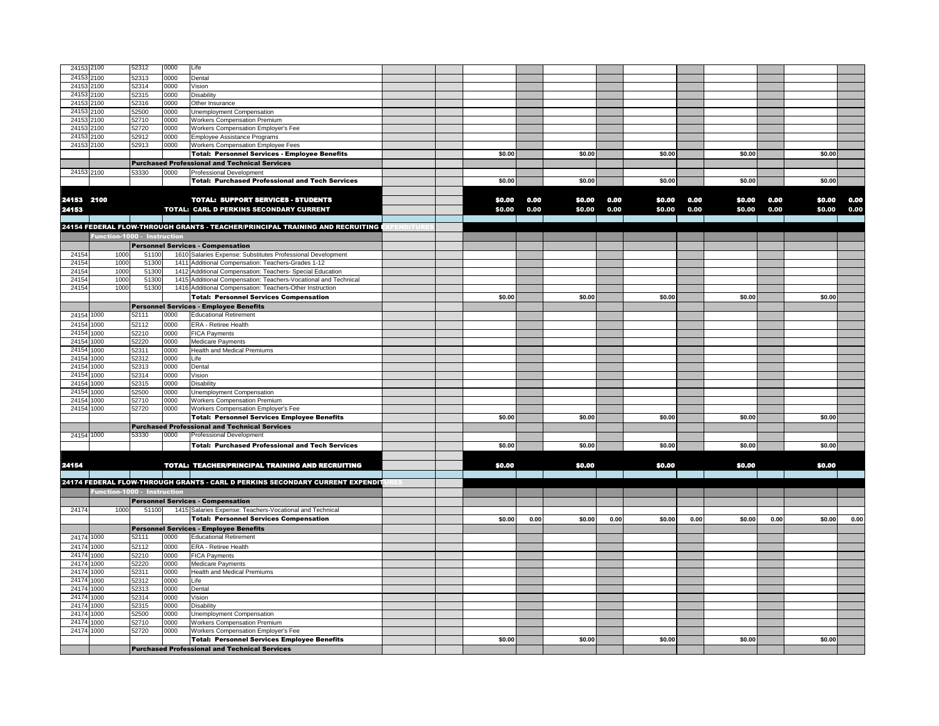| 24153      | 2100                        | 52312 | 0000 | Life                                                                          |  |        |      |        |      |        |      |        |      |        |      |
|------------|-----------------------------|-------|------|-------------------------------------------------------------------------------|--|--------|------|--------|------|--------|------|--------|------|--------|------|
| 24153      | 2100                        | 52313 | 0000 | Dental                                                                        |  |        |      |        |      |        |      |        |      |        |      |
| 24153      | 2100                        | 52314 | 0000 | Vision                                                                        |  |        |      |        |      |        |      |        |      |        |      |
| 24153      | 2100                        | 52315 | 0000 | <b>Disability</b>                                                             |  |        |      |        |      |        |      |        |      |        |      |
| 2415       | 2100                        | 52316 | 0000 | Other Insurance                                                               |  |        |      |        |      |        |      |        |      |        |      |
| 24153      | 2100                        | 52500 | 0000 | Unemployment Compensation                                                     |  |        |      |        |      |        |      |        |      |        |      |
| 24153      | 2100                        | 52710 | 0000 | <b>Workers Compensation Premium</b>                                           |  |        |      |        |      |        |      |        |      |        |      |
| 2415       | 100                         | 52720 | 0000 | Workers Compensation Employer's Fee                                           |  |        |      |        |      |        |      |        |      |        |      |
| 2415       | 2100                        | 52912 | 0000 | Employee Assistance Programs                                                  |  |        |      |        |      |        |      |        |      |        |      |
| 24153      | 2100                        | 52913 | 0000 | Workers Compensation Employee Fees                                            |  |        |      |        |      |        |      |        |      |        |      |
|            |                             |       |      | <b>Total: Personnel Services - Employee Benefits</b>                          |  | \$0.00 |      | \$0.00 |      | \$0.00 |      | \$0.00 |      | \$0.00 |      |
|            |                             |       |      | <b>Purchased Professional and Technical Services</b>                          |  |        |      |        |      |        |      |        |      |        |      |
| 24153 2100 |                             | 53330 | 0000 | Professional Development                                                      |  |        |      |        |      |        |      |        |      |        |      |
|            |                             |       |      | <b>Total: Purchased Professional and Tech Services</b>                        |  | \$0.00 |      | \$0.00 |      | \$0.00 |      | \$0.00 |      | \$0.00 |      |
|            |                             |       |      |                                                                               |  |        |      |        |      |        |      |        |      |        |      |
| 24153 2100 |                             |       |      | <b>TOTAL: SUPPORT SERVICES - STUDENTS</b>                                     |  | \$0.00 | 0.00 | \$0.00 | 0.00 | \$0.00 | 0.00 | \$0.00 | 0.00 | \$0.00 | 0.00 |
|            |                             |       |      |                                                                               |  |        |      |        |      |        |      |        | 0.00 |        |      |
| 24153      |                             |       |      | TOTAL: CARL D PERKINS SECONDARY CURRENT                                       |  | \$0.00 | 0.00 | \$0.00 | 0.00 | \$0,00 | 0.00 | \$0.00 |      | \$0.00 | 0.00 |
|            |                             |       |      |                                                                               |  |        |      |        |      |        |      |        |      |        |      |
|            |                             |       |      | 24154 FEDERAL FLOW-THROUGH GRANTS - TEACHER/PRINCIPAL TRAINING AND RECRUITING |  |        |      |        |      |        |      |        |      |        |      |
|            | Function-1000 - Instruction |       |      |                                                                               |  |        |      |        |      |        |      |        |      |        |      |
|            |                             |       |      | <b>Personnel Services - Compensation</b>                                      |  |        |      |        |      |        |      |        |      |        |      |
| 2415       | 1000                        | 51100 |      | 1610 Salaries Expense: Substitutes Professional Development                   |  |        |      |        |      |        |      |        |      |        |      |
| 24154      | 1000                        | 51300 |      | 1411 Additional Compensation: Teachers-Grades 1-12                            |  |        |      |        |      |        |      |        |      |        |      |
| 24154      | 1000                        | 51300 |      | 1412 Additional Compensation: Teachers- Special Education                     |  |        |      |        |      |        |      |        |      |        |      |
| 24154      | 1000                        | 51300 |      | 1415 Additional Compensation: Teachers-Vocational and Technical               |  |        |      |        |      |        |      |        |      |        |      |
| 24154      | 1000                        | 51300 |      | 1416 Additional Compensation: Teachers-Other Instruction                      |  |        |      |        |      |        |      |        |      |        |      |
|            |                             |       |      | <b>Total: Personnel Services Compensation</b>                                 |  | \$0.00 |      | \$0.00 |      | \$0.00 |      | \$0.00 |      | \$0.00 |      |
|            |                             |       |      | <b>Personnel Services - Employee Benefits</b>                                 |  |        |      |        |      |        |      |        |      |        |      |
| 24154 1000 |                             | 52111 | 0000 | <b>Educational Retirement</b>                                                 |  |        |      |        |      |        |      |        |      |        |      |
| 24154 1000 |                             | 52112 | 0000 | ERA - Retiree Health                                                          |  |        |      |        |      |        |      |        |      |        |      |
| 24154      | 1000                        | 52210 | 0000 | <b>FICA Payments</b>                                                          |  |        |      |        |      |        |      |        |      |        |      |
| 24154      | 1000                        | 52220 | 0000 | Medicare Payments                                                             |  |        |      |        |      |        |      |        |      |        |      |
| 24154      | 1000                        | 52311 | 0000 | Health and Medical Premiums                                                   |  |        |      |        |      |        |      |        |      |        |      |
| 24154      | 1000                        | 52312 | 0000 | Life                                                                          |  |        |      |        |      |        |      |        |      |        |      |
| 24154      | 1000                        | 52313 | 0000 | Dental                                                                        |  |        |      |        |      |        |      |        |      |        |      |
| 24154      | 1000                        | 52314 | 0000 | Vision                                                                        |  |        |      |        |      |        |      |        |      |        |      |
| 24154      | 1000                        | 52315 | 0000 | Disability                                                                    |  |        |      |        |      |        |      |        |      |        |      |
| 2415       | 1000                        | 52500 | 0000 | Unemployment Compensation                                                     |  |        |      |        |      |        |      |        |      |        |      |
| 2415       | 1000                        | 52710 | 0000 | <b>Workers Compensation Premium</b>                                           |  |        |      |        |      |        |      |        |      |        |      |
| 24154      | 1000                        | 52720 | 0000 | Workers Compensation Employer's Fee                                           |  |        |      |        |      |        |      |        |      |        |      |
|            |                             |       |      | <b>Total: Personnel Services Employee Benefits</b>                            |  | \$0.00 |      | \$0.00 |      | \$0.00 |      | \$0.00 |      | \$0.00 |      |
|            |                             |       |      | <b>Purchased Professional and Technical Services</b>                          |  |        |      |        |      |        |      |        |      |        |      |
| 24154 1000 |                             | 53330 | 0000 | Professional Development                                                      |  |        |      |        |      |        |      |        |      |        |      |
|            |                             |       |      | <b>Total: Purchased Professional and Tech Services</b>                        |  | \$0.00 |      | \$0.00 |      | \$0.00 |      | \$0.00 |      | \$0.00 |      |
|            |                             |       |      |                                                                               |  |        |      |        |      |        |      |        |      |        |      |
| 24154      |                             |       |      | <b>TOTAL: TEACHER/PRINCIPAL TRAINING AND RECRUITING</b>                       |  | \$0.00 |      | \$0.00 |      | \$0.00 |      | \$0.00 |      | \$0.00 |      |
|            |                             |       |      |                                                                               |  |        |      |        |      |        |      |        |      |        |      |
|            |                             |       |      | 24174 FEDERAL FLOW-THROUGH GRANTS - CARL D PERKINS SECONDARY CURRENT EXPENDIT |  |        |      |        |      |        |      |        |      |        |      |
|            | Function-1000 - Instruction |       |      |                                                                               |  |        |      |        |      |        |      |        |      |        |      |
|            |                             |       |      | <b>Personnel Services - Compensation</b>                                      |  |        |      |        |      |        |      |        |      |        |      |
| 24174      | 1000                        | 51100 |      | 1415 Salaries Expense: Teachers-Vocational and Technical                      |  |        |      |        |      |        |      |        |      |        |      |
|            |                             |       |      | <b>Total: Personnel Services Compensation</b>                                 |  | \$0.00 | 0.00 | \$0.00 | 0.00 | \$0.00 | 0.00 | \$0.00 | 0.00 | \$0.00 | 0.00 |
|            |                             |       |      | <b>Personnel Services - Employee Benefits</b>                                 |  |        |      |        |      |        |      |        |      |        |      |
| 24174      | 1000                        | 52111 | 0000 | <b>Educational Retirement</b>                                                 |  |        |      |        |      |        |      |        |      |        |      |
| 24174      | 1000                        | 52112 | 0000 | ERA - Retiree Health                                                          |  |        |      |        |      |        |      |        |      |        |      |
| 24174      | 1000                        | 52210 | 0000 | <b>FICA Payments</b>                                                          |  |        |      |        |      |        |      |        |      |        |      |
| 24174      | 1000                        | 52220 | 0000 | <b>Medicare Payments</b>                                                      |  |        |      |        |      |        |      |        |      |        |      |
| 24174      | 1000                        | 52311 | 0000 | Health and Medical Premiums                                                   |  |        |      |        |      |        |      |        |      |        |      |
| 24174      | 1000                        | 52312 | 0000 | Life                                                                          |  |        |      |        |      |        |      |        |      |        |      |
| 24174      | 1000                        | 52313 | 0000 | Dental                                                                        |  |        |      |        |      |        |      |        |      |        |      |
| 2417       | 1000                        | 52314 | 0000 | Vision                                                                        |  |        |      |        |      |        |      |        |      |        |      |
| 24174      | 1000                        | 52315 | 0000 | <b>Disability</b>                                                             |  |        |      |        |      |        |      |        |      |        |      |
| 2417       | 1000                        | 52500 | 0000 | Unemployment Compensation                                                     |  |        |      |        |      |        |      |        |      |        |      |
| 24174      | 1000                        | 52710 | 0000 | <b>Workers Compensation Premium</b>                                           |  |        |      |        |      |        |      |        |      |        |      |
| 24174 1000 |                             | 52720 | 0000 | Workers Compensation Employer's Fee                                           |  |        |      |        |      |        |      |        |      |        |      |
|            |                             |       |      | <b>Total: Personnel Services Employee Benefits</b>                            |  | \$0.00 |      | \$0.00 |      | \$0.00 |      | \$0.00 |      | \$0.00 |      |
|            |                             |       |      | <b>Purchased Professional and Technical Services</b>                          |  |        |      |        |      |        |      |        |      |        |      |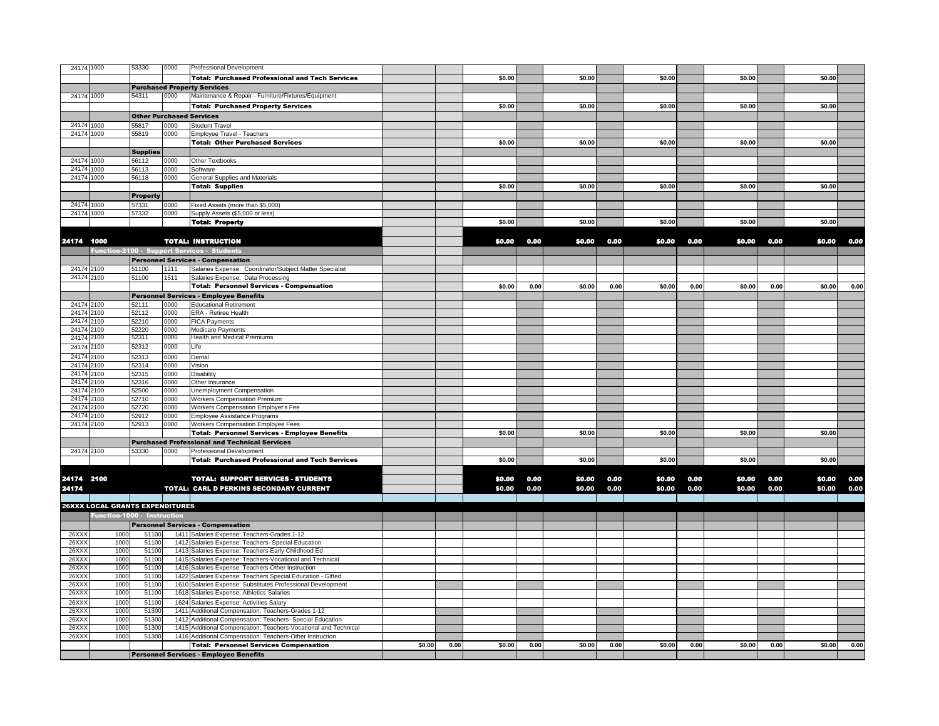| 24174 1000     |                                        | 53330           | 0000         | <b>Professional Development</b>                                                                               |        |      |        |      |        |      |        |      |        |      |        |      |
|----------------|----------------------------------------|-----------------|--------------|---------------------------------------------------------------------------------------------------------------|--------|------|--------|------|--------|------|--------|------|--------|------|--------|------|
|                |                                        |                 |              | <b>Total: Purchased Professional and Tech Services</b>                                                        |        |      | \$0.00 |      | \$0.00 |      | \$0.00 |      | \$0.00 |      | \$0.00 |      |
|                |                                        |                 |              | <b>Purchased Property Services</b>                                                                            |        |      |        |      |        |      |        |      |        |      |        |      |
| 24174 1000     |                                        | 54311           | 0000         | Maintenance & Repair - Furniture/Fixtures/Equipment                                                           |        |      |        |      |        |      |        |      |        |      |        |      |
|                |                                        |                 |              | <b>Total: Purchased Property Services</b>                                                                     |        |      | \$0.00 |      | \$0.00 |      | \$0.00 |      | \$0.00 |      | \$0.00 |      |
|                |                                        |                 |              | <b>Other Purchased Services</b>                                                                               |        |      |        |      |        |      |        |      |        |      |        |      |
| 24174          | 1000                                   | 55817           | 0000         | <b>Student Travel</b>                                                                                         |        |      |        |      |        |      |        |      |        |      |        |      |
| 24174 1000     |                                        | 55819           | 0000         | Employee Travel - Teachers                                                                                    |        |      |        |      |        |      |        |      |        |      |        |      |
|                |                                        |                 |              | <b>Total: Other Purchased Services</b>                                                                        |        |      | \$0.00 |      | \$0.00 |      | \$0.00 |      | \$0.00 |      | \$0.00 |      |
|                |                                        | <b>Supplies</b> |              |                                                                                                               |        |      |        |      |        |      |        |      |        |      |        |      |
| 24174          | 1000                                   | 56112           | 0000         | Other Textbooks                                                                                               |        |      |        |      |        |      |        |      |        |      |        |      |
| 24174          | 1000                                   | 56113           | 0000         | Software                                                                                                      |        |      |        |      |        |      |        |      |        |      |        |      |
| 24174 1000     |                                        | 56118           | 0000         | General Supplies and Materials                                                                                |        |      |        |      |        |      |        |      |        |      |        |      |
|                |                                        |                 |              | <b>Total: Supplies</b>                                                                                        |        |      | \$0.00 |      | \$0.00 |      | \$0.00 |      | \$0.00 |      | \$0.00 |      |
|                |                                        | <b>Property</b> |              |                                                                                                               |        |      |        |      |        |      |        |      |        |      |        |      |
| 24174          | 1000                                   | 57331           | 0000         | Fixed Assets (more than \$5,000)                                                                              |        |      |        |      |        |      |        |      |        |      |        |      |
| 24174 1000     |                                        | 57332           | 0000         | Supply Assets (\$5,000 or less)                                                                               |        |      |        |      |        |      |        |      |        |      |        |      |
|                |                                        |                 |              | <b>Total: Property</b>                                                                                        |        |      | \$0.00 |      | \$0.00 |      | \$0.00 |      | \$0.00 |      | \$0.00 |      |
|                |                                        |                 |              |                                                                                                               |        |      |        |      |        |      |        |      |        |      |        |      |
| 24174 1000     |                                        |                 |              | <b>TOTAL: INSTRUCTION</b>                                                                                     |        |      | \$0.00 | 0.00 | \$0.00 | 0.00 | \$0.00 | 0.00 | \$0.00 | 0.00 | \$0.00 | 0.00 |
|                |                                        |                 |              | Function-2100 - Support Services - Students                                                                   |        |      |        |      |        |      |        |      |        |      |        |      |
|                |                                        |                 |              | <b>Personnel Services - Compensation</b>                                                                      |        |      |        |      |        |      |        |      |        |      |        |      |
| 24174 2100     |                                        | 51100           | 1211         | Salaries Expense: Coordinator/Subject Matter Specialist                                                       |        |      |        |      |        |      |        |      |        |      |        |      |
| 24174 2100     |                                        | 51100           | 1511         | Salaries Expense: Data Processing                                                                             |        |      |        |      |        |      |        |      |        |      |        |      |
|                |                                        |                 |              | <b>Total: Personnel Services - Compensation</b>                                                               |        |      | \$0.00 | 0.00 | \$0.00 | 0.00 | \$0.00 | 0.00 | \$0.00 | 0.00 | \$0.00 | 0.00 |
|                |                                        |                 |              | <b>Personnel Services - Employee Benefits</b>                                                                 |        |      |        |      |        |      |        |      |        |      |        |      |
| 24174 2100     |                                        | 52111           | 0000         | <b>Educational Retirement</b>                                                                                 |        |      |        |      |        |      |        |      |        |      |        |      |
| 24174 2100     |                                        | 52112           | 0000         | ERA - Retiree Health                                                                                          |        |      |        |      |        |      |        |      |        |      |        |      |
| 24174 2100     |                                        | 52210           | 0000         | <b>FICA Payments</b>                                                                                          |        |      |        |      |        |      |        |      |        |      |        |      |
| 24174          | 2100<br>2100                           | 52220<br>52311  | 0000<br>0000 | <b>Medicare Payments</b><br>Health and Medical Premiums                                                       |        |      |        |      |        |      |        |      |        |      |        |      |
| 24174          |                                        | 52312           | 0000         |                                                                                                               |        |      |        |      |        |      |        |      |        |      |        |      |
| 24174          | 2100                                   |                 |              | Life                                                                                                          |        |      |        |      |        |      |        |      |        |      |        |      |
| 24174<br>24174 | 2100<br>2100                           | 52313<br>52314  | 0000<br>0000 | Dental                                                                                                        |        |      |        |      |        |      |        |      |        |      |        |      |
| 2417           | 2100                                   | 52315           | 0000         | Vision<br>Disability                                                                                          |        |      |        |      |        |      |        |      |        |      |        |      |
| 24174          | 2100                                   | 52316           | 0000         | Other Insurance                                                                                               |        |      |        |      |        |      |        |      |        |      |        |      |
| 24174          | 2100                                   | 52500           | 0000         | Unemployment Compensation                                                                                     |        |      |        |      |        |      |        |      |        |      |        |      |
| 24174          | 2100                                   | 52710           | 0000         | <b>Workers Compensation Premium</b>                                                                           |        |      |        |      |        |      |        |      |        |      |        |      |
| 24174          | 2100                                   | 52720           | ეიიი         | Workers Compensation Employer's Fee                                                                           |        |      |        |      |        |      |        |      |        |      |        |      |
| 24174          | 2100                                   | 52912           | 0000         | Employee Assistance Programs                                                                                  |        |      |        |      |        |      |        |      |        |      |        |      |
| 24174 2100     |                                        | 52913           | 0000         | Workers Compensation Employee Fees                                                                            |        |      |        |      |        |      |        |      |        |      |        |      |
|                |                                        |                 |              | <b>Total: Personnel Services - Employee Benefits</b>                                                          |        |      | \$0.00 |      | \$0.00 |      | \$0.00 |      | \$0.00 |      | \$0.00 |      |
|                |                                        |                 |              | <b>Purchased Professional and Technical Services</b>                                                          |        |      |        |      |        |      |        |      |        |      |        |      |
| 24174 2100     |                                        | 53330           | 0000         | <b>Professional Development</b>                                                                               |        |      |        |      |        |      |        |      |        |      |        |      |
|                |                                        |                 |              | <b>Total: Purchased Professional and Tech Services</b>                                                        |        |      | \$0.00 |      | \$0.00 |      | \$0.00 |      | \$0.00 |      | \$0.00 |      |
|                |                                        |                 |              |                                                                                                               |        |      |        |      |        |      |        |      |        |      |        |      |
| 24174 2100     |                                        |                 |              | <b>TOTAL: SUPPORT SERVICES - STUDENTS</b>                                                                     |        |      | \$0.00 | 0.00 | \$0.00 | 0.00 | \$0.00 | 0.00 | \$0.00 | 0.00 | \$0.00 | 0.00 |
| 24174          |                                        |                 |              | TOTAL: CARL D PERKINS SECONDARY CURRENT                                                                       |        |      | \$0.00 | 0.00 | \$0.00 | 0.00 | \$0.00 | 0.00 | \$0.00 | 0.00 | \$0.00 | 0.00 |
|                |                                        |                 |              |                                                                                                               |        |      |        |      |        |      |        |      |        |      |        |      |
|                | <b>26XXX LOCAL GRANTS EXPENDITURES</b> |                 |              |                                                                                                               |        |      |        |      |        |      |        |      |        |      |        |      |
|                | Function-1000 - Instruction            |                 |              |                                                                                                               |        |      |        |      |        |      |        |      |        |      |        |      |
|                |                                        |                 |              | <b>Personnel Services - Compensation</b>                                                                      |        |      |        |      |        |      |        |      |        |      |        |      |
| 26XX)          | 1000                                   | 51100           |              | 1411 Salaries Expense: Teachers-Grades 1-12                                                                   |        |      |        |      |        |      |        |      |        |      |        |      |
| 26XX           | 1000                                   | 51100           |              | 1412 Salaries Expense: Teachers- Special Education                                                            |        |      |        |      |        |      |        |      |        |      |        |      |
| 26XX           | 1000                                   | 51100           |              | 1413 Salaries Expense: Teachers-Early Childhood Ed                                                            |        |      |        |      |        |      |        |      |        |      |        |      |
| 26XX<br>26XX   | 1000<br>1000                           | 5110<br>5110    |              | 1415 Salaries Expense: Teachers-Vocational and Technical<br>1416 Salaries Expense: Teachers-Other Instruction |        |      |        |      |        |      |        |      |        |      |        |      |
| 26XX)          | 1000                                   | 5110            |              | 1422 Salaries Expense: Teachers Special Education - Gifted                                                    |        |      |        |      |        |      |        |      |        |      |        |      |
| 26XX           | 1000                                   | 5110            |              | 1610 Salaries Expense: Substitutes Professional Development                                                   |        |      |        |      |        |      |        |      |        |      |        |      |
| 26XX           | 1000                                   | 5110            |              | 1618 Salaries Expense: Athletics Salaries                                                                     |        |      |        |      |        |      |        |      |        |      |        |      |
| 26XX)          | 1000                                   | 5110            |              | 1624 Salaries Expense: Activities Salary                                                                      |        |      |        |      |        |      |        |      |        |      |        |      |
| 26XX)          | 1000                                   | 51300           |              | 1411 Additional Compensation: Teachers-Grades 1-12                                                            |        |      |        |      |        |      |        |      |        |      |        |      |
| 26XX           | 1000                                   | 5130            |              | 1412 Additional Compensation: Teachers- Special Education                                                     |        |      |        |      |        |      |        |      |        |      |        |      |
| 26XX)          | 1000                                   | 5130            | 1415         | Additional Compensation: Teachers-Vocational and Technical                                                    |        |      |        |      |        |      |        |      |        |      |        |      |
| 26XX)          | 1000                                   | 51300           |              | 1416 Additional Compensation: Teachers-Other Instruction                                                      |        |      |        |      |        |      |        |      |        |      |        |      |
|                |                                        |                 |              | <b>Total: Personnel Services Compensation</b>                                                                 | \$0.00 | 0.00 | \$0.00 | 0.00 | \$0.00 | 0.00 | \$0.00 | 0.00 | \$0.00 | 0.00 | \$0.00 | 0.00 |
|                |                                        |                 |              | <b>Personnel Services - Employee Benefits</b>                                                                 |        |      |        |      |        |      |        |      |        |      |        |      |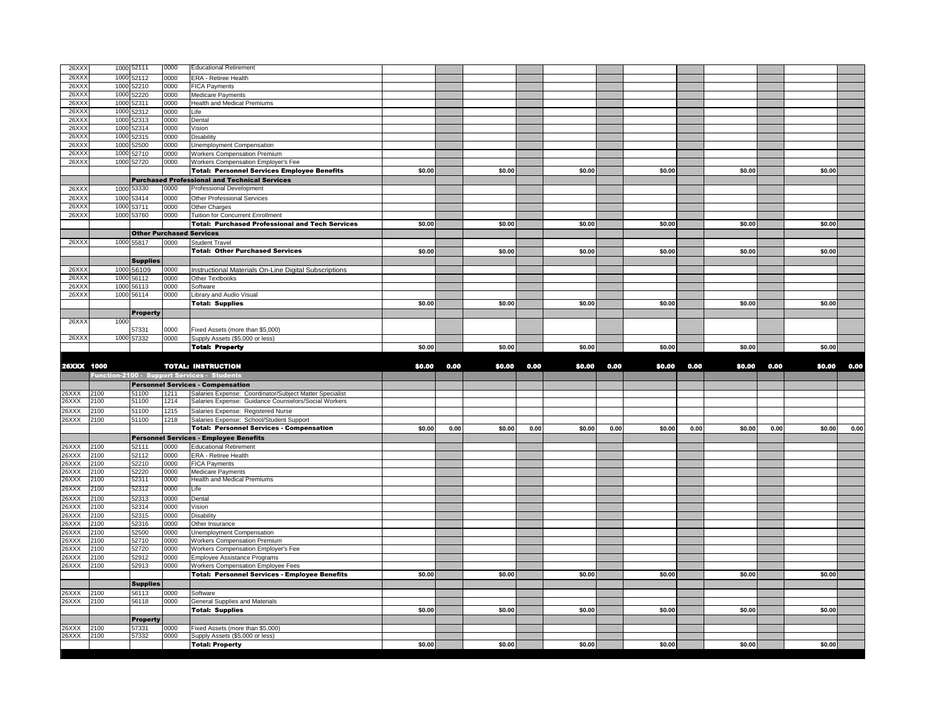| 26XX           |              | 1000 52111                      | 0000         | <b>Educational Retirement</b>                                                  |        |      |        |      |        |      |        |      |        |      |        |      |
|----------------|--------------|---------------------------------|--------------|--------------------------------------------------------------------------------|--------|------|--------|------|--------|------|--------|------|--------|------|--------|------|
| 26XX)          | 1000         | 52112                           | 0000         | ERA - Retiree Health                                                           |        |      |        |      |        |      |        |      |        |      |        |      |
| 26XX           |              | 1000 52210                      | 0000         | <b>FICA Payments</b>                                                           |        |      |        |      |        |      |        |      |        |      |        |      |
| 26XX           | 1000         | 52220                           | 0000         | Medicare Payments                                                              |        |      |        |      |        |      |        |      |        |      |        |      |
| 26XX           | 1000         | 52311                           | 0000         | <b>Health and Medical Premiums</b>                                             |        |      |        |      |        |      |        |      |        |      |        |      |
| 26XX           |              | 1000 52312                      | 0000         | ife                                                                            |        |      |        |      |        |      |        |      |        |      |        |      |
| 26XX           |              | 1000 52313                      | 0000         | Dental                                                                         |        |      |        |      |        |      |        |      |        |      |        |      |
| 26XX           |              | 1000 52314                      | 0000         | Vision                                                                         |        |      |        |      |        |      |        |      |        |      |        |      |
| 26XX           | 1000         | 52315                           | 0000         | Disability                                                                     |        |      |        |      |        |      |        |      |        |      |        |      |
| 26XX<br>26XX   | 1000         | 52500<br>1000 52710             | 2000<br>0000 | Unemployment Compensation                                                      |        |      |        |      |        |      |        |      |        |      |        |      |
| 26XX)          |              | 1000 52720                      | 0000         | <b>Workers Compensation Premium</b><br>Workers Compensation Employer's Fee     |        |      |        |      |        |      |        |      |        |      |        |      |
|                |              |                                 |              | <b>Total: Personnel Services Employee Benefits</b>                             | \$0.00 |      | \$0.00 |      | \$0.00 |      | \$0.00 |      | \$0.00 |      | \$0.00 |      |
|                |              |                                 |              | <b>Purchased Professional and Technical Services</b>                           |        |      |        |      |        |      |        |      |        |      |        |      |
| 26XX)          | 1000         | 53330                           | 0000         | Professional Development                                                       |        |      |        |      |        |      |        |      |        |      |        |      |
| 26XX           | 1000         | 53414                           | 0000         | Other Professional Services                                                    |        |      |        |      |        |      |        |      |        |      |        |      |
| 26XX           | 1000         | 53711                           | 0000         | Other Charges                                                                  |        |      |        |      |        |      |        |      |        |      |        |      |
| 26XX)          |              | 1000 53760                      | 0000         | Tuition for Concurrent Enrollment                                              |        |      |        |      |        |      |        |      |        |      |        |      |
|                |              |                                 |              | <b>Total: Purchased Professional and Tech Services</b>                         | \$0.00 |      | \$0.00 |      | \$0.00 |      | \$0.00 |      | \$0.00 |      | \$0.00 |      |
|                |              | <b>Other Purchased Services</b> |              |                                                                                |        |      |        |      |        |      |        |      |        |      |        |      |
| 26XX           |              | 1000 55817                      | 0000         | <b>Student Travel</b>                                                          |        |      |        |      |        |      |        |      |        |      |        |      |
|                |              |                                 |              | <b>Total: Other Purchased Services</b>                                         | \$0.00 |      | \$0.00 |      | \$0.00 |      | \$0.00 |      | \$0.00 |      | \$0.00 |      |
|                |              | <b>Supplies</b>                 |              |                                                                                |        |      |        |      |        |      |        |      |        |      |        |      |
| 26XX           |              | 1000 56109                      | 0000         | Instructional Materials On-Line Digital Subscriptions                          |        |      |        |      |        |      |        |      |        |      |        |      |
| 26XX           |              | 1000 56112                      | 0000         | <b>Other Textbooks</b>                                                         |        |      |        |      |        |      |        |      |        |      |        |      |
| 26XX)          |              | 1000 56113                      | 0000         | Software                                                                       |        |      |        |      |        |      |        |      |        |      |        |      |
| 26XX)          |              | 1000 56114                      | 0000         | Library and Audio Visual                                                       |        |      |        |      |        |      |        |      |        |      |        |      |
|                |              |                                 |              | <b>Total: Supplies</b>                                                         | \$0.00 |      | \$0.00 |      | \$0.00 |      | \$0.00 |      | \$0.00 |      | \$0.00 |      |
|                |              | <b>Property</b>                 |              |                                                                                |        |      |        |      |        |      |        |      |        |      |        |      |
| 26XX)          | 1000         |                                 |              |                                                                                |        |      |        |      |        |      |        |      |        |      |        |      |
|                |              | 57331                           | 0000         | Fixed Assets (more than \$5,000)                                               |        |      |        |      |        |      |        |      |        |      |        |      |
| 26XX)          |              | 1000 57332                      | 0000         | Supply Assets (\$5,000 or less)                                                |        |      |        |      |        |      |        |      |        |      |        |      |
|                |              |                                 |              | <b>Total: Property</b>                                                         | \$0.00 |      | \$0.00 |      | \$0.00 |      | \$0.00 |      | \$0.00 |      | \$0.00 |      |
|                |              |                                 |              |                                                                                |        |      |        |      |        |      |        |      |        |      |        |      |
|                |              |                                 |              |                                                                                |        |      |        |      |        |      |        |      |        |      |        |      |
| 26XXX 1000     |              |                                 |              | <b>TOTAL: INSTRUCTION</b>                                                      | \$0.00 | 0.00 | \$0.00 | 0.00 | \$0.00 | 0.00 | \$0.00 | 0.00 | \$0.00 | 0.00 | \$0.00 | 0.00 |
|                |              |                                 |              | Function-2100 - Support Services - Students                                    |        |      |        |      |        |      |        |      |        |      |        |      |
|                |              |                                 |              | <b>Personnel Services - Compensation</b>                                       |        |      |        |      |        |      |        |      |        |      |        |      |
| 26XXX          | 2100         | 51100                           | 1211         | Salaries Expense: Coordinator/Subject Matter Specialist                        |        |      |        |      |        |      |        |      |        |      |        |      |
| 26XXX          | 2100         | 51100                           | 1214         | Salaries Expense: Guidance Counselors/Social Workers                           |        |      |        |      |        |      |        |      |        |      |        |      |
| 26XXX          | 2100         | 51100                           | 1215         | Salaries Expense: Registered Nurse                                             |        |      |        |      |        |      |        |      |        |      |        |      |
| 26XXX          | 2100         | 51100                           | 1218         | Salaries Expense: School/Student Support                                       |        |      |        |      |        |      | \$0.00 |      |        |      | \$0.00 |      |
|                |              |                                 |              | <b>Total: Personnel Services - Compensation</b>                                | \$0.00 | 0.00 | \$0.00 | 0.00 | \$0.00 | 0.00 |        | 0.00 | \$0.00 | 0.00 |        | 0.00 |
| 26XXX          | 2100         | 52111                           | 0000         | <b>Personnel Services - Employee Benefits</b><br><b>Educational Retirement</b> |        |      |        |      |        |      |        |      |        |      |        |      |
| 26XXX          | 2100         | 52112                           | 0000         | ERA - Retiree Health                                                           |        |      |        |      |        |      |        |      |        |      |        |      |
| 26XXX          | 2100         | 52210                           | 0000         | <b>FICA Payments</b>                                                           |        |      |        |      |        |      |        |      |        |      |        |      |
| 26XXX          | 2100         | 52220                           | 0000         | <b>Medicare Payments</b>                                                       |        |      |        |      |        |      |        |      |        |      |        |      |
| 26XXX          | 2100         | 52311                           | 0000         | Health and Medical Premiums                                                    |        |      |        |      |        |      |        |      |        |      |        |      |
| 26XXX          | 2100         | 52312                           | 0000         | Life                                                                           |        |      |        |      |        |      |        |      |        |      |        |      |
| 26XXX          | 2100         | 52313                           | 0000         | Dental                                                                         |        |      |        |      |        |      |        |      |        |      |        |      |
| 26XXX          | 2100         | 52314                           | 0000         | /ision                                                                         |        |      |        |      |        |      |        |      |        |      |        |      |
| 26XXX          | 2100         | 52315                           | 0000         | <b>Disability</b>                                                              |        |      |        |      |        |      |        |      |        |      |        |      |
| 26XXX          | 2100         | 52316                           | 0000         | Other Insurance                                                                |        |      |        |      |        |      |        |      |        |      |        |      |
| 26XXX<br>26XXX | 2100         | 52500                           | 0000<br>0000 | Unemployment Compensation                                                      |        |      |        |      |        |      |        |      |        |      |        |      |
| 26XXX          | 2100<br>2100 | 52710                           | 0000         | <b>Workers Compensation Premium</b>                                            |        |      |        |      |        |      |        |      |        |      |        |      |
| 26XXX          | 2100         | 52720<br>52912                  | 0000         | Workers Compensation Employer's Fee<br>Employee Assistance Programs            |        |      |        |      |        |      |        |      |        |      |        |      |
| 26XXX          | 2100         | 52913                           | 0000         | Workers Compensation Employee Fees                                             |        |      |        |      |        |      |        |      |        |      |        |      |
|                |              |                                 |              | <b>Total: Personnel Services - Employee Benefits</b>                           | \$0.00 |      | \$0.00 |      | \$0.00 |      | \$0.00 |      | \$0.00 |      | \$0.00 |      |
|                |              | <b>Supplies</b>                 |              |                                                                                |        |      |        |      |        |      |        |      |        |      |        |      |
| 26XXX          | 2100         | 56113                           | 0000         | Software                                                                       |        |      |        |      |        |      |        |      |        |      |        |      |
| 26XXX          | 2100         | 56118                           | 0000         | General Supplies and Materials                                                 |        |      |        |      |        |      |        |      |        |      |        |      |
|                |              |                                 |              | <b>Total: Supplies</b>                                                         | \$0.00 |      | \$0.00 |      | \$0.00 |      | \$0.00 |      | \$0.00 |      | \$0.00 |      |
|                |              | <b>Property</b>                 |              |                                                                                |        |      |        |      |        |      |        |      |        |      |        |      |
| 26XXX          | 2100         | 57331                           | 0000         | Fixed Assets (more than \$5,000)                                               |        |      |        |      |        |      |        |      |        |      |        |      |
| 26XXX          | 2100         | 57332                           | 0000         | Supply Assets (\$5,000 or less)<br><b>Total: Property</b>                      | \$0.00 |      | \$0.00 |      | \$0.00 |      | \$0.00 |      | \$0.00 |      | \$0.00 |      |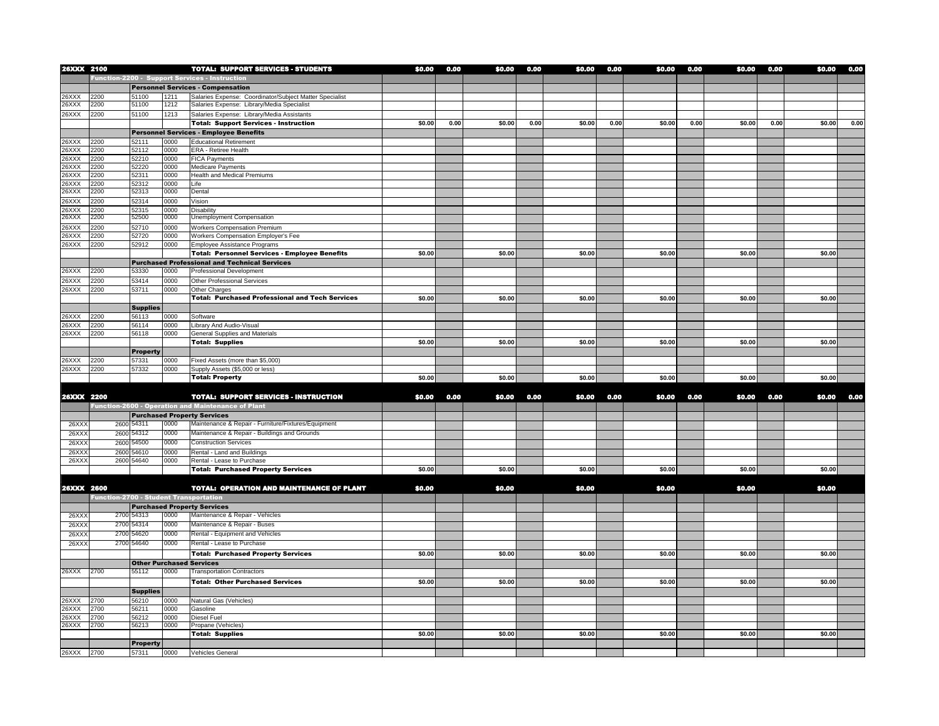| 26XXX 2100     |                                               |                 |              | <b>TOTAL: SUPPORT SERVICES - STUDENTS</b>                 | \$0.00 | 0.00 | \$0.00 | 0.00 | \$0.00 | 0.00 | \$0.00 | 0.00 | \$0.00 | 0.00 | \$0.00 | 0.00 |
|----------------|-----------------------------------------------|-----------------|--------------|-----------------------------------------------------------|--------|------|--------|------|--------|------|--------|------|--------|------|--------|------|
|                |                                               |                 |              | Function-2200 - Support Services - Instruction            |        |      |        |      |        |      |        |      |        |      |        |      |
|                |                                               |                 |              | <b>Personnel Services - Compensation</b>                  |        |      |        |      |        |      |        |      |        |      |        |      |
| 26XXX          | 2200                                          | 51100           | 1211         | Salaries Expense: Coordinator/Subject Matter Specialist   |        |      |        |      |        |      |        |      |        |      |        |      |
| 26XXX          | 2200                                          | 51100           | 1212         | Salaries Expense: Library/Media Specialist                |        |      |        |      |        |      |        |      |        |      |        |      |
| 26XXX          | 2200                                          | 51100           | 1213         | Salaries Expense: Library/Media Assistants                |        |      |        |      |        |      |        |      |        |      |        |      |
|                |                                               |                 |              | <b>Total: Support Services - Instruction</b>              | \$0.00 | 0.00 | \$0.00 | 0.00 | \$0.00 | 0.00 | \$0.00 | 0.00 | \$0.00 | 0.00 | \$0.00 | 0.00 |
|                |                                               |                 |              | <b>Personnel Services - Employee Benefits</b>             |        |      |        |      |        |      |        |      |        |      |        |      |
| 26XXX          | 2200                                          | 52111           | 0000         | <b>Educational Retirement</b>                             |        |      |        |      |        |      |        |      |        |      |        |      |
| 26XXX          | 2200                                          | 52112           | 0000         | ERA - Retiree Health                                      |        |      |        |      |        |      |        |      |        |      |        |      |
| 26XXX          | 2200                                          | 52210           | 0000         | <b>FICA Payments</b>                                      |        |      |        |      |        |      |        |      |        |      |        |      |
| 26XXX          | 2200                                          | 52220           | 0000         | <b>Medicare Payments</b>                                  |        |      |        |      |        |      |        |      |        |      |        |      |
| 26XXX          | 2200                                          | 52311           | 0000         | <b>Health and Medical Premiums</b>                        |        |      |        |      |        |      |        |      |        |      |        |      |
| 26XXX<br>26XXX | 2200<br>2200                                  | 52312<br>52313  | 0000<br>0000 | Life<br>Dental                                            |        |      |        |      |        |      |        |      |        |      |        |      |
|                |                                               |                 |              |                                                           |        |      |        |      |        |      |        |      |        |      |        |      |
| 26XXX<br>26XXX | 2200<br>2200                                  | 52314<br>52315  | 0000<br>0000 | Vision<br><b>Disability</b>                               |        |      |        |      |        |      |        |      |        |      |        |      |
| 26XXX          | 2200                                          | 52500           | 0000         | <b>Unemployment Compensation</b>                          |        |      |        |      |        |      |        |      |        |      |        |      |
| 26XXX          | 2200                                          | 52710           | 0000         | <b>Workers Compensation Premium</b>                       |        |      |        |      |        |      |        |      |        |      |        |      |
| 26XXX          | 2200                                          | 52720           | 0000         | Workers Compensation Employer's Fee                       |        |      |        |      |        |      |        |      |        |      |        |      |
| 26XXX          | 2200                                          | 52912           | 0000         | <b>Employee Assistance Programs</b>                       |        |      |        |      |        |      |        |      |        |      |        |      |
|                |                                               |                 |              | <b>Total: Personnel Services - Employee Benefits</b>      | \$0.00 |      | \$0.00 |      | \$0.00 |      | \$0.00 |      | \$0.00 |      | \$0.00 |      |
|                |                                               |                 |              | <b>Purchased Professional and Technical Services</b>      |        |      |        |      |        |      |        |      |        |      |        |      |
| 26XXX          | 2200                                          | 53330           | 0000         | <b>Professional Development</b>                           |        |      |        |      |        |      |        |      |        |      |        |      |
| 26XXX          | 2200                                          | 53414           | 0000         | Other Professional Services                               |        |      |        |      |        |      |        |      |        |      |        |      |
| 26XXX          | 2200                                          | 53711           | 0000         | Other Charges                                             |        |      |        |      |        |      |        |      |        |      |        |      |
|                |                                               |                 |              | <b>Total: Purchased Professional and Tech Services</b>    | \$0.00 |      | \$0.00 |      | \$0.00 |      | \$0.00 |      | \$0.00 |      | \$0.00 |      |
|                |                                               | <b>Supplies</b> |              |                                                           |        |      |        |      |        |      |        |      |        |      |        |      |
| 26XXX          | 2200                                          | 56113           | 0000         | Software                                                  |        |      |        |      |        |      |        |      |        |      |        |      |
| 26XXX          | 2200                                          | 56114           | 0000         | Library And Audio-Visual                                  |        |      |        |      |        |      |        |      |        |      |        |      |
| 26XXX          | 2200                                          | 56118           | 0000         | General Supplies and Materials                            |        |      |        |      |        |      |        |      |        |      |        |      |
|                |                                               |                 |              | <b>Total: Supplies</b>                                    | \$0.00 |      | \$0.00 |      | \$0.00 |      | \$0.00 |      | \$0.00 |      | \$0.00 |      |
|                |                                               | <b>Property</b> |              |                                                           |        |      |        |      |        |      |        |      |        |      |        |      |
| 26XXX          | 2200                                          | 57331           | 0000         | Fixed Assets (more than \$5,000)                          |        |      |        |      |        |      |        |      |        |      |        |      |
| 26XXX          | 2200                                          | 57332           | 0000         | Supply Assets (\$5,000 or less)                           |        |      |        |      |        |      |        |      |        |      |        |      |
|                |                                               |                 |              | <b>Total: Property</b>                                    | \$0.00 |      | \$0.00 |      | \$0.00 |      | \$0.00 |      | \$0.00 |      | \$0.00 |      |
|                |                                               |                 |              |                                                           |        |      |        |      |        |      |        |      |        |      |        |      |
| 26XXX 2200     |                                               |                 |              | <b>TOTAL: SUPPORT SERVICES - INSTRUCTION</b>              | \$0.00 | 0.00 | \$0.00 | 0.00 | \$0.00 | 0.00 | \$0.00 | 0.00 | \$0.00 | 0.00 | \$0.00 | 0.00 |
|                |                                               |                 |              | <b>Function-2600 - Operation and Maintenance of Plant</b> |        |      |        |      |        |      |        |      |        |      |        |      |
|                |                                               |                 |              | <b>Purchased Property Services</b>                        |        |      |        |      |        |      |        |      |        |      |        |      |
| 26XX)          | 2600                                          | 54311           | 0000         | Maintenance & Repair - Furniture/Fixtures/Equipment       |        |      |        |      |        |      |        |      |        |      |        |      |
| 26XX           | 2600                                          | 54312           | 0000         | Maintenance & Repair - Buildings and Grounds              |        |      |        |      |        |      |        |      |        |      |        |      |
| 26XX           | 2600                                          | 54500           | 0000         | <b>Construction Services</b>                              |        |      |        |      |        |      |        |      |        |      |        |      |
| 26XX)          | 2600                                          | 54610           | 0000         | Rental - Land and Buildings                               |        |      |        |      |        |      |        |      |        |      |        |      |
| 26XX)          |                                               | 2600 54640      | 0000         | Rental - Lease to Purchase                                |        |      |        |      |        |      |        |      |        |      |        |      |
|                |                                               |                 |              | <b>Total: Purchased Property Services</b>                 | \$0.00 |      | \$0.00 |      | \$0.00 |      | \$0.00 |      | \$0.00 |      | \$0.00 |      |
|                |                                               |                 |              |                                                           |        |      |        |      |        |      |        |      |        |      |        |      |
| 26XXX 2600     |                                               |                 |              | <b>TOTAL: OPERATION AND MAINTENANCE OF PLANT</b>          | \$0.00 |      | \$0.00 |      | \$0.00 |      | \$0.00 |      | \$0.00 |      | \$0.00 |      |
|                | <b>Function-2700 - Student Transportation</b> |                 |              |                                                           |        |      |        |      |        |      |        |      |        |      |        |      |
|                |                                               |                 |              | <b>Purchased Property Services</b>                        |        |      |        |      |        |      |        |      |        |      |        |      |
| 26XX)          | 2700                                          | 54313           | 0000         | Maintenance & Repair - Vehicles                           |        |      |        |      |        |      |        |      |        |      |        |      |
| 26XX)          | 2700                                          | 54314           | 0000         | Maintenance & Repair - Buses                              |        |      |        |      |        |      |        |      |        |      |        |      |
| 26XX           | 2700                                          | 54620           | 0000         | Rental - Equipment and Vehicles                           |        |      |        |      |        |      |        |      |        |      |        |      |
| 26XX)          |                                               | 2700 54640      | 0000         | Rental - Lease to Purchase                                |        |      |        |      |        |      |        |      |        |      |        |      |
|                |                                               |                 |              | <b>Total: Purchased Property Services</b>                 | \$0.00 |      | \$0.00 |      | \$0.00 |      | \$0.00 |      | \$0.00 |      | \$0.00 |      |
|                |                                               |                 |              | <b>Other Purchased Services</b>                           |        |      |        |      |        |      |        |      |        |      |        |      |
| 26XXX          | 2700                                          | 55112           | 0000         | <b>Transportation Contractors</b>                         |        |      |        |      |        |      |        |      |        |      |        |      |
|                |                                               |                 |              | <b>Total: Other Purchased Services</b>                    | \$0.00 |      | \$0.00 |      | \$0.00 |      | \$0.00 |      | \$0.00 |      | \$0.00 |      |
|                |                                               | <b>Supplies</b> |              |                                                           |        |      |        |      |        |      |        |      |        |      |        |      |
| 6XXX           | 2700                                          | 56210           | 0000         | Natural Gas (Vehicles)                                    |        |      |        |      |        |      |        |      |        |      |        |      |
| 26XXX          | 2700                                          | 56211           | 0000         | Gasoline                                                  |        |      |        |      |        |      |        |      |        |      |        |      |
| 6XXX           | 2700                                          | 56212           | 0000         | <b>Diesel Fuel</b>                                        |        |      |        |      |        |      |        |      |        |      |        |      |
| 26XXX          | 2700                                          | 56213           | 0000         | Propane (Vehicles)                                        |        |      |        |      |        |      |        |      |        |      |        |      |
|                |                                               |                 |              | <b>Total: Supplies</b>                                    | \$0.00 |      | \$0.00 |      | \$0.00 |      | \$0.00 |      | \$0.00 |      | \$0.00 |      |
|                |                                               | <b>Property</b> |              |                                                           |        |      |        |      |        |      |        |      |        |      |        |      |
| 26XXX 2700     |                                               | 57311           | 0000         | Vehicles General                                          |        |      |        |      |        |      |        |      |        |      |        |      |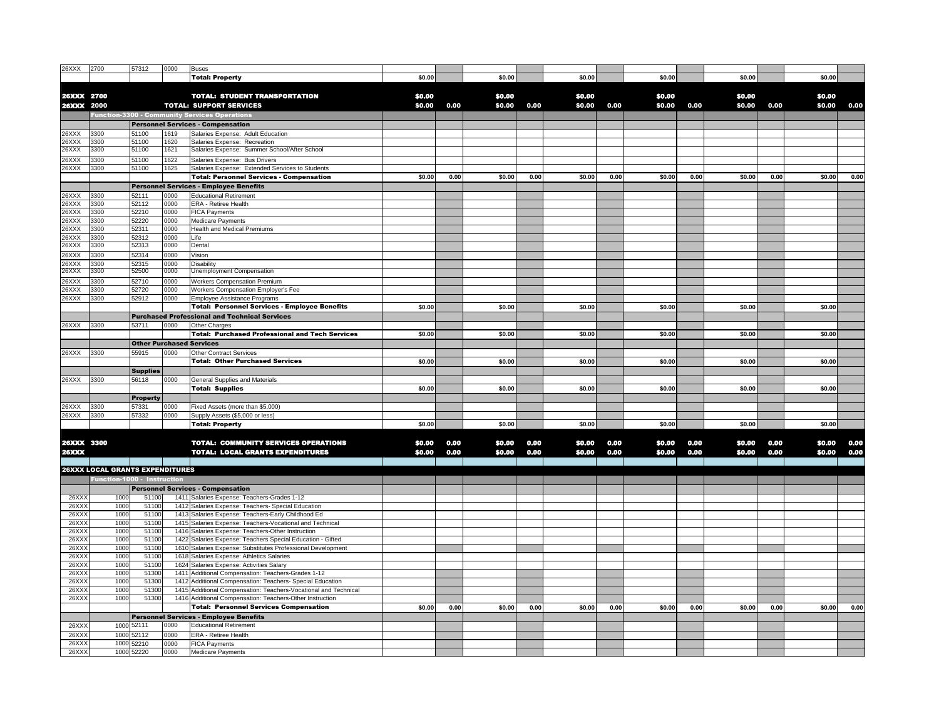| 26XXX             | 2700                                   | 57312               | 0000         | <b>Buses</b>                                                                                                              |        |      |        |      |        |      |        |      |        |      |        |      |
|-------------------|----------------------------------------|---------------------|--------------|---------------------------------------------------------------------------------------------------------------------------|--------|------|--------|------|--------|------|--------|------|--------|------|--------|------|
|                   |                                        |                     |              | <b>Total: Property</b>                                                                                                    | \$0.00 |      | \$0.00 |      | \$0.00 |      | \$0.00 |      | \$0.00 |      | \$0.00 |      |
|                   |                                        |                     |              |                                                                                                                           |        |      |        |      |        |      |        |      |        |      |        |      |
|                   |                                        |                     |              |                                                                                                                           |        |      |        |      |        |      |        |      |        |      |        |      |
| 26XXX 2700        |                                        |                     |              | <b>TOTAL: STUDENT TRANSPORTATION</b>                                                                                      | \$0,00 |      | \$0.00 |      | \$0,00 |      | \$0.00 |      | \$0.00 |      | \$0.00 |      |
| <b>26XXX 2000</b> |                                        |                     |              | <b>TOTAL: SUPPORT SERVICES</b>                                                                                            | \$0,00 | 0.00 | \$0.00 | 0.00 | \$0.00 | 0.00 | \$0.00 | 0.00 | \$0.00 | 0.00 | \$0.00 | 0.00 |
|                   |                                        |                     |              | <b>Function-3300 - Community Services Operations</b>                                                                      |        |      |        |      |        |      |        |      |        |      |        |      |
|                   |                                        |                     |              | <b>Personnel Services - Compensation</b>                                                                                  |        |      |        |      |        |      |        |      |        |      |        |      |
| 26XXX             | 3300                                   | 51100               | 1619         | Salaries Expense: Adult Education                                                                                         |        |      |        |      |        |      |        |      |        |      |        |      |
| 26XXX             | 3300                                   | 51100               | 1620         | Salaries Expense: Recreation                                                                                              |        |      |        |      |        |      |        |      |        |      |        |      |
| 26XXX             | 3300                                   | 51100               | 1621         | Salaries Expense: Summer School/After School                                                                              |        |      |        |      |        |      |        |      |        |      |        |      |
| 26XXX             | 3300                                   | 51100               | 1622         | Salaries Expense: Bus Drivers                                                                                             |        |      |        |      |        |      |        |      |        |      |        |      |
| 26XXX             | 3300                                   | 51100               | 1625         |                                                                                                                           |        |      |        |      |        |      |        |      |        |      |        |      |
|                   |                                        |                     |              | Salaries Expense: Extended Services to Students                                                                           |        |      |        |      |        |      |        |      |        |      |        |      |
|                   |                                        |                     |              | <b>Total: Personnel Services - Compensation</b>                                                                           | \$0.00 | 0.00 | \$0.00 | 0.00 | \$0.00 | 0.00 | \$0.00 | 0.00 | \$0.00 | 0.00 | \$0.00 | 0.00 |
|                   |                                        |                     |              | <b>Personnel Services - Employee Benefits</b>                                                                             |        |      |        |      |        |      |        |      |        |      |        |      |
| 26XXX             | 3300                                   | 52111               | 0000         | <b>Educational Retirement</b>                                                                                             |        |      |        |      |        |      |        |      |        |      |        |      |
| 26XXX             | 3300                                   | 52112               | 0000         | <b>ERA - Retiree Health</b>                                                                                               |        |      |        |      |        |      |        |      |        |      |        |      |
| 26XXX             | 3300                                   | 52210               | 0000         | <b>FICA Payments</b>                                                                                                      |        |      |        |      |        |      |        |      |        |      |        |      |
| 26XXX             | 3300                                   | 52220               | 0000         | <b>Medicare Payments</b>                                                                                                  |        |      |        |      |        |      |        |      |        |      |        |      |
| 26XXX             | 3300                                   | 52311               | 0000         | <b>Health and Medical Premiums</b>                                                                                        |        |      |        |      |        |      |        |      |        |      |        |      |
| 26XXX             | 3300                                   | 52312               | 0000         | Life                                                                                                                      |        |      |        |      |        |      |        |      |        |      |        |      |
| 26XXX             | 3300                                   | 52313               | 0000         | Dental                                                                                                                    |        |      |        |      |        |      |        |      |        |      |        |      |
| 26XXX             | 3300                                   | 52314               | 0000         | Vision                                                                                                                    |        |      |        |      |        |      |        |      |        |      |        |      |
|                   |                                        |                     |              |                                                                                                                           |        |      |        |      |        |      |        |      |        |      |        |      |
| 26XXX<br>26XXX    | 3300                                   | 52315<br>52500      | 0000<br>0000 | Disability                                                                                                                |        |      |        |      |        |      |        |      |        |      |        |      |
|                   | 3300                                   |                     |              | Unemployment Compensation                                                                                                 |        |      |        |      |        |      |        |      |        |      |        |      |
| 26XXX             | 3300                                   | 52710               | 0000         | Workers Compensation Premium                                                                                              |        |      |        |      |        |      |        |      |        |      |        |      |
| 26XXX             | 3300                                   | 52720               | 0000         | Workers Compensation Employer's Fee                                                                                       |        |      |        |      |        |      |        |      |        |      |        |      |
| 26XXX             | 3300                                   | 52912               | 0000         | <b>Employee Assistance Programs</b>                                                                                       |        |      |        |      |        |      |        |      |        |      |        |      |
|                   |                                        |                     |              | <b>Total: Personnel Services - Employee Benefits</b>                                                                      | \$0.00 |      | \$0.00 |      | \$0.00 |      | \$0.00 |      | \$0.00 |      | \$0.00 |      |
|                   |                                        |                     |              | <b>Purchased Professional and Technical Services</b>                                                                      |        |      |        |      |        |      |        |      |        |      |        |      |
| 26XXX             | 3300                                   | 53711               | 0000         | Other Charges                                                                                                             |        |      |        |      |        |      |        |      |        |      |        |      |
|                   |                                        |                     |              | <b>Total: Purchased Professional and Tech Services</b>                                                                    | \$0.00 |      | \$0.00 |      | \$0.00 |      | \$0.00 |      | \$0.00 |      | \$0.00 |      |
|                   |                                        |                     |              |                                                                                                                           |        |      |        |      |        |      |        |      |        |      |        |      |
|                   |                                        |                     |              | <b>Other Purchased Services</b>                                                                                           |        |      |        |      |        |      |        |      |        |      |        |      |
| 26XXX             | 3300                                   | 55915               | 0000         | <b>Other Contract Services</b>                                                                                            |        |      |        |      |        |      |        |      |        |      |        |      |
|                   |                                        |                     |              | <b>Total: Other Purchased Services</b>                                                                                    | \$0.00 |      | \$0.00 |      | \$0.00 |      | \$0.00 |      | \$0.00 |      | \$0.00 |      |
|                   |                                        |                     |              |                                                                                                                           |        |      |        |      |        |      |        |      |        |      |        |      |
|                   |                                        | <b>Supplies</b>     |              |                                                                                                                           |        |      |        |      |        |      |        |      |        |      |        |      |
|                   | 3300                                   |                     |              |                                                                                                                           |        |      |        |      |        |      |        |      |        |      |        |      |
| 26XXX             |                                        | 56118               | 0000         | <b>General Supplies and Materials</b>                                                                                     |        |      |        |      |        |      |        |      |        |      |        |      |
|                   |                                        |                     |              | <b>Total: Supplies</b>                                                                                                    | \$0.00 |      | \$0.00 |      | \$0.00 |      | \$0.00 |      | \$0.00 |      | \$0.00 |      |
|                   |                                        | <b>Property</b>     |              |                                                                                                                           |        |      |        |      |        |      |        |      |        |      |        |      |
| 26XXX             | 3300                                   | 57331               | 0000         | Fixed Assets (more than \$5,000)                                                                                          |        |      |        |      |        |      |        |      |        |      |        |      |
| 26XXX             | 3300                                   | 57332               | 0000         | Supply Assets (\$5,000 or less)                                                                                           |        |      |        |      |        |      |        |      |        |      |        |      |
|                   |                                        |                     |              | <b>Total: Property</b>                                                                                                    | \$0.00 |      | \$0.00 |      | \$0.00 |      | \$0.00 |      | \$0.00 |      | \$0.00 |      |
|                   |                                        |                     |              |                                                                                                                           |        |      |        |      |        |      |        |      |        |      |        |      |
| 26XXX 3300        |                                        |                     |              | <b>TOTAL: COMMUNITY SERVICES OPERATIONS</b>                                                                               | \$0,00 | 0,00 | \$0.00 | 0,00 | \$0.00 | 0.00 | \$0.00 | 0.00 | \$0.00 | 0.00 | \$0.00 | 0.00 |
| <b>26XXX</b>      |                                        |                     |              | <b>TOTAL: LOCAL GRANTS EXPENDITURES</b>                                                                                   | \$0,00 |      | \$0.00 | 0,00 | \$0,00 | 0,00 | \$0.00 | 0,00 |        | 0.00 | \$0.00 | 0.00 |
|                   |                                        |                     |              |                                                                                                                           |        | 0.00 |        |      |        |      |        |      | \$0.00 |      |        |      |
|                   |                                        |                     |              |                                                                                                                           |        |      |        |      |        |      |        |      |        |      |        |      |
|                   | <b>26XXX LOCAL GRANTS EXPENDITURES</b> |                     |              |                                                                                                                           |        |      |        |      |        |      |        |      |        |      |        |      |
|                   | Function-1000 - Instruction            |                     |              |                                                                                                                           |        |      |        |      |        |      |        |      |        |      |        |      |
|                   |                                        |                     |              | <b>Personnel Services - Compensation</b>                                                                                  |        |      |        |      |        |      |        |      |        |      |        |      |
| 26XX)             | 1000                                   | 51100               |              | 1411 Salaries Expense: Teachers-Grades 1-12                                                                               |        |      |        |      |        |      |        |      |        |      |        |      |
| 26XX              | 1000                                   | 5110                | 1412         | Salaries Expense: Teachers- Special Education                                                                             |        |      |        |      |        |      |        |      |        |      |        |      |
| 26XX              | 1000                                   | 51100               |              | 1413 Salaries Expense: Teachers-Early Childhood Ed                                                                        |        |      |        |      |        |      |        |      |        |      |        |      |
| 26XX              | 1000                                   | 51100               |              | 1415 Salaries Expense: Teachers-Vocational and Technical                                                                  |        |      |        |      |        |      |        |      |        |      |        |      |
| 26XX              | 1000                                   | 5110                |              | 1416 Salaries Expense: Teachers-Other Instruction                                                                         |        |      |        |      |        |      |        |      |        |      |        |      |
| 26XX)             | 1000                                   | 51100               |              |                                                                                                                           |        |      |        |      |        |      |        |      |        |      |        |      |
| 26XX)             | 1000                                   | 5110                |              | 1422 Salaries Expense: Teachers Special Education - Gifted<br>1610 Salaries Expense: Substitutes Professional Development |        |      |        |      |        |      |        |      |        |      |        |      |
| 26XX)             | 1000                                   | 5110                |              | 1618 Salaries Expense: Athletics Salaries                                                                                 |        |      |        |      |        |      |        |      |        |      |        |      |
|                   |                                        |                     |              |                                                                                                                           |        |      |        |      |        |      |        |      |        |      |        |      |
| 26XX              | 1000                                   | 5110                |              | 1624 Salaries Expense: Activities Salary                                                                                  |        |      |        |      |        |      |        |      |        |      |        |      |
| 26XX)             | 1000                                   | 51300               | 1412         | 1411 Additional Compensation: Teachers-Grades 1-12                                                                        |        |      |        |      |        |      |        |      |        |      |        |      |
| 26XX)             | 1000                                   | 51300               |              | Additional Compensation: Teachers- Special Education                                                                      |        |      |        |      |        |      |        |      |        |      |        |      |
| 26XX              | 1000                                   | 51300               |              | 1415 Additional Compensation: Teachers-Vocational and Technical                                                           |        |      |        |      |        |      |        |      |        |      |        |      |
| 26XX              | 1000                                   | 51300               |              | 1416 Additional Compensation: Teachers-Other Instruction                                                                  |        |      |        |      |        |      |        |      |        |      |        |      |
|                   |                                        |                     |              | <b>Total: Personnel Services Compensation</b>                                                                             | \$0.00 | 0.00 | \$0.00 | 0.00 | \$0.00 | 0.00 | \$0.00 | 0.00 | \$0.00 | 0.00 | \$0.00 | 0.00 |
|                   |                                        |                     |              | <b>Personnel Services - Employee Benefits</b>                                                                             |        |      |        |      |        |      |        |      |        |      |        |      |
| 26XX              | 1000                                   | 52111               | 0000         | <b>Educational Retirement</b>                                                                                             |        |      |        |      |        |      |        |      |        |      |        |      |
| 26XX              | 1000                                   | 52112               | 0000         | ERA - Retiree Health                                                                                                      |        |      |        |      |        |      |        |      |        |      |        |      |
| 26XX)             | 1000                                   | 52210<br>1000 52220 | 0000         | <b>FICA Payments</b>                                                                                                      |        |      |        |      |        |      |        |      |        |      |        |      |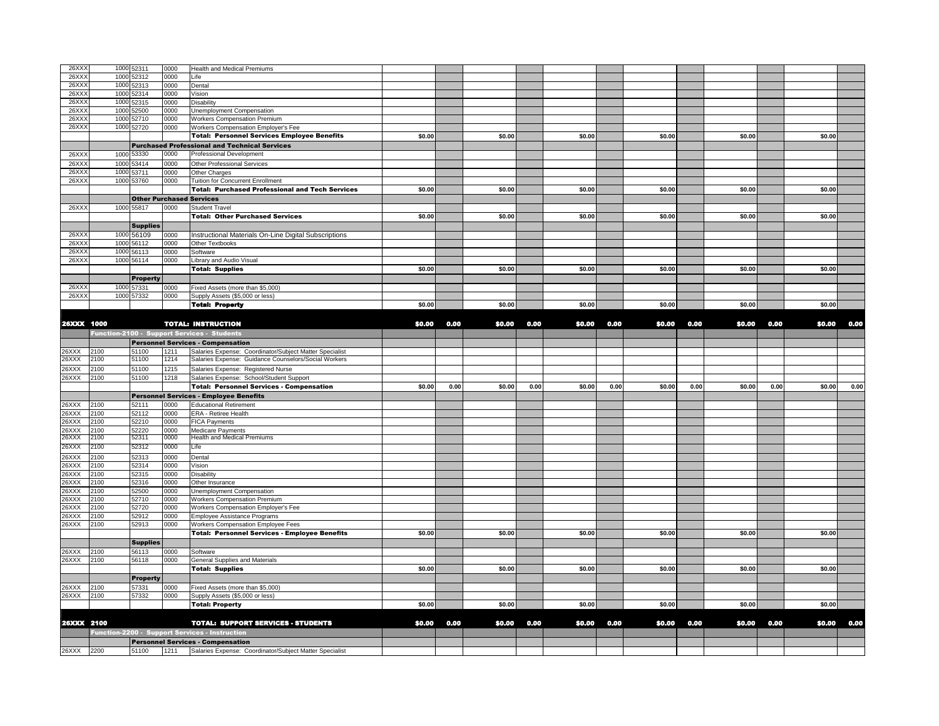| 26XX       |      | 1000 52311      | 0000 | <b>Health and Medical Premiums</b>                           |        |      |        |      |        |      |        |      |        |      |        |      |
|------------|------|-----------------|------|--------------------------------------------------------------|--------|------|--------|------|--------|------|--------|------|--------|------|--------|------|
| 26XX       | 1000 | 52312           | 0000 | Life                                                         |        |      |        |      |        |      |        |      |        |      |        |      |
| 26XX       | 1000 | 52313           | 0000 | Dental                                                       |        |      |        |      |        |      |        |      |        |      |        |      |
| 26XX       | 1000 | 52314           | 0000 | Vision                                                       |        |      |        |      |        |      |        |      |        |      |        |      |
| 26XX       | 1000 | 52315           | 0000 | Disability                                                   |        |      |        |      |        |      |        |      |        |      |        |      |
| 26XX       | 1000 | 52500           | 0000 | Unemployment Compensation                                    |        |      |        |      |        |      |        |      |        |      |        |      |
| 26XX       | 1000 | 52710           | 0000 | <b>Workers Compensation Premium</b>                          |        |      |        |      |        |      |        |      |        |      |        |      |
| 26XX)      |      | 1000 52720      | 0000 | Workers Compensation Employer's Fee                          |        |      |        |      |        |      |        |      |        |      |        |      |
|            |      |                 |      | <b>Total: Personnel Services Employee Benefits</b>           | \$0.00 |      | \$0.00 |      | \$0.00 |      | \$0.00 |      | \$0.00 |      | \$0.00 |      |
|            |      |                 |      |                                                              |        |      |        |      |        |      |        |      |        |      |        |      |
|            |      |                 |      | <b>Purchased Professional and Technical Services</b>         |        |      |        |      |        |      |        |      |        |      |        |      |
| 26XX       | 1000 | 53330           | 0000 | Professional Development                                     |        |      |        |      |        |      |        |      |        |      |        |      |
| 26XX       | 1000 | 53414           | 0000 | Other Professional Services                                  |        |      |        |      |        |      |        |      |        |      |        |      |
| 26XX       | 1000 | 53711           | 0000 | Other Charges                                                |        |      |        |      |        |      |        |      |        |      |        |      |
| 26XX       | 1000 | 53760           | 0000 | <b>Tuition for Concurrent Enrollment</b>                     |        |      |        |      |        |      |        |      |        |      |        |      |
|            |      |                 |      | <b>Total: Purchased Professional and Tech Services</b>       | \$0.00 |      | \$0.00 |      | \$0.00 |      | \$0.00 |      | \$0.00 |      | \$0.00 |      |
|            |      |                 |      | <b>Other Purchased Services</b>                              |        |      |        |      |        |      |        |      |        |      |        |      |
| 26XX       |      | 1000 55817      | 0000 | <b>Student Travel</b>                                        |        |      |        |      |        |      |        |      |        |      |        |      |
|            |      |                 |      |                                                              |        |      |        |      |        |      |        |      |        |      |        |      |
|            |      |                 |      | <b>Total: Other Purchased Services</b>                       | \$0.00 |      | \$0.00 |      | \$0.00 |      | \$0.00 |      | \$0.00 |      | \$0.00 |      |
|            |      | <b>Supplies</b> |      |                                                              |        |      |        |      |        |      |        |      |        |      |        |      |
| 26XX       | 1000 | 56109           | 0000 | Instructional Materials On-Line Digital Subscriptions        |        |      |        |      |        |      |        |      |        |      |        |      |
| 26XX       | 1000 | 56112           | 0000 | Other Textbooks                                              |        |      |        |      |        |      |        |      |        |      |        |      |
| 26XX       | 1000 | 56113           | 0000 | Software                                                     |        |      |        |      |        |      |        |      |        |      |        |      |
| 26XX)      | 1000 | 56114           | 0000 | Library and Audio Visual                                     |        |      |        |      |        |      |        |      |        |      |        |      |
|            |      |                 |      | <b>Total: Supplies</b>                                       | \$0.00 |      | \$0.00 |      | \$0.00 |      | \$0.00 |      | \$0.00 |      | \$0.00 |      |
|            |      | <b>Property</b> |      |                                                              |        |      |        |      |        |      |        |      |        |      |        |      |
|            |      |                 |      |                                                              |        |      |        |      |        |      |        |      |        |      |        |      |
| 26XX       |      | 1000 57331      | 0000 | Fixed Assets (more than \$5,000)                             |        |      |        |      |        |      |        |      |        |      |        |      |
| 26XX       |      | 1000 57332      | 0000 | Supply Assets (\$5,000 or less)                              |        |      |        |      |        |      |        |      |        |      |        |      |
|            |      |                 |      | <b>Total: Property</b>                                       | \$0.00 |      | \$0.00 |      | \$0.00 |      | \$0.00 |      | \$0.00 |      | \$0.00 |      |
|            |      |                 |      |                                                              |        |      |        |      |        |      |        |      |        |      |        |      |
| 26XXX 1000 |      |                 |      | <b>TOTAL: INSTRUCTION</b>                                    | \$0.00 | 0.00 | \$0.00 | 0.00 | \$0.00 | 0.00 | \$0.00 | 0.00 | \$0.00 | 0.00 | \$0.00 | 0.00 |
|            |      |                 |      | Function-2100 - Support Services - Students                  |        |      |        |      |        |      |        |      |        |      |        |      |
|            |      |                 |      | <b>Personnel Services - Compensation</b>                     |        |      |        |      |        |      |        |      |        |      |        |      |
|            |      |                 |      |                                                              |        |      |        |      |        |      |        |      |        |      |        |      |
| 26XXX      | 2100 | 51100           | 1211 | Salaries Expense: Coordinator/Subject Matter Specialist      |        |      |        |      |        |      |        |      |        |      |        |      |
|            |      |                 |      |                                                              |        |      |        |      |        |      |        |      |        |      |        |      |
| 26XXX      | 2100 | 51100           | 1214 | Salaries Expense: Guidance Counselors/Social Workers         |        |      |        |      |        |      |        |      |        |      |        |      |
| 26XXX      | 2100 | 51100           | 1215 | Salaries Expense: Registered Nurse                           |        |      |        |      |        |      |        |      |        |      |        |      |
| 26XXX      | 2100 | 51100           | 1218 | Salaries Expense: School/Student Support                     |        |      |        |      |        |      |        |      |        |      |        |      |
|            |      |                 |      | <b>Total: Personnel Services - Compensation</b>              | \$0.00 | 0.00 | \$0.00 | 0.00 | \$0.00 | 0.00 | \$0.00 | 0.00 | \$0.00 | 0.00 | \$0.00 | 0.00 |
|            |      |                 |      |                                                              |        |      |        |      |        |      |        |      |        |      |        |      |
|            |      |                 |      | Personnel Services - Employee Benefits                       |        |      |        |      |        |      |        |      |        |      |        |      |
| 26XXX      | 2100 | 52111           | 0000 | <b>Educational Retirement</b>                                |        |      |        |      |        |      |        |      |        |      |        |      |
| 26XXX      | 2100 | 52112           | 0000 | ERA - Retiree Health                                         |        |      |        |      |        |      |        |      |        |      |        |      |
| 26XXX      | 2100 | 52210           | 0000 | <b>FICA Payments</b>                                         |        |      |        |      |        |      |        |      |        |      |        |      |
| 26XXX      | 2100 | 52220           | 0000 | Medicare Payments                                            |        |      |        |      |        |      |        |      |        |      |        |      |
| 26XXX      | 2100 | 52311           | 0000 | <b>Health and Medical Premiums</b>                           |        |      |        |      |        |      |        |      |        |      |        |      |
| 26XXX      | 2100 | 52312           | 0000 | Life                                                         |        |      |        |      |        |      |        |      |        |      |        |      |
| 26XXX      | 2100 | 52313           | 0000 | Dental                                                       |        |      |        |      |        |      |        |      |        |      |        |      |
| 26XXX      | 2100 | 52314           | 0000 | Vision                                                       |        |      |        |      |        |      |        |      |        |      |        |      |
| 26XXX      | 2100 | 52315           | 0000 | Disability                                                   |        |      |        |      |        |      |        |      |        |      |        |      |
| 26XXX      | :100 | 52316           | 0000 | Other Insurance                                              |        |      |        |      |        |      |        |      |        |      |        |      |
| 26XXX      | 2100 | 52500           | 0000 |                                                              |        |      |        |      |        |      |        |      |        |      |        |      |
| 26XXX      | 2100 |                 | 0000 | Unemployment Compensation                                    |        |      |        |      |        |      |        |      |        |      |        |      |
| 26XXX      | 2100 | 52710           |      | <b>Workers Compensation Premium</b>                          |        |      |        |      |        |      |        |      |        |      |        |      |
|            |      | 52720           | 0000 | Workers Compensation Employer's Fee                          |        |      |        |      |        |      |        |      |        |      |        |      |
| 26XXX      | 2100 | 52912           | 0000 | Employee Assistance Programs                                 |        |      |        |      |        |      |        |      |        |      |        |      |
| 26XXX      | 2100 | 52913           | 0000 | <b>Workers Compensation Employee Fees</b>                    |        |      |        |      |        |      |        |      |        |      |        |      |
|            |      |                 |      | <b>Total: Personnel Services - Employee Benefits</b>         | \$0.00 |      | \$0.00 |      | \$0.00 |      | \$0.00 |      | \$0.00 |      | \$0.00 |      |
|            |      | <b>Supplies</b> |      |                                                              |        |      |        |      |        |      |        |      |        |      |        |      |
| 26XXX      | 2100 | 56113           | 0000 | Software                                                     |        |      |        |      |        |      |        |      |        |      |        |      |
| 26XXX      | 2100 | 56118           | 0000 | General Supplies and Materials                               |        |      |        |      |        |      |        |      |        |      |        |      |
|            |      |                 |      | <b>Total: Supplies</b>                                       | \$0.00 |      | \$0.00 |      | \$0.00 |      | \$0.00 |      | \$0.00 |      | \$0.00 |      |
|            |      | Property        |      |                                                              |        |      |        |      |        |      |        |      |        |      |        |      |
| 26XXX      | 2100 | 57331           | 0000 | Fixed Assets (more than \$5,000)                             |        |      |        |      |        |      |        |      |        |      |        |      |
|            |      |                 |      |                                                              |        |      |        |      |        |      |        |      |        |      |        |      |
| 26XXX      | 2100 | 57332           | 0000 | Supply Assets (\$5,000 or less)                              |        |      |        |      |        |      |        |      |        |      |        |      |
|            |      |                 |      | <b>Total: Property</b>                                       | \$0.00 |      | \$0.00 |      | \$0.00 |      | \$0.00 |      | \$0.00 |      | \$0.00 |      |
|            |      |                 |      |                                                              |        |      |        |      |        |      |        |      |        |      |        |      |
| 26XXX 2100 |      |                 |      | <b>TOTAL: SUPPORT SERVICES - STUDENTS</b>                    | \$0.00 | 0.00 | \$0.00 | 0.00 | \$0.00 | 0.00 | \$0.00 | 0.00 | \$0.00 | 0.00 | \$0.00 | 0.00 |
|            |      |                 |      | <b>Function-2200 - Support Services - Instructior</b>        |        |      |        |      |        |      |        |      |        |      |        |      |
|            |      |                 |      | <b>Personnel Services - Compensation</b>                     |        |      |        |      |        |      |        |      |        |      |        |      |
| 26XXX 2200 |      | 51100           |      | 1211 Salaries Expense: Coordinator/Subject Matter Specialist |        |      |        |      |        |      |        |      |        |      |        |      |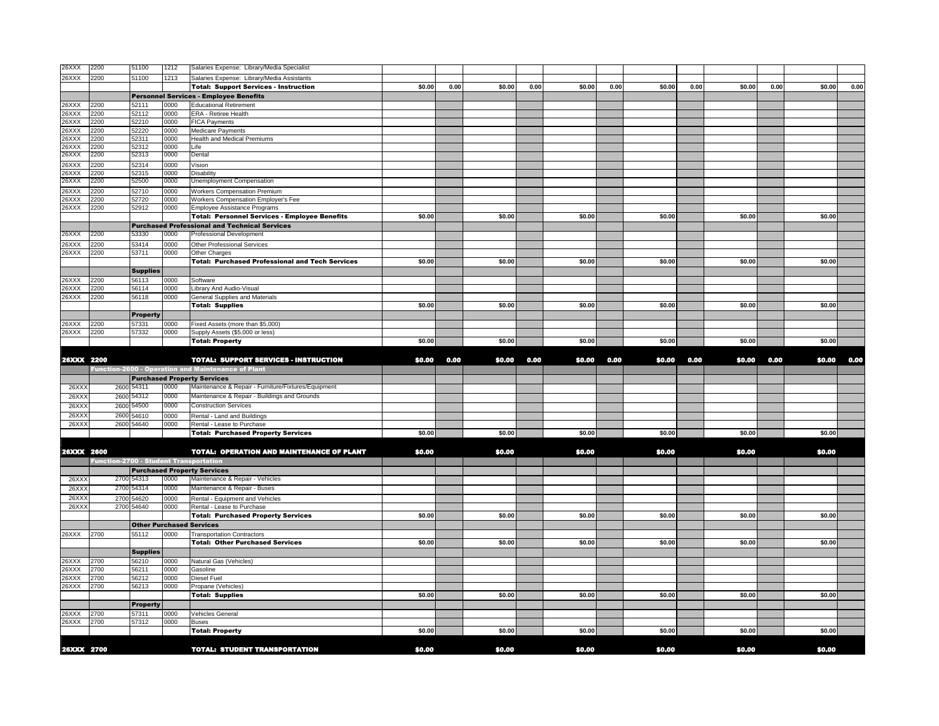| 26XXX          | 2200         |      | 51100           | 1212         | Salaries Expense: Library/Media Specialist                                                |        |      |        |      |        |      |        |      |        |      |        |      |
|----------------|--------------|------|-----------------|--------------|-------------------------------------------------------------------------------------------|--------|------|--------|------|--------|------|--------|------|--------|------|--------|------|
| 26XXX          | 2200         |      | 51100           | 1213         | Salaries Expense: Library/Media Assistants                                                |        |      |        |      |        |      |        |      |        |      |        |      |
|                |              |      |                 |              | <b>Total: Support Services - Instruction</b>                                              | \$0.00 | 0.00 | \$0.00 | 0.00 | \$0.00 | 0.00 | \$0.00 | 0.00 | \$0.00 | 0.00 | \$0.00 | 0.00 |
|                |              |      |                 |              | <b>Personnel Services - Employee Benefits</b>                                             |        |      |        |      |        |      |        |      |        |      |        |      |
| 26XXX          | 2200         |      | 52111           | 0000         | <b>Educational Retirement</b>                                                             |        |      |        |      |        |      |        |      |        |      |        |      |
| 26XXX<br>26XXX | 2200<br>2200 |      | 52112<br>52210  | 0000<br>0000 | ERA - Retiree Health<br><b>FICA Payments</b>                                              |        |      |        |      |        |      |        |      |        |      |        |      |
| 26XXX          | 2200         |      | 52220           | 0000         | <b>Medicare Payments</b>                                                                  |        |      |        |      |        |      |        |      |        |      |        |      |
| 26XXX          | 2200         |      | 52311           | 0000         | Health and Medical Premiums                                                               |        |      |        |      |        |      |        |      |        |      |        |      |
| 26XXX          | 2200         |      | 52312           | 0000         | Life                                                                                      |        |      |        |      |        |      |        |      |        |      |        |      |
| 26XXX          | 2200         |      | 52313           | 0000         | Dental                                                                                    |        |      |        |      |        |      |        |      |        |      |        |      |
| 26XXX          | 2200         |      | 52314           | 0000         | Vision                                                                                    |        |      |        |      |        |      |        |      |        |      |        |      |
| 26XXX          | 2200         |      | 52315           | 0000         | <b>Disability</b>                                                                         |        |      |        |      |        |      |        |      |        |      |        |      |
| 26XXX          | 2200         |      | 52500           | 0000         | Unemployment Compensation                                                                 |        |      |        |      |        |      |        |      |        |      |        |      |
| 26XXX          | 2200         |      | 52710           | 0000         | <b>Workers Compensation Premium</b>                                                       |        |      |        |      |        |      |        |      |        |      |        |      |
| 26XXX<br>26XXX | 2200<br>2200 |      | 52720<br>52912  | 0000         | Workers Compensation Employer's Fee                                                       |        |      |        |      |        |      |        |      |        |      |        |      |
|                |              |      |                 | 0000         | Employee Assistance Programs<br><b>Total: Personnel Services - Employee Benefits</b>      | \$0.00 |      | \$0.00 |      | \$0.00 |      | \$0.00 |      | \$0.00 |      | \$0.00 |      |
|                |              |      |                 |              | <b>Purchased Professional and Technical Services</b>                                      |        |      |        |      |        |      |        |      |        |      |        |      |
| 26XXX          | 2200         |      | 53330           | 0000         | <b>Professional Development</b>                                                           |        |      |        |      |        |      |        |      |        |      |        |      |
| 26XXX          | 2200         |      | 53414           | 0000         | Other Professional Services                                                               |        |      |        |      |        |      |        |      |        |      |        |      |
| 26XXX          | 2200         |      | 53711           | 0000         | Other Charges                                                                             |        |      |        |      |        |      |        |      |        |      |        |      |
|                |              |      |                 |              | <b>Total: Purchased Professional and Tech Services</b>                                    | \$0.00 |      | \$0.00 |      | \$0.00 |      | \$0.00 |      | \$0.00 |      | \$0.00 |      |
|                |              |      | <b>Supplies</b> |              |                                                                                           |        |      |        |      |        |      |        |      |        |      |        |      |
| 26XXX          | 2200         |      | 56113           | 0000         | Software                                                                                  |        |      |        |      |        |      |        |      |        |      |        |      |
| 26XXX          | 2200         |      | 56114           | 0000         | Library And Audio-Visual                                                                  |        |      |        |      |        |      |        |      |        |      |        |      |
| 26XXX          | 2200         |      | 56118           | 0000         | General Supplies and Materials                                                            |        |      |        |      |        |      |        |      |        |      |        |      |
|                |              |      |                 |              | <b>Total: Supplies</b>                                                                    | \$0.00 |      | \$0.00 |      | \$0.00 |      | \$0.00 |      | \$0.00 |      | \$0.00 |      |
|                |              |      | <b>Property</b> |              |                                                                                           |        |      |        |      |        |      |        |      |        |      |        |      |
| 26XXX          | 2200         |      | 57331           | 0000         | Fixed Assets (more than \$5,000)                                                          |        |      |        |      |        |      |        |      |        |      |        |      |
| 26XXX          | 2200         |      | 57332           | 0000         | Supply Assets (\$5,000 or less)                                                           |        |      |        |      |        |      |        |      |        |      |        |      |
|                |              |      |                 |              | <b>Total: Property</b>                                                                    | \$0.00 |      | \$0.00 |      | \$0.00 |      | \$0.00 |      | \$0.00 |      | \$0.00 |      |
|                |              |      |                 |              |                                                                                           |        |      |        |      |        |      |        |      |        |      |        |      |
| 26XXX 2200     |              |      |                 |              | TOTAL: SUPPORT SERVICES - INSTRUCTION                                                     | \$0.00 | 0.00 | \$0.00 | 0.00 | \$0.00 | 0.00 | \$0.00 | 0.00 | \$0.00 | 0.00 | \$0.00 | 0.00 |
|                |              |      |                 |              | Function-2600 - Operation and Maintenance of Plant                                        |        |      |        |      |        |      |        |      |        |      |        |      |
| 26XX           |              | 2600 | 54311           | 0000         | <b>Purchased Property Services</b><br>Maintenance & Repair - Furniture/Fixtures/Equipment |        |      |        |      |        |      |        |      |        |      |        |      |
| 26XX           |              | 2600 | 54312           | 0000         | Maintenance & Repair - Buildings and Grounds                                              |        |      |        |      |        |      |        |      |        |      |        |      |
| 26XX           |              | 2600 | 54500           | 0000         | <b>Construction Services</b>                                                              |        |      |        |      |        |      |        |      |        |      |        |      |
| 26XX           |              | 2600 | 54610           | 0000         | Rental - Land and Buildings                                                               |        |      |        |      |        |      |        |      |        |      |        |      |
| 26XX           |              | 2600 | 54640           | 0000         | Rental - Lease to Purchase                                                                |        |      |        |      |        |      |        |      |        |      |        |      |
|                |              |      |                 |              | <b>Total: Purchased Property Services</b>                                                 | \$0.00 |      | \$0.00 |      | \$0.00 |      | \$0.00 |      | \$0.00 |      | \$0.00 |      |
|                |              |      |                 |              |                                                                                           |        |      |        |      |        |      |        |      |        |      |        |      |
| 26XXX 2600     |              |      |                 |              | <b>TOTAL: OPERATION AND MAINTENANCE OF PLANT</b>                                          | \$0.00 |      | \$0.00 |      | \$0.00 |      | \$0.00 |      | \$0.00 |      | \$0.00 |      |
|                |              |      |                 |              | Function-2700 - Student Transportation                                                    |        |      |        |      |        |      |        |      |        |      |        |      |
|                |              |      |                 |              | <b>Purchased Property Services</b>                                                        |        |      |        |      |        |      |        |      |        |      |        |      |
| 26XX)          |              | 2700 | 54313           | 0000         | Maintenance & Repair - Vehicles                                                           |        |      |        |      |        |      |        |      |        |      |        |      |
| 26XX           |              | 2700 | 54314           | 0000         | Maintenance & Repair - Buses                                                              |        |      |        |      |        |      |        |      |        |      |        |      |
| 26XX)          |              | 2700 | 54620           | 0000         | Rental - Equipment and Vehicles                                                           |        |      |        |      |        |      |        |      |        |      |        |      |
| 26XX)          |              | 2700 | 54640           | 0000         | Rental - Lease to Purchase                                                                |        |      |        |      |        |      |        |      |        |      |        |      |
|                |              |      |                 |              | <b>Total: Purchased Property Services</b>                                                 | \$0.00 |      | \$0.00 |      | \$0.00 |      | \$0.00 |      | \$0.00 |      | \$0.00 |      |
|                |              |      |                 |              | <b>Other Purchased Services</b>                                                           |        |      |        |      |        |      |        |      |        |      |        |      |
| 26XXX          | 2700         |      | 55112           | 0000         | <b>Transportation Contractors</b>                                                         |        |      |        |      |        |      |        |      |        |      |        |      |
|                |              |      |                 |              | <b>Total: Other Purchased Services</b>                                                    | \$0.00 |      | \$0.00 |      | \$0.00 |      | \$0.00 |      | \$0.00 |      | \$0.00 |      |
|                |              |      | <b>Supplies</b> |              |                                                                                           |        |      |        |      |        |      |        |      |        |      |        |      |
| 26XXX          | 2700         |      | 56210           | 0000         | Natural Gas (Vehicles)                                                                    |        |      |        |      |        |      |        |      |        |      |        |      |
| 6XXX           | 2700         |      | 56211           | 0000         | Gasoline                                                                                  |        |      |        |      |        |      |        |      |        |      |        |      |
| 26XXX<br>26XXX | 2700<br>2700 |      | 56212<br>56213  | 0000<br>0000 | <b>Diesel Fuel</b><br>Propane (Vehicles)                                                  |        |      |        |      |        |      |        |      |        |      |        |      |
|                |              |      |                 |              | <b>Total: Supplies</b>                                                                    | \$0.00 |      | \$0.00 |      | \$0.00 |      | \$0.00 |      | \$0.00 |      | \$0.00 |      |
|                |              |      | <b>Property</b> |              |                                                                                           |        |      |        |      |        |      |        |      |        |      |        |      |
| 26XXX          |              |      | 57311           | 0000         | Vehicles General                                                                          |        |      |        |      |        |      |        |      |        |      |        |      |
|                |              |      |                 |              |                                                                                           |        |      |        |      |        |      |        |      |        |      |        |      |
|                | 2700<br>2700 |      |                 |              |                                                                                           |        |      |        |      |        |      |        |      |        |      |        |      |
| 26XXX          |              |      | 57312           | 0000         | <b>Buses</b>                                                                              | \$0.00 |      | \$0.00 |      | \$0.00 |      | \$0.00 |      | \$0.00 |      | \$0.00 |      |
|                |              |      |                 |              | <b>Total: Property</b>                                                                    |        |      |        |      |        |      |        |      |        |      |        |      |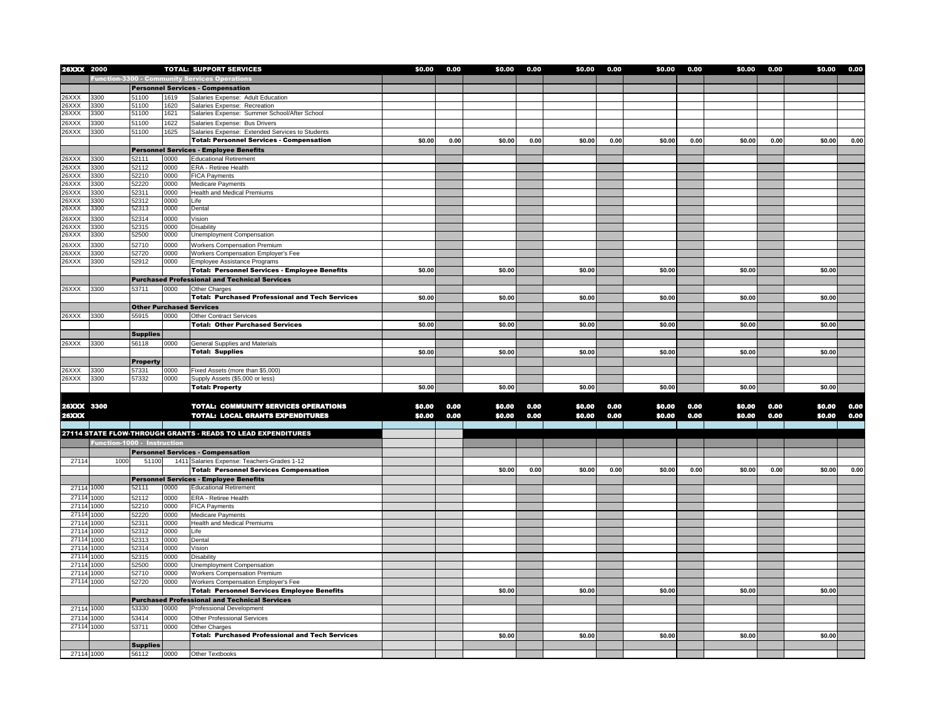| 26XXX 2000   |                                                      |                                 |      | <b>TOTAL: SUPPORT SERVICES</b>                                      | \$0.00 | 0.00 | \$0.00 | 0.00 | \$0.00 | 0.00 | \$0.00 | 0.00 | \$0.00 | 0.00 | \$0.00 | 0.00 |
|--------------|------------------------------------------------------|---------------------------------|------|---------------------------------------------------------------------|--------|------|--------|------|--------|------|--------|------|--------|------|--------|------|
|              | <b>Function-3300 - Community Services Operations</b> |                                 |      |                                                                     |        |      |        |      |        |      |        |      |        |      |        |      |
|              |                                                      |                                 |      | <b>Personnel Services - Compensation</b>                            |        |      |        |      |        |      |        |      |        |      |        |      |
| 26XXX        | 3300                                                 | 51100                           | 1619 | Salaries Expense: Adult Education                                   |        |      |        |      |        |      |        |      |        |      |        |      |
| 26XXX        | 3300                                                 | 51100                           | 1620 | Salaries Expense: Recreation                                        |        |      |        |      |        |      |        |      |        |      |        |      |
| 26XXX        | 3300                                                 | 51100                           | 1621 | Salaries Expense: Summer School/After School                        |        |      |        |      |        |      |        |      |        |      |        |      |
| 26XXX        | 3300                                                 | 51100                           | 1622 | Salaries Expense: Bus Drivers                                       |        |      |        |      |        |      |        |      |        |      |        |      |
| 26XXX        | 3300                                                 | 51100                           | 1625 | Salaries Expense: Extended Services to Students                     |        |      |        |      |        |      |        |      |        |      |        |      |
|              |                                                      |                                 |      | <b>Total: Personnel Services - Compensation</b>                     | \$0.00 | 0.00 | \$0.00 | 0.00 | \$0.00 | 0.00 | \$0.00 | 0.00 | \$0.00 | 0.00 | \$0.00 | 0.00 |
|              |                                                      |                                 |      | <b>Personnel Services - Employee Benefits</b>                       |        |      |        |      |        |      |        |      |        |      |        |      |
| 26XXX        | 3300                                                 | 52111                           | 0000 | <b>Educational Retirement</b>                                       |        |      |        |      |        |      |        |      |        |      |        |      |
| 26XXX        | 3300                                                 | 52112                           | 0000 | ERA - Retiree Health                                                |        |      |        |      |        |      |        |      |        |      |        |      |
| 26XXX        | 3300                                                 | 52210                           | 0000 | <b>FICA Payments</b>                                                |        |      |        |      |        |      |        |      |        |      |        |      |
| 26XXX        | 3300                                                 | 52220                           | 0000 | Medicare Payments                                                   |        |      |        |      |        |      |        |      |        |      |        |      |
| 26XXX        | 3300                                                 | 52311                           | 0000 | <b>Health and Medical Premiums</b>                                  |        |      |        |      |        |      |        |      |        |      |        |      |
| 26XXX        | 3300                                                 | 52312                           | 0000 | Life                                                                |        |      |        |      |        |      |        |      |        |      |        |      |
| 26XXX        | 3300                                                 | 52313                           | 0000 | Dental                                                              |        |      |        |      |        |      |        |      |        |      |        |      |
| 26XXX        | 3300                                                 | 52314                           | 0000 | Vision                                                              |        |      |        |      |        |      |        |      |        |      |        |      |
| 26XXX        | 3300                                                 | 52315                           | 0000 | <b>Disability</b>                                                   |        |      |        |      |        |      |        |      |        |      |        |      |
| 26XXX        | 3300                                                 | 52500                           | 0000 | Unemployment Compensation                                           |        |      |        |      |        |      |        |      |        |      |        |      |
| 26XXX        | 3300                                                 | 52710                           | 0000 | Workers Compensation Premium                                        |        |      |        |      |        |      |        |      |        |      |        |      |
| 26XXX        | 3300                                                 | 52720                           | 0000 | Workers Compensation Employer's Fee                                 |        |      |        |      |        |      |        |      |        |      |        |      |
| 26XXX        | 3300                                                 | 52912                           | 0000 | Employee Assistance Programs                                        |        |      |        |      |        |      |        |      |        |      |        |      |
|              |                                                      |                                 |      | <b>Total: Personnel Services - Employee Benefits</b>                | \$0.00 |      | \$0.00 |      | \$0.00 |      | \$0.00 |      | \$0.00 |      | \$0.00 |      |
|              |                                                      |                                 |      | <b>Purchased Professional and Technical Services</b>                |        |      |        |      |        |      |        |      |        |      |        |      |
| 26XXX        | 3300                                                 | 53711                           | 0000 | Other Charges                                                       |        |      |        |      |        |      |        |      |        |      |        |      |
|              |                                                      |                                 |      | <b>Total: Purchased Professional and Tech Services</b>              | \$0.00 |      | \$0.00 |      | \$0.00 |      | \$0.00 |      | \$0.00 |      | \$0.00 |      |
|              |                                                      | <b>Other Purchased Services</b> |      |                                                                     |        |      |        |      |        |      |        |      |        |      |        |      |
| 26XXX        | 3300                                                 | 55915                           | 0000 | <b>Other Contract Services</b>                                      |        |      |        |      |        |      |        |      |        |      |        |      |
|              |                                                      |                                 |      | <b>Total: Other Purchased Services</b>                              | \$0.00 |      | \$0.00 |      | \$0.00 |      | \$0.00 |      | \$0.00 |      | \$0.00 |      |
|              |                                                      | <b>Supplies</b>                 |      |                                                                     |        |      |        |      |        |      |        |      |        |      |        |      |
| 26XXX        | 3300                                                 | 56118                           | 0000 | General Supplies and Materials                                      |        |      |        |      |        |      |        |      |        |      |        |      |
|              |                                                      |                                 |      | <b>Total: Supplies</b>                                              | \$0.00 |      | \$0.00 |      | \$0.00 |      | \$0.00 |      | \$0.00 |      | \$0.00 |      |
|              |                                                      |                                 |      |                                                                     |        |      |        |      |        |      |        |      |        |      |        |      |
|              |                                                      | <b>Property</b>                 |      |                                                                     |        |      |        |      |        |      |        |      |        |      |        |      |
| 26XXX        | 3300                                                 | 57331                           | 0000 | Fixed Assets (more than \$5,000)<br>Supply Assets (\$5,000 or less) |        |      |        |      |        |      |        |      |        |      |        |      |
| 26XXX        | 3300                                                 | 57332                           | 0000 |                                                                     | \$0.00 |      | \$0.00 |      | \$0.00 |      | \$0.00 |      | \$0.00 |      | \$0.00 |      |
|              |                                                      |                                 |      | <b>Total: Property</b>                                              |        |      |        |      |        |      |        |      |        |      |        |      |
| 26XXX 3300   |                                                      |                                 |      | <b>TOTAL: COMMUNITY SERVICES OPERATIONS</b>                         | \$0.00 | 0.00 | \$0.00 | 0.00 | \$0.00 | 0.00 | \$0.00 | 0.00 | \$0.00 | 0.00 | \$0.00 | 0.00 |
| <b>26XXX</b> |                                                      |                                 |      | <b>TOTAL: LOCAL GRANTS EXPENDITURES</b>                             |        |      |        | 0.00 |        | 0.00 |        | 0.00 |        |      |        | 0.00 |
|              |                                                      |                                 |      |                                                                     | \$0.00 | 0.00 | \$0.00 |      | \$0.00 |      | \$0.00 |      | \$0.00 | 0.00 | \$0.00 |      |
|              |                                                      |                                 |      | 27114 STATE FLOW-THROUGH GRANTS - READS TO LEAD EXPENDITURES        |        |      |        |      |        |      |        |      |        |      |        |      |
|              |                                                      |                                 |      |                                                                     |        |      |        |      |        |      |        |      |        |      |        |      |
|              | Function-1000 - Instruction                          |                                 |      |                                                                     |        |      |        |      |        |      |        |      |        |      |        |      |
|              |                                                      |                                 |      | <b>Personnel Services - Compensation</b>                            |        |      |        |      |        |      |        |      |        |      |        |      |
| 27114        | 1000                                                 | 51100                           |      | 1411 Salaries Expense: Teachers-Grades 1-12                         |        |      |        |      |        |      |        |      |        |      |        |      |
|              |                                                      |                                 |      | <b>Total: Personnel Services Compensation</b>                       |        |      | \$0.00 | 0.00 | \$0.00 | 0.00 | \$0.00 | 0.00 | \$0.00 | 0.00 | \$0.00 | 0.00 |
|              |                                                      |                                 |      | <b>Personnel Services - Employee Benefits</b>                       |        |      |        |      |        |      |        |      |        |      |        |      |
| 27114 1000   |                                                      | 52111                           | 0000 | <b>Educational Retirement</b>                                       |        |      |        |      |        |      |        |      |        |      |        |      |
| 27114        | 1000                                                 | 52112                           | 0000 | <b>ERA - Retiree Health</b>                                         |        |      |        |      |        |      |        |      |        |      |        |      |
| 27114        | 1000                                                 | 52210                           | 0000 | <b>FICA Payments</b>                                                |        |      |        |      |        |      |        |      |        |      |        |      |
| 27114        | 1000                                                 | 52220                           | 0000 | Medicare Payments                                                   |        |      |        |      |        |      |        |      |        |      |        |      |
| 27114        | 1000                                                 | 52311                           | 0000 | Health and Medical Premiums                                         |        |      |        |      |        |      |        |      |        |      |        |      |
| 27114        | 1000                                                 | 52312                           | 0000 | Life                                                                |        |      |        |      |        |      |        |      |        |      |        |      |
| 27114        | 1000                                                 | 52313                           | 0000 | Dental                                                              |        |      |        |      |        |      |        |      |        |      |        |      |
| 27114        | 1000                                                 | 52314                           | 0000 | Vision                                                              |        |      |        |      |        |      |        |      |        |      |        |      |
| 27114        | 1000                                                 | 52315                           | 0000 | <b>Disability</b>                                                   |        |      |        |      |        |      |        |      |        |      |        |      |
| 27114        | 1000                                                 | 52500                           | 0000 | <b>Unemployment Compensation</b>                                    |        |      |        |      |        |      |        |      |        |      |        |      |
| 27114        | 1000                                                 | 52710                           | 0000 | <b>Workers Compensation Premium</b>                                 |        |      |        |      |        |      |        |      |        |      |        |      |
| 27114 1000   |                                                      | 52720                           | 0000 | Workers Compensation Employer's Fee                                 |        |      |        |      |        |      |        |      |        |      |        |      |
|              |                                                      |                                 |      | <b>Total: Personnel Services Employee Benefits</b>                  |        |      | \$0.00 |      | \$0.00 |      | \$0.00 |      | \$0.00 |      | \$0.00 |      |
|              |                                                      |                                 |      | <b>Purchased Professional and Technical Services</b>                |        |      |        |      |        |      |        |      |        |      |        |      |
| 27114 1000   |                                                      | 53330                           | 0000 | Professional Development                                            |        |      |        |      |        |      |        |      |        |      |        |      |
| 27114 1000   |                                                      | 53414                           | 0000 | <b>Other Professional Services</b>                                  |        |      |        |      |        |      |        |      |        |      |        |      |
| 27114 1000   |                                                      | 53711                           | 0000 | Other Charges                                                       |        |      |        |      |        |      |        |      |        |      |        |      |
|              |                                                      |                                 |      | <b>Total: Purchased Professional and Tech Services</b>              |        |      | \$0.00 |      | \$0.00 |      | \$0.00 |      | \$0.00 |      | \$0.00 |      |
|              |                                                      | <b>Supplies</b>                 |      |                                                                     |        |      |        |      |        |      |        |      |        |      |        |      |
| 27114 1000   |                                                      | 56112                           | 0000 | Other Textbooks                                                     |        |      |        |      |        |      |        |      |        |      |        |      |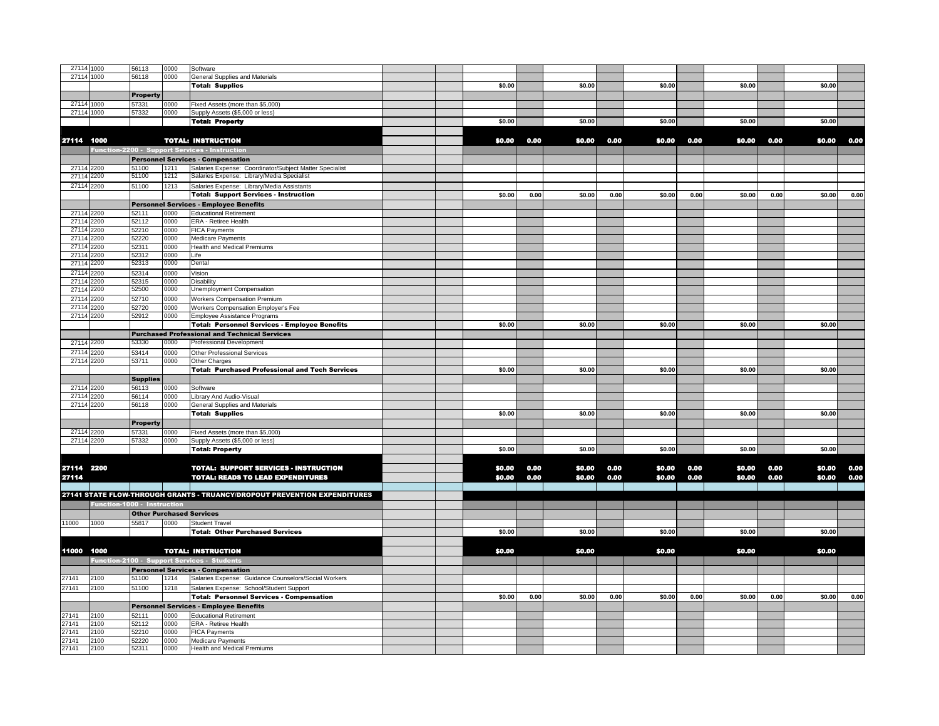| 27114 1000          |                             | 56113                           | 0000         | Software                                                                  |        |      |        |      |        |      |        |      |        |      |
|---------------------|-----------------------------|---------------------------------|--------------|---------------------------------------------------------------------------|--------|------|--------|------|--------|------|--------|------|--------|------|
| 27114 1000          |                             | 56118                           | 0000         | General Supplies and Materials                                            |        |      |        |      |        |      |        |      |        |      |
|                     |                             |                                 |              | <b>Total: Supplies</b>                                                    | \$0.00 |      | \$0.00 |      | \$0.00 |      | \$0.00 |      | \$0.00 |      |
|                     |                             | <b>Property</b>                 |              |                                                                           |        |      |        |      |        |      |        |      |        |      |
| 27114 1000          |                             | 57331                           | 0000         | Fixed Assets (more than \$5,000)                                          |        |      |        |      |        |      |        |      |        |      |
| 27114 1000          |                             | 57332                           | 0000         | Supply Assets (\$5,000 or less)                                           |        |      |        |      |        |      |        |      |        |      |
|                     |                             |                                 |              | <b>Total: Property</b>                                                    | \$0.00 |      | \$0.00 |      | \$0.00 |      | \$0.00 |      | \$0.00 |      |
|                     |                             |                                 |              |                                                                           |        |      |        |      |        |      |        |      |        |      |
|                     |                             |                                 |              |                                                                           |        |      |        |      |        |      |        |      |        |      |
| 27114 1000          |                             |                                 |              | <b>TOTAL: INSTRUCTION</b>                                                 | \$0.00 | 0.00 | \$0.00 | 0.00 | \$0.00 | 0.00 | \$0.00 | 0.00 | \$0.00 | 0.00 |
|                     |                             |                                 |              | Function-2200 - Support Services - Instruction                            |        |      |        |      |        |      |        |      |        |      |
|                     |                             |                                 |              | <b>Personnel Services - Compensation</b>                                  |        |      |        |      |        |      |        |      |        |      |
| 27114               | 2200                        | 51100                           | 1211         | Salaries Expense: Coordinator/Subject Matter Specialist                   |        |      |        |      |        |      |        |      |        |      |
| 27114               | 2200                        | 51100                           | 1212         | Salaries Expense: Library/Media Specialist                                |        |      |        |      |        |      |        |      |        |      |
| 27114               | 2200                        | 51100                           | 1213         | Salaries Expense: Library/Media Assistants                                |        |      |        |      |        |      |        |      |        |      |
|                     |                             |                                 |              | <b>Total: Support Services - Instruction</b>                              | \$0.00 | 0.00 | \$0.00 | 0.00 | \$0.00 | 0.00 | \$0.00 | 0.00 | \$0.00 | 0.00 |
|                     |                             |                                 |              | <b>Personnel Services - Employee Benefits</b>                             |        |      |        |      |        |      |        |      |        |      |
| 27114 2200          |                             | 52111                           | 0000         | <b>Educational Retirement</b>                                             |        |      |        |      |        |      |        |      |        |      |
| 27114               | 2200                        | 52112                           | 0000         | ERA - Retiree Health                                                      |        |      |        |      |        |      |        |      |        |      |
| 27114               | 2200                        | 52210                           | 0000         | <b>FICA Payments</b>                                                      |        |      |        |      |        |      |        |      |        |      |
| 27114               | 2200                        | 52220                           | 0000         | Medicare Payments                                                         |        |      |        |      |        |      |        |      |        |      |
| 27114               | 2200                        | 52311                           | 0000         | Health and Medical Premiums                                               |        |      |        |      |        |      |        |      |        |      |
| 27114               | 2200                        | 52312                           | 0000         | Life                                                                      |        |      |        |      |        |      |        |      |        |      |
| 27114               | 2200                        | 52313                           | 0000         | Dental                                                                    |        |      |        |      |        |      |        |      |        |      |
| 2711                | 2200                        | 52314                           | 0000         | Vision                                                                    |        |      |        |      |        |      |        |      |        |      |
| 2711                | 2200                        | 52315                           | 0000         | <b>Disability</b>                                                         |        |      |        |      |        |      |        |      |        |      |
| 27114               | 2200                        | 52500                           | 0000         | Unemployment Compensation                                                 |        |      |        |      |        |      |        |      |        |      |
| 27114               | 2200                        | 52710                           | 0000         | <b>Workers Compensation Premium</b>                                       |        |      |        |      |        |      |        |      |        |      |
| 27114               | 2200                        | 52720                           | 0000         | Workers Compensation Employer's Fee                                       |        |      |        |      |        |      |        |      |        |      |
| 27114               | 2200                        | 52912                           | 0000         | Employee Assistance Programs                                              |        |      |        |      |        |      |        |      |        |      |
|                     |                             |                                 |              | <b>Total: Personnel Services - Employee Benefits</b>                      | \$0.00 |      | \$0.00 |      | \$0.00 |      | \$0.00 |      | \$0.00 |      |
|                     |                             |                                 |              | <b>Purchased Professional and Technical Services</b>                      |        |      |        |      |        |      |        |      |        |      |
| 27114 2200          |                             | 53330                           | 0000         | Professional Development                                                  |        |      |        |      |        |      |        |      |        |      |
| 27114               | 2200                        | 53414                           | 0000         | Other Professional Services                                               |        |      |        |      |        |      |        |      |        |      |
| 27114               | 2200                        | 53711                           | 0000         | Other Charges                                                             |        |      |        |      |        |      |        |      |        |      |
|                     |                             |                                 |              | <b>Total: Purchased Professional and Tech Services</b>                    | \$0.00 |      | \$0.00 |      | \$0.00 |      | \$0.00 |      | \$0.00 |      |
|                     |                             | <b>Supplies</b>                 |              |                                                                           |        |      |        |      |        |      |        |      |        |      |
| 27114               | 2200                        | 56113                           | 0000         |                                                                           |        |      |        |      |        |      |        |      |        |      |
| 27114               | 2200                        | 56114                           | 0000         | Software<br>Library And Audio-Visual                                      |        |      |        |      |        |      |        |      |        |      |
| 27114               | 2200                        | 56118                           | 0000         | General Supplies and Materials                                            |        |      |        |      |        |      |        |      |        |      |
|                     |                             |                                 |              | <b>Total: Supplies</b>                                                    | \$0.00 |      | \$0.00 |      | \$0.00 |      | \$0.00 |      | \$0.00 |      |
|                     |                             |                                 |              |                                                                           |        |      |        |      |        |      |        |      |        |      |
|                     |                             | <b>Property</b><br>57331        |              |                                                                           |        |      |        |      |        |      |        |      |        |      |
| 27114 2200          |                             |                                 | 0000         | Fixed Assets (more than \$5,000)                                          |        |      |        |      |        |      |        |      |        |      |
| 27114 2200          |                             | 57332                           | 0000         | Supply Assets (\$5,000 or less)                                           |        |      |        |      |        |      |        |      |        |      |
|                     |                             |                                 |              | <b>Total: Property</b>                                                    | \$0.00 |      | \$0.00 |      | \$0.00 |      | \$0.00 |      | \$0.00 |      |
|                     |                             |                                 |              |                                                                           |        |      |        |      |        |      |        |      |        |      |
| 27114 2200<br>27114 |                             |                                 |              | <b>TOTAL: SUPPORT SERVICES - INSTRUCTION</b>                              | \$0.00 | 0.00 | \$0.00 | 0.00 | \$0.00 | 0.00 | \$0.00 | 0.00 | \$0.00 | 0.00 |
|                     |                             |                                 |              | <b>TOTAL: READS TO LEAD EXPENDITURES</b>                                  | \$0.00 | 0.00 | \$0.00 | 0.00 | \$0.00 | 0.00 | \$0.00 | 0.00 | \$0.00 | 0.00 |
|                     |                             |                                 |              |                                                                           |        |      |        |      |        |      |        |      |        |      |
|                     |                             |                                 |              | 27141 STATE FLOW-THROUGH GRANTS - TRUANCY/DROPOUT PREVENTION EXPENDITURES |        |      |        |      |        |      |        |      |        |      |
|                     | Function-1000 - Instruction |                                 |              |                                                                           |        |      |        |      |        |      |        |      |        |      |
|                     |                             | <b>Other Purchased Services</b> |              |                                                                           |        |      |        |      |        |      |        |      |        |      |
| 11000               | 1000                        | 55817                           | 0000         | <b>Student Travel</b>                                                     |        |      |        |      |        |      |        |      |        |      |
|                     |                             |                                 |              | <b>Total: Other Purchased Services</b>                                    | \$0.00 |      | \$0.00 |      | \$0.00 |      | \$0.00 |      | \$0.00 |      |
|                     |                             |                                 |              |                                                                           |        |      |        |      |        |      |        |      |        |      |
| 11000               | 1000                        |                                 |              | <b>TOTAL: INSTRUCTION</b>                                                 | \$0.00 |      | \$0.00 |      | \$0.00 |      | \$0.00 |      | \$0.00 |      |
|                     |                             |                                 |              | Function-2100 - Support Services - Students                               |        |      |        |      |        |      |        |      |        |      |
|                     |                             |                                 |              | <b>Personnel Services - Compensation</b>                                  |        |      |        |      |        |      |        |      |        |      |
| 27141               | 2100                        | 51100                           | 1214         | Salaries Expense: Guidance Counselors/Social Workers                      |        |      |        |      |        |      |        |      |        |      |
| 27141               | 2100                        | 51100                           | 1218         |                                                                           |        |      |        |      |        |      |        |      |        |      |
|                     |                             |                                 |              | Salaries Expense: School/Student Support                                  | \$0.00 | 0.00 | \$0.00 | 0.00 | \$0.00 | 0.00 | \$0.00 | 0.00 | \$0.00 | 0.00 |
|                     |                             |                                 |              | <b>Total: Personnel Services - Compensation</b>                           |        |      |        |      |        |      |        |      |        |      |
|                     |                             |                                 |              | <b>Personnel Services - Employee Benefits</b>                             |        |      |        |      |        |      |        |      |        |      |
| 27141               | 2100                        | 52111                           | 0000         | <b>Educational Retirement</b>                                             |        |      |        |      |        |      |        |      |        |      |
| 27141<br>27141      | 2100<br>2100                | 52112<br>52210                  | 0000<br>0000 | ERA - Retiree Health                                                      |        |      |        |      |        |      |        |      |        |      |
| 27141               | 2100                        | 52220                           | 0000         | FICA Payments<br>Medicare Payments                                        |        |      |        |      |        |      |        |      |        |      |
| 27141               | 2100                        | 52311                           | 0000         | Health and Medical Premiums                                               |        |      |        |      |        |      |        |      |        |      |
|                     |                             |                                 |              |                                                                           |        |      |        |      |        |      |        |      |        |      |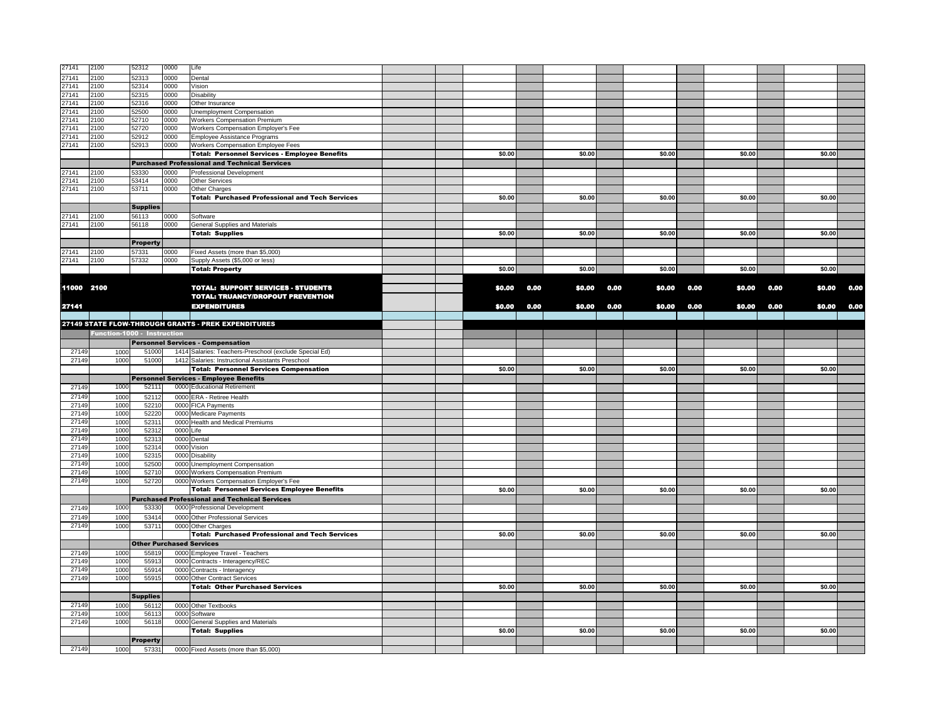| 27141          | 2100                        | 52312                    | 0000         | Life                                                                      |  |        |      |        |      |        |      |        |      |        |      |
|----------------|-----------------------------|--------------------------|--------------|---------------------------------------------------------------------------|--|--------|------|--------|------|--------|------|--------|------|--------|------|
| 27141          | 2100                        | 52313                    | 0000         | Dental                                                                    |  |        |      |        |      |        |      |        |      |        |      |
| 27141          | 2100                        | 52314                    | 0000         | Vision                                                                    |  |        |      |        |      |        |      |        |      |        |      |
| 27141          | 2100                        | 52315                    | 0000         | Disability                                                                |  |        |      |        |      |        |      |        |      |        |      |
| 27141          | 2100                        | 52316                    | 0000         | Other Insurance                                                           |  |        |      |        |      |        |      |        |      |        |      |
| 27141          | 2100                        | 52500                    | 0000         | Unemployment Compensation                                                 |  |        |      |        |      |        |      |        |      |        |      |
| 27141          | 2100                        | 52710                    | 0000         | <b>Workers Compensation Premium</b>                                       |  |        |      |        |      |        |      |        |      |        |      |
| 27141          | 2100                        | 52720<br>52912           | 0000         | Workers Compensation Employer's Fee                                       |  |        |      |        |      |        |      |        |      |        |      |
| 27141<br>27141 | 2100<br>2100                | 52913                    | 0000<br>0000 | Employee Assistance Programs<br><b>Workers Compensation Employee Fees</b> |  |        |      |        |      |        |      |        |      |        |      |
|                |                             |                          |              | <b>Total: Personnel Services - Employee Benefits</b>                      |  | \$0.00 |      | \$0.00 |      | \$0.00 |      | \$0.00 |      | \$0.00 |      |
|                |                             |                          |              | <b>Purchased Professional and Technical Services</b>                      |  |        |      |        |      |        |      |        |      |        |      |
| 27141          | 2100                        | 53330                    | 0000         | Professional Development                                                  |  |        |      |        |      |        |      |        |      |        |      |
| 27141          | 2100                        | 53414                    | 0000         | <b>Other Services</b>                                                     |  |        |      |        |      |        |      |        |      |        |      |
| 27141          | 2100                        | 53711                    | 0000         | Other Charges                                                             |  |        |      |        |      |        |      |        |      |        |      |
|                |                             |                          |              | <b>Total: Purchased Professional and Tech Services</b>                    |  | \$0.00 |      | \$0.00 |      | \$0.00 |      | \$0.00 |      | \$0.00 |      |
|                |                             | <b>Supplies</b>          |              |                                                                           |  |        |      |        |      |        |      |        |      |        |      |
| 27141          | 2100                        | 56113                    | 0000         | Software                                                                  |  |        |      |        |      |        |      |        |      |        |      |
| 27141          | 2100                        | 56118                    | 0000         | General Supplies and Materials                                            |  |        |      |        |      |        |      |        |      |        |      |
|                |                             |                          |              | <b>Total: Supplies</b>                                                    |  | \$0.00 |      | \$0.00 |      | \$0.00 |      | \$0.00 |      | \$0.00 |      |
|                |                             | <b>Property</b>          |              |                                                                           |  |        |      |        |      |        |      |        |      |        |      |
| 27141          | 2100                        | 57331                    | 0000         | Fixed Assets (more than \$5,000)                                          |  |        |      |        |      |        |      |        |      |        |      |
| 27141          | 2100                        | 57332                    | 0000         | Supply Assets (\$5,000 or less)                                           |  |        |      |        |      |        |      |        |      |        |      |
|                |                             |                          |              | <b>Total: Property</b>                                                    |  | \$0.00 |      | \$0.00 |      | \$0.00 |      | \$0.00 |      | \$0.00 |      |
|                |                             |                          |              |                                                                           |  |        |      |        |      |        |      |        |      |        |      |
| 11000 2100     |                             |                          |              | <b>TOTAL: SUPPORT SERVICES - STUDENTS</b>                                 |  | \$0.00 | 0.00 | \$0.00 | 0.00 | \$0.00 | 0.00 | \$0.00 | 0.00 | \$0.00 | 0.00 |
|                |                             |                          |              | <b>TOTAL: TRUANCY/DROPOUT PREVENTION</b>                                  |  |        |      |        |      |        |      |        |      |        |      |
| 27141          |                             |                          |              | <b>EXPENDITURES</b>                                                       |  | \$0.00 | 0.00 | \$0.00 | 0.00 | \$0.00 | 0.00 | \$0.00 | 0.00 | \$0.00 | 0.00 |
|                |                             |                          |              |                                                                           |  |        |      |        |      |        |      |        |      |        |      |
|                |                             |                          |              | 27149 STATE FLOW-THROUGH GRANTS - PREK EXPENDITURES                       |  |        |      |        |      |        |      |        |      |        |      |
|                | Function-1000 - Instruction |                          |              |                                                                           |  |        |      |        |      |        |      |        |      |        |      |
|                |                             |                          |              | <b>Personnel Services - Compensation</b>                                  |  |        |      |        |      |        |      |        |      |        |      |
| 27149          | 1000                        | 51000                    |              | 1414 Salaries: Teachers-Preschool (exclude Special Ed)                    |  |        |      |        |      |        |      |        |      |        |      |
| 27149          | 1000                        | 51000                    |              | 1412 Salaries: Instructional Assistants Preschool                         |  |        |      |        |      |        |      |        |      |        |      |
|                |                             |                          |              | <b>Total: Personnel Services Compensation</b>                             |  | \$0.00 |      | \$0.00 |      | \$0.00 |      | \$0.00 |      | \$0.00 |      |
|                |                             |                          |              | <b>Personnel Services - Employee Benefits</b>                             |  |        |      |        |      |        |      |        |      |        |      |
| 27149          | 1000                        | 52111                    |              | 0000 Educational Retirement                                               |  |        |      |        |      |        |      |        |      |        |      |
| 27149          | 1000                        | 52112                    |              | 0000 ERA - Retiree Health                                                 |  |        |      |        |      |        |      |        |      |        |      |
| 27149          | 1000                        | 52210                    |              | 0000 FICA Payments                                                        |  |        |      |        |      |        |      |        |      |        |      |
| 27149          | 1000                        | 52220                    |              | 0000 Medicare Payments                                                    |  |        |      |        |      |        |      |        |      |        |      |
| 27149          | 1000                        | 52311                    |              | 0000 Health and Medical Premiums                                          |  |        |      |        |      |        |      |        |      |        |      |
| 27149          | 1000                        | 5231                     | 0000 Life    |                                                                           |  |        |      |        |      |        |      |        |      |        |      |
| 27149<br>27149 | 1000<br>1000                | 5231<br>52314            |              | 0000 Dental                                                               |  |        |      |        |      |        |      |        |      |        |      |
| 27149          | 1000                        | 52315                    |              | 0000 Vision<br>0000 Disability                                            |  |        |      |        |      |        |      |        |      |        |      |
| 27149          | 1000                        | 52500                    |              | 0000 Unemployment Compensation                                            |  |        |      |        |      |        |      |        |      |        |      |
| 27149          | 1000                        | 52710                    |              | 0000 Workers Compensation Premium                                         |  |        |      |        |      |        |      |        |      |        |      |
| 27149          | 1000                        | 52720                    |              | 0000 Workers Compensation Employer's Fee                                  |  |        |      |        |      |        |      |        |      |        |      |
|                |                             |                          |              | <b>Total: Personnel Services Employee Benefits</b>                        |  | \$0.00 |      | \$0.00 |      | \$0.00 |      | \$0.00 |      | \$0.00 |      |
|                |                             |                          |              | <b>Purchased Professional and Technical Services</b>                      |  |        |      |        |      |        |      |        |      |        |      |
| 27149          | 1000                        | 53330                    |              | 0000 Professional Development                                             |  |        |      |        |      |        |      |        |      |        |      |
| 27149          | 1000                        | 53414                    |              | 0000 Other Professional Services                                          |  |        |      |        |      |        |      |        |      |        |      |
| 27149          | 1000                        | 53711                    |              | 0000 Other Charges                                                        |  |        |      |        |      |        |      |        |      |        |      |
|                |                             |                          |              | <b>Total: Purchased Professional and Tech Services</b>                    |  | \$0.00 |      | \$0.00 |      | \$0.00 |      | \$0.00 |      | \$0.00 |      |
|                |                             |                          |              | <b>Other Purchased Services</b>                                           |  |        |      |        |      |        |      |        |      |        |      |
| 27149          | 1000                        | 55819                    |              | 0000 Employee Travel - Teachers                                           |  |        |      |        |      |        |      |        |      |        |      |
| 27149          | 1000                        | 5591                     |              | 0000 Contracts - Interagency/REC                                          |  |        |      |        |      |        |      |        |      |        |      |
| 27149          | 1000                        | 55914                    |              | 0000 Contracts - Interagency                                              |  |        |      |        |      |        |      |        |      |        |      |
| 27149          | 1000                        | 55915                    |              | 0000 Other Contract Services                                              |  |        |      |        |      |        |      |        |      |        |      |
|                |                             |                          |              | <b>Total: Other Purchased Services</b>                                    |  | \$0.00 |      | \$0.00 |      | \$0.00 |      | \$0.00 |      | \$0.00 |      |
|                |                             | <b>Supplies</b>          |              |                                                                           |  |        |      |        |      |        |      |        |      |        |      |
| 27149          | 1000                        | 5611                     |              | 0000 Other Textbooks                                                      |  |        |      |        |      |        |      |        |      |        |      |
| 27149          | 1000                        | 56113                    | 0000         | Software                                                                  |  |        |      |        |      |        |      |        |      |        |      |
| 27149          | 1000                        | 56118                    |              | 0000 General Supplies and Materials<br><b>Total: Supplies</b>             |  | \$0.00 |      |        |      | \$0.00 |      | \$0.00 |      | \$0.00 |      |
|                |                             |                          |              |                                                                           |  |        |      | \$0.00 |      |        |      |        |      |        |      |
|                |                             | <b>Property</b><br>57331 |              | 0000 Fixed Assets (more than \$5,000)                                     |  |        |      |        |      |        |      |        |      |        |      |
| 27149          | 1000                        |                          |              |                                                                           |  |        |      |        |      |        |      |        |      |        |      |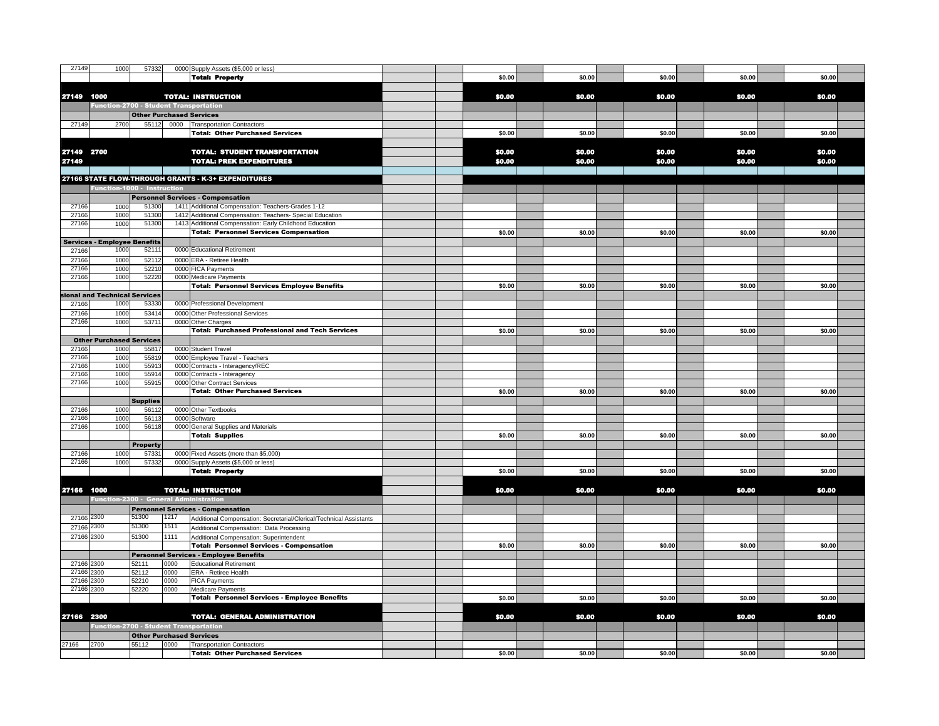| 27149          | 1000                                          | 57332                           |      | 0000 Supply Assets (\$5,000 or less)                                 |  |        |        |        |        |  |
|----------------|-----------------------------------------------|---------------------------------|------|----------------------------------------------------------------------|--|--------|--------|--------|--------|--|
|                |                                               |                                 |      | <b>Total: Property</b>                                               |  | \$0.00 | \$0.00 | \$0.00 | \$0.00 |  |
|                |                                               |                                 |      |                                                                      |  |        |        |        |        |  |
| 27149 1000     |                                               |                                 |      | <b>TOTAL: INSTRUCTION</b>                                            |  | \$0.00 | \$0.00 | \$0.00 | \$0.00 |  |
|                | <b>Function-2700 - Student Transportation</b> |                                 |      |                                                                      |  |        |        |        |        |  |
|                |                                               | <b>Other Purchased Services</b> |      |                                                                      |  |        |        |        |        |  |
| 27149          | 2700                                          |                                 |      | 55112 0000 Transportation Contractors                                |  |        |        |        |        |  |
|                |                                               |                                 |      | <b>Total: Other Purchased Services</b>                               |  | \$0.00 | \$0.00 | \$0.00 | \$0.00 |  |
|                |                                               |                                 |      |                                                                      |  |        |        |        |        |  |
| 27149 2700     |                                               |                                 |      | <b>TOTAL: STUDENT TRANSPORTATION</b>                                 |  | \$0.00 | \$0.00 | \$0.00 | \$0.00 |  |
| 27149          |                                               |                                 |      | <b>TOTAL: PREK EXPENDITURES</b>                                      |  | \$0.00 | \$0.00 | \$0.00 | \$0.00 |  |
|                |                                               |                                 |      | 27166 STATE FLOW-THROUGH GRANTS - K-3+ EXPENDITURES                  |  |        |        |        |        |  |
|                | Function-1000 - Instruction                   |                                 |      |                                                                      |  |        |        |        |        |  |
|                |                                               |                                 |      | <b>Personnel Services - Compensation</b>                             |  |        |        |        |        |  |
| 27166          | 1000                                          | 51300                           |      | 1411 Additional Compensation: Teachers-Grades 1-12                   |  |        |        |        |        |  |
| 27166          | 1000                                          | 51300                           |      | 1412 Additional Compensation: Teachers- Special Education            |  |        |        |        |        |  |
| 27166          | 1000                                          | 51300                           |      | 1413 Additional Compensation: Early Childhood Education              |  |        |        |        |        |  |
|                |                                               |                                 |      | <b>Total: Personnel Services Compensation</b>                        |  | \$0.00 | \$0.00 | \$0.00 | \$0.00 |  |
|                | Services - Employee Benefits                  |                                 |      |                                                                      |  |        |        |        |        |  |
| 27166          | 1000                                          | 52111                           |      | 0000 Educational Retirement                                          |  |        |        |        |        |  |
| 27166          | 1000                                          | 52112                           |      | 0000 ERA - Retiree Health                                            |  |        |        |        |        |  |
| 27166          | 1000                                          | 52210                           |      | 0000 FICA Payments                                                   |  |        |        |        |        |  |
| 27166          | 1000                                          | 52220                           |      | 0000 Medicare Payments                                               |  |        |        |        |        |  |
|                |                                               |                                 |      | <b>Total: Personnel Services Employee Benefits</b>                   |  | \$0.00 | \$0.00 | \$0.00 | \$0.00 |  |
|                | ional and Technical Services                  |                                 |      |                                                                      |  |        |        |        |        |  |
| 27166          | 1000                                          | 53330                           |      | 0000 Professional Development                                        |  |        |        |        |        |  |
| 27166<br>27166 | 1000<br>1000                                  | 53414<br>53711                  |      | 0000 Other Professional Services<br>0000 Other Charges               |  |        |        |        |        |  |
|                |                                               |                                 |      | <b>Total: Purchased Professional and Tech Services</b>               |  | \$0.00 | \$0.00 | \$0.00 | \$0.00 |  |
|                | <b>Other Purchased Services</b>               |                                 |      |                                                                      |  |        |        |        |        |  |
| 27166          | 1000                                          | 55817                           |      | 0000 Student Travel                                                  |  |        |        |        |        |  |
| 27166          | 1000                                          | 55819                           |      | 0000 Employee Travel - Teachers                                      |  |        |        |        |        |  |
| 27166          | 1000                                          | 55913                           |      | 0000 Contracts - Interagency/REC                                     |  |        |        |        |        |  |
| 2716           | 1000                                          | 55914                           |      | 0000 Contracts - Interagency                                         |  |        |        |        |        |  |
| 27166          | 1000                                          | 55915                           |      | 0000 Other Contract Services                                         |  |        |        |        |        |  |
|                |                                               |                                 |      | <b>Total: Other Purchased Services</b>                               |  | \$0.00 | \$0.00 | \$0.00 | \$0.00 |  |
|                |                                               | <b>Supplies</b>                 |      |                                                                      |  |        |        |        |        |  |
| 27166          | 1000                                          | 56112                           |      | 0000 Other Textbooks                                                 |  |        |        |        |        |  |
| 27166<br>27166 | 1000<br>1000                                  | 56113<br>56118                  |      | 0000 Software                                                        |  |        |        |        |        |  |
|                |                                               |                                 |      | 0000 General Supplies and Materials<br><b>Total: Supplies</b>        |  | \$0.00 | \$0.00 | \$0.00 | \$0.00 |  |
|                |                                               | <b>Property</b>                 |      |                                                                      |  |        |        |        |        |  |
| 27166          | 1000                                          | 57331                           |      | 0000 Fixed Assets (more than \$5,000)                                |  |        |        |        |        |  |
| 27166          | 1000                                          | 57332                           |      | 0000 Supply Assets (\$5,000 or less)                                 |  |        |        |        |        |  |
|                |                                               |                                 |      | <b>Total: Property</b>                                               |  | \$0.00 | \$0.00 | \$0.00 | \$0.00 |  |
|                |                                               |                                 |      |                                                                      |  |        |        |        |        |  |
| 27166 1000     |                                               |                                 |      | <b>TOTAL: INSTRUCTION</b>                                            |  | \$0.00 | \$0.00 | \$0.00 | \$0.00 |  |
|                | Function-2300 - General Administration        |                                 |      |                                                                      |  |        |        |        |        |  |
|                |                                               |                                 |      | <b>Personnel Services - Compensation</b>                             |  |        |        |        |        |  |
| 27166 2300     |                                               | 51300                           | 1217 | Additional Compensation: Secretarial/Clerical/Technical Assistants   |  |        |        |        |        |  |
| 27166          | 2300                                          | 51300                           | 1511 | Additional Compensation: Data Processing                             |  |        |        |        |        |  |
| 27166 2300     |                                               | 51300                           | 1111 | Additional Compensation: Superintendent                              |  |        |        |        |        |  |
|                |                                               |                                 |      | <b>Total: Personnel Services - Compensation</b>                      |  | \$0.00 | \$0.00 | \$0.00 | \$0.00 |  |
|                |                                               |                                 |      | <b>Personnel Services - Employee Benefits</b>                        |  |        |        |        |        |  |
| 27166 2300     |                                               | 52111                           | 0000 | <b>Educational Retirement</b>                                        |  |        |        |        |        |  |
| 27166          | 2300                                          | 52112                           | 0000 | ERA - Retiree Health                                                 |  |        |        |        |        |  |
| 27166          | 2300                                          | 52210                           | 0000 | <b>FICA Payments</b>                                                 |  |        |        |        |        |  |
| 27166          | 2300                                          | 52220                           | 0000 | Medicare Payments                                                    |  | \$0.00 | \$0.00 | \$0.00 | \$0.00 |  |
|                |                                               |                                 |      | <b>Total: Personnel Services - Employee Benefits</b>                 |  |        |        |        |        |  |
|                |                                               |                                 |      | <b>TOTAL: GENERAL ADMINISTRATION</b>                                 |  | \$0.00 | \$0.00 | \$0.00 | \$0.00 |  |
|                |                                               |                                 |      |                                                                      |  |        |        |        |        |  |
| 27166 2300     |                                               |                                 |      |                                                                      |  |        |        |        |        |  |
|                | <b>Function-2700 - Student Transportation</b> |                                 |      |                                                                      |  |        |        |        |        |  |
| 27166          | 2700                                          | 55112                           | 0000 | <b>Other Purchased Services</b><br><b>Transportation Contractors</b> |  |        |        |        |        |  |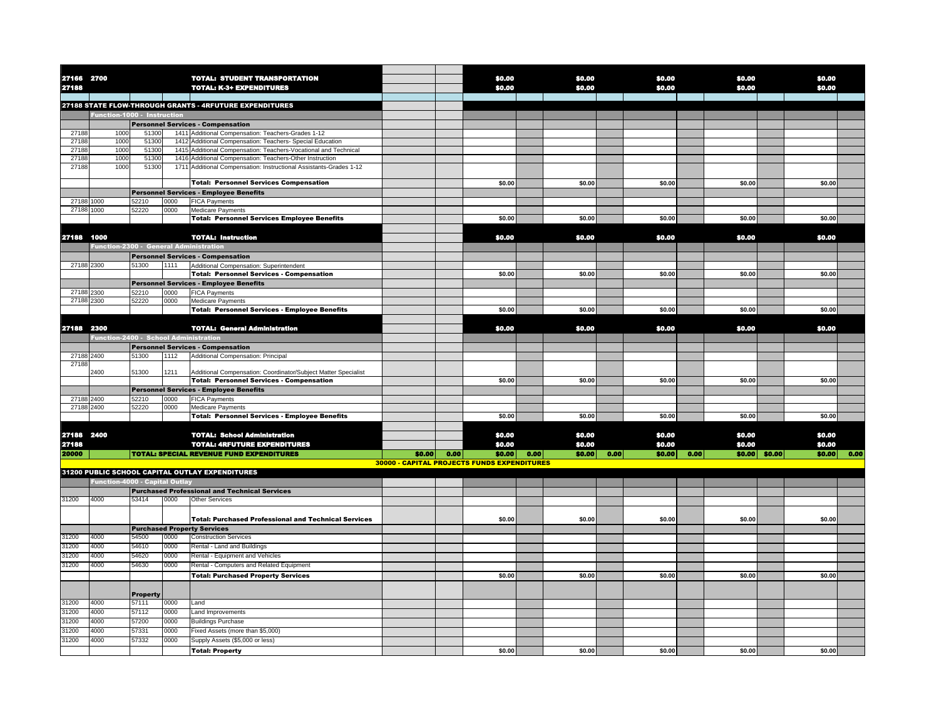| 27166 2700     |                                              |                 |              | <b>TOTAL: STUDENT TRANSPORTATION</b>                                                                              |                                             |      | \$0.00 |      | \$0,00 |      | \$0,00 |      | \$0.00 |                | \$0,00 |             |
|----------------|----------------------------------------------|-----------------|--------------|-------------------------------------------------------------------------------------------------------------------|---------------------------------------------|------|--------|------|--------|------|--------|------|--------|----------------|--------|-------------|
| 27188          |                                              |                 |              | <b>TOTAL: K-3+ EXPENDITURES</b>                                                                                   |                                             |      | \$0.00 |      | \$0,00 |      | \$0.00 |      | \$0.00 |                | \$0.00 |             |
|                |                                              |                 |              | 27188 STATE FLOW-THROUGH GRANTS - 4RFUTURE EXPENDITURES                                                           |                                             |      |        |      |        |      |        |      |        |                |        |             |
|                | Function-1000 - Instruction                  |                 |              |                                                                                                                   |                                             |      |        |      |        |      |        |      |        |                |        |             |
|                |                                              |                 |              | <b>Personnel Services - Compensation</b>                                                                          |                                             |      |        |      |        |      |        |      |        |                |        |             |
| 27188          | 1000                                         | 51300           |              | 1411 Additional Compensation: Teachers-Grades 1-12                                                                |                                             |      |        |      |        |      |        |      |        |                |        |             |
| 2718           | 1000                                         | 5130            |              | 1412 Additional Compensation: Teachers- Special Education                                                         |                                             |      |        |      |        |      |        |      |        |                |        |             |
| 2718           | 1000                                         | 5130            |              | 1415 Additional Compensation: Teachers-Vocational and Technical                                                   |                                             |      |        |      |        |      |        |      |        |                |        |             |
| 2718           | 1000                                         | 5130            |              | 1416 Additional Compensation: Teachers-Other Instruction                                                          |                                             |      |        |      |        |      |        |      |        |                |        |             |
| 2718           | 1000                                         | 51300           |              | 1711 Additional Compensation: Instructional Assistants-Grades 1-12                                                |                                             |      |        |      |        |      |        |      |        |                |        |             |
|                |                                              |                 |              | <b>Total: Personnel Services Compensation</b>                                                                     |                                             |      | \$0.00 |      | \$0.00 |      | \$0.00 |      | \$0.00 |                | \$0.00 |             |
|                |                                              |                 |              | <b>Personnel Services - Employee Benefits</b>                                                                     |                                             |      |        |      |        |      |        |      |        |                |        |             |
| 27188          | 1000                                         | 52210           | 0000         | <b>FICA Payments</b>                                                                                              |                                             |      |        |      |        |      |        |      |        |                |        |             |
| 27188 1000     |                                              | 52220           | 0000         | Medicare Payments                                                                                                 |                                             |      |        |      |        |      |        |      |        |                |        |             |
|                |                                              |                 |              | <b>Total: Personnel Services Employee Benefits</b>                                                                |                                             |      | \$0.00 |      | \$0.00 |      | \$0.00 |      | \$0.00 |                | \$0.00 |             |
|                |                                              |                 |              |                                                                                                                   |                                             |      |        |      |        |      |        |      |        |                |        |             |
| 27188 1000     |                                              |                 |              | <b>TOTAL: Instruction</b>                                                                                         |                                             |      | \$0.00 |      | \$0.00 |      | \$0.00 |      | \$0.00 |                | \$0.00 |             |
|                | Function-2300 - General Administration       |                 |              |                                                                                                                   |                                             |      |        |      |        |      |        |      |        |                |        |             |
|                |                                              |                 |              | <b>Personnel Services - Compensation</b>                                                                          |                                             |      |        |      |        |      |        |      |        |                |        |             |
| 27188 2300     |                                              | 51300           | 1111         | Additional Compensation: Superintendent<br><b>Total: Personnel Services - Compensation</b>                        |                                             |      | \$0.00 |      | \$0.00 |      | \$0.00 |      | \$0.00 |                | \$0.00 |             |
|                |                                              |                 |              |                                                                                                                   |                                             |      |        |      |        |      |        |      |        |                |        |             |
| 27188 2300     |                                              | 52210           | 0000         | <b>Personnel Services - Employee Benefits</b><br><b>FICA Payments</b>                                             |                                             |      |        |      |        |      |        |      |        |                |        |             |
| 27188 2300     |                                              | 52220           | 0000         | Medicare Payments                                                                                                 |                                             |      |        |      |        |      |        |      |        |                |        |             |
|                |                                              |                 |              | <b>Total: Personnel Services - Employee Benefits</b>                                                              |                                             |      | \$0.00 |      | \$0.00 |      | \$0.00 |      | \$0.00 |                | \$0.00 |             |
|                |                                              |                 |              |                                                                                                                   |                                             |      |        |      |        |      |        |      |        |                |        |             |
| 27188 2300     |                                              |                 |              | <b>TOTAL: General Administration</b>                                                                              |                                             |      | \$0.00 |      | \$0.00 |      | \$0.00 |      | \$0.00 |                | \$0.00 |             |
|                | <b>Function-2400 - School Administration</b> |                 |              |                                                                                                                   |                                             |      |        |      |        |      |        |      |        |                |        |             |
|                |                                              |                 |              | <b>Personnel Services - Compensation</b>                                                                          |                                             |      |        |      |        |      |        |      |        |                |        |             |
| 27188 2400     |                                              | 51300           | 1112         | Additional Compensation: Principal                                                                                |                                             |      |        |      |        |      |        |      |        |                |        |             |
| 2718           |                                              | 51300           | 1211         |                                                                                                                   |                                             |      |        |      |        |      |        |      |        |                |        |             |
|                | 2400                                         |                 |              | Additional Compensation: Coordinator/Subject Matter Specialist<br><b>Total: Personnel Services - Compensation</b> |                                             |      | \$0.00 |      | \$0.00 |      | \$0.00 |      | \$0.00 |                | \$0.00 |             |
|                |                                              |                 |              | <b>Personnel Services - Employee Benefits</b>                                                                     |                                             |      |        |      |        |      |        |      |        |                |        |             |
| 27188 2400     |                                              | 52210           | 0000         | <b>FICA Payments</b>                                                                                              |                                             |      |        |      |        |      |        |      |        |                |        |             |
| 27188 2400     |                                              | 52220           | 0000         | <b>Medicare Payments</b>                                                                                          |                                             |      |        |      |        |      |        |      |        |                |        |             |
|                |                                              |                 |              | <b>Total: Personnel Services - Employee Benefits</b>                                                              |                                             |      | \$0.00 |      | \$0.00 |      | \$0.00 |      | \$0.00 |                | \$0.00 |             |
|                |                                              |                 |              |                                                                                                                   |                                             |      |        |      |        |      |        |      |        |                |        |             |
| 27188 2400     |                                              |                 |              | <b>TOTAL: School Administration</b>                                                                               |                                             |      | \$0.00 |      | \$0.00 |      | \$0.00 |      | \$0.00 |                | \$0.00 |             |
| 27188          |                                              |                 |              | <b>TOTAL: 4RFUTURE EXPENDITURES</b>                                                                               |                                             |      | \$0.00 |      | \$0.00 |      | \$0.00 |      | \$0.00 |                | \$0.00 |             |
| 20000          |                                              |                 |              | <b>TOTAL: SPECIAL REVENUE FUND EXPENDITURES</b>                                                                   | \$0.00                                      | 0.00 | \$0.00 | 0.00 | \$0.00 | 0.00 | \$0.00 | 0.00 |        | $$0.00$ \$0.00 |        | \$0.00 0.00 |
|                |                                              |                 |              |                                                                                                                   | 30000 - CAPITAL PROJECTS FUNDS EXPENDITURES |      |        |      |        |      |        |      |        |                |        |             |
|                | <b>Function-4000 - Capital Outlay</b>        |                 |              | 31200 PUBLIC SCHOOL CAPITAL OUTLAY EXPENDITURES                                                                   |                                             |      |        |      |        |      |        |      |        |                |        |             |
|                |                                              |                 |              |                                                                                                                   |                                             |      |        |      |        |      |        |      |        |                |        |             |
| 31200          | 4000                                         | 53414           | 0000         | <b>Purchased Professional and Technical Services</b><br><b>Other Services</b>                                     |                                             |      |        |      |        |      |        |      |        |                |        |             |
|                |                                              |                 |              |                                                                                                                   |                                             |      |        |      |        |      |        |      |        |                |        |             |
|                |                                              |                 |              | <b>Total: Purchased Professional and Technical Services</b>                                                       |                                             |      | \$0.00 |      | \$0.00 |      | \$0.00 |      | \$0.00 |                | \$0.00 |             |
|                |                                              |                 |              | <b>Purchased Property Services</b>                                                                                |                                             |      |        |      |        |      |        |      |        |                |        |             |
| 31200          | 4000                                         | 54500           | 0000         | <b>Construction Services</b>                                                                                      |                                             |      |        |      |        |      |        |      |        |                |        |             |
| 31200          | 4000                                         | 54610           | 0000         | Rental - Land and Buildings                                                                                       |                                             |      |        |      |        |      |        |      |        |                |        |             |
| 31200          | 4000                                         | 54620           | 0000         | Rental - Equipment and Vehicles                                                                                   |                                             |      |        |      |        |      |        |      |        |                |        |             |
| 31200          | 4000                                         | 54630           | 0000         | Rental - Computers and Related Equipment                                                                          |                                             |      |        |      |        |      |        |      |        |                |        |             |
|                |                                              |                 |              | <b>Total: Purchased Property Services</b>                                                                         |                                             |      | \$0.00 |      | \$0.00 |      | \$0.00 |      | \$0.00 |                | \$0.00 |             |
|                |                                              |                 |              |                                                                                                                   |                                             |      |        |      |        |      |        |      |        |                |        |             |
|                |                                              | <b>Property</b> |              |                                                                                                                   |                                             |      |        |      |        |      |        |      |        |                |        |             |
| 31200          | 4000                                         | 57111           | 0000         | Land                                                                                                              |                                             |      |        |      |        |      |        |      |        |                |        |             |
| 31200          | 4000                                         | 57112           | 0000         | Land Improvements                                                                                                 |                                             |      |        |      |        |      |        |      |        |                |        |             |
| 31200<br>31200 | 4000<br>4000                                 | 57200<br>57331  | 0000<br>0000 | <b>Buildings Purchase</b><br>Fixed Assets (more than \$5,000)                                                     |                                             |      |        |      |        |      |        |      |        |                |        |             |
| 31200          | 4000                                         | 57332           | 0000         | Supply Assets (\$5,000 or less)                                                                                   |                                             |      |        |      |        |      |        |      |        |                |        |             |
|                |                                              |                 |              |                                                                                                                   |                                             |      | \$0.00 |      | \$0.00 |      | \$0.00 |      | \$0.00 |                | \$0.00 |             |
|                |                                              |                 |              | <b>Total: Property</b>                                                                                            |                                             |      |        |      |        |      |        |      |        |                |        |             |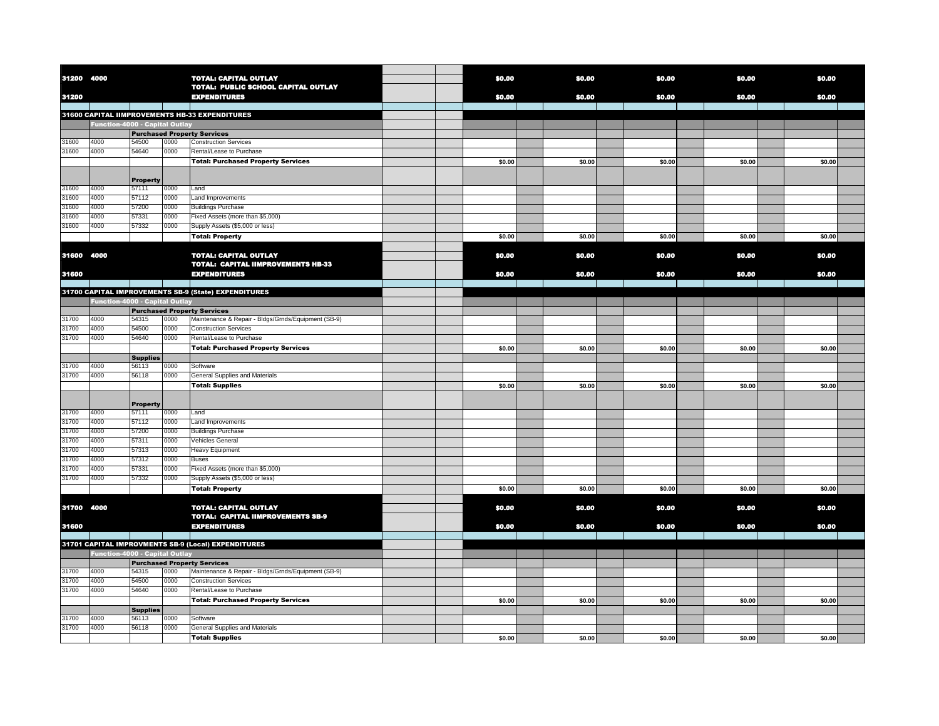| 31200 4000 |                                       |                          |      | <b>TOTAL: CAPITAL OUTLAY</b><br>TOTAL: PUBLIC SCHOOL CAPITAL OUTLAY                 | \$0.00 | \$0.00 | \$0.00 | \$0.00 | \$0.00 |  |
|------------|---------------------------------------|--------------------------|------|-------------------------------------------------------------------------------------|--------|--------|--------|--------|--------|--|
| 31200      |                                       |                          |      | <b>EXPENDITURES</b>                                                                 | \$0.00 | \$0.00 | \$0.00 | \$0.00 | \$0.00 |  |
|            |                                       |                          |      | 31600 CAPITAL IIMPROVEMENTS HB-33 EXPENDITURES                                      |        |        |        |        |        |  |
|            | <b>Function-4000 - Capital Outlay</b> |                          |      |                                                                                     |        |        |        |        |        |  |
|            |                                       |                          |      | <b>Purchased Property Services</b>                                                  |        |        |        |        |        |  |
| 31600      | 4000                                  | 54500                    | 0000 | <b>Construction Services</b>                                                        |        |        |        |        |        |  |
| 31600      | 4000                                  | 54640                    | 0000 | Rental/Lease to Purchase                                                            |        |        |        |        |        |  |
|            |                                       |                          |      | <b>Total: Purchased Property Services</b>                                           | \$0.00 | \$0.00 | \$0.00 | \$0.00 | \$0.00 |  |
|            |                                       | <b>Property</b>          |      |                                                                                     |        |        |        |        |        |  |
| 31600      | 4000                                  | 57111                    | 0000 | Land                                                                                |        |        |        |        |        |  |
| 31600      | 4000                                  | 57112                    | 0000 | Land Improvements                                                                   |        |        |        |        |        |  |
| 31600      | 4000                                  | 57200                    | 0000 | <b>Buildings Purchase</b>                                                           |        |        |        |        |        |  |
| 31600      | 4000                                  | 57331                    | 0000 | Fixed Assets (more than \$5,000)                                                    |        |        |        |        |        |  |
| 31600      | 4000                                  | 57332                    | 0000 | Supply Assets (\$5,000 or less)                                                     |        |        |        |        |        |  |
|            |                                       |                          |      | <b>Total: Property</b>                                                              | \$0.00 | \$0.00 | \$0.00 | \$0.00 | \$0.00 |  |
| 31600 4000 |                                       |                          |      | <b>TOTAL: CAPITAL OUTLAY</b>                                                        | \$0.00 | \$0.00 | \$0.00 | \$0.00 | \$0.00 |  |
|            |                                       |                          |      | <b>TOTAL: CAPITAL IIMPROVEMENTS HB-33</b>                                           |        |        |        |        |        |  |
| 31600      |                                       |                          |      | <b>EXPENDITURES</b>                                                                 | \$0.00 | \$0.00 | \$0.00 | \$0.00 | \$0.00 |  |
|            |                                       |                          |      |                                                                                     |        |        |        |        |        |  |
|            |                                       |                          |      | 31700 CAPITAL IMPROVEMENTS SB-9 (State) EXPENDITURES                                |        |        |        |        |        |  |
|            | <b>Function-4000 - Capital Outlay</b> |                          |      |                                                                                     |        |        |        |        |        |  |
| 31700      | 4000                                  | 54315                    | 0000 | <b>Purchased Property Services</b>                                                  |        |        |        |        |        |  |
| 31700      | 4000                                  | 54500                    | 0000 | Maintenance & Repair - Bldgs/Grnds/Equipment (SB-9)<br><b>Construction Services</b> |        |        |        |        |        |  |
| 31700      | 4000                                  | 54640                    | 0000 |                                                                                     |        |        |        |        |        |  |
|            |                                       |                          |      | Rental/Lease to Purchase                                                            |        |        |        |        |        |  |
|            |                                       |                          |      | <b>Total: Purchased Property Services</b>                                           | \$0.00 | \$0.00 | \$0.00 | \$0.00 | \$0.00 |  |
| 31700      | 4000                                  | <b>Supplies</b><br>56113 | 0000 | Software                                                                            |        |        |        |        |        |  |
| 31700      | 4000                                  | 56118                    | 0000 | General Supplies and Materials                                                      |        |        |        |        |        |  |
|            |                                       |                          |      | <b>Total: Supplies</b>                                                              | \$0.00 | \$0.00 | \$0.00 | \$0.00 | \$0.00 |  |
|            |                                       |                          |      |                                                                                     |        |        |        |        |        |  |
| 31700      | 4000                                  | <b>Property</b><br>57111 | 0000 | Land                                                                                |        |        |        |        |        |  |
| 31700      | 4000                                  | 57112                    | 0000 |                                                                                     |        |        |        |        |        |  |
| 31700      | 4000                                  | 57200                    | 0000 | Land Improvements<br><b>Buildings Purchase</b>                                      |        |        |        |        |        |  |
| 31700      | 4000                                  | 57311                    | 0000 | Vehicles General                                                                    |        |        |        |        |        |  |
| 31700      | 4000                                  | 57313                    | 0000 | Heavy Equipment                                                                     |        |        |        |        |        |  |
| 31700      | 4000                                  | 57312                    | 0000 | Buses                                                                               |        |        |        |        |        |  |
| 31700      | 4000                                  | 57331                    | 0000 | Fixed Assets (more than \$5,000)                                                    |        |        |        |        |        |  |
| 31700      | 4000                                  | 57332                    | 0000 | Supply Assets (\$5,000 or less)                                                     |        |        |        |        |        |  |
|            |                                       |                          |      | <b>Total: Property</b>                                                              | \$0.00 | \$0.00 | \$0.00 | \$0.00 | \$0.00 |  |
|            |                                       |                          |      |                                                                                     |        |        |        |        |        |  |
| 31700 4000 |                                       |                          |      | <b>TOTAL: CAPITAL OUTLAY</b><br><b>TOTAL: CAPITAL IIMPROVEMENTS SB-9</b>            | \$0.00 | \$0.00 | \$0.00 | \$0.00 | \$0.00 |  |
| 31600      |                                       |                          |      | <b>EXPENDITURES</b>                                                                 | \$0,00 | \$0,00 | \$0.00 | \$0.00 | \$0,00 |  |
|            |                                       |                          |      |                                                                                     |        |        |        |        |        |  |
|            |                                       |                          |      | 31701 CAPITAL IMPROVMENTS SB-9 (Local) EXPENDITURES                                 |        |        |        |        |        |  |
|            | <b>Function-4000 - Capital Outlay</b> |                          |      |                                                                                     |        |        |        |        |        |  |
|            |                                       |                          |      | <b>Purchased Property Services</b>                                                  |        |        |        |        |        |  |
| 31700      | 4000                                  | 54315                    | 0000 | Maintenance & Repair - Bldgs/Grnds/Equipment (SB-9)                                 |        |        |        |        |        |  |
| 31700      | 4000                                  | 54500                    | 0000 | <b>Construction Services</b>                                                        |        |        |        |        |        |  |
| 31700      | 4000                                  | 54640                    | 0000 | Rental/Lease to Purchase                                                            |        |        |        |        |        |  |
|            |                                       |                          |      | <b>Total: Purchased Property Services</b>                                           | \$0.00 | \$0.00 | \$0.00 | \$0.00 | \$0.00 |  |
|            |                                       | <b>Supplies</b>          |      |                                                                                     |        |        |        |        |        |  |
| 31700      | 4000                                  | 56113                    | 0000 | Software                                                                            |        |        |        |        |        |  |
| 31700      | 4000                                  | 56118                    | 0000 | General Supplies and Materials                                                      |        |        |        |        |        |  |
|            |                                       |                          |      | <b>Total: Supplies</b>                                                              | \$0.00 | \$0.00 | \$0.00 | \$0.00 | \$0.00 |  |